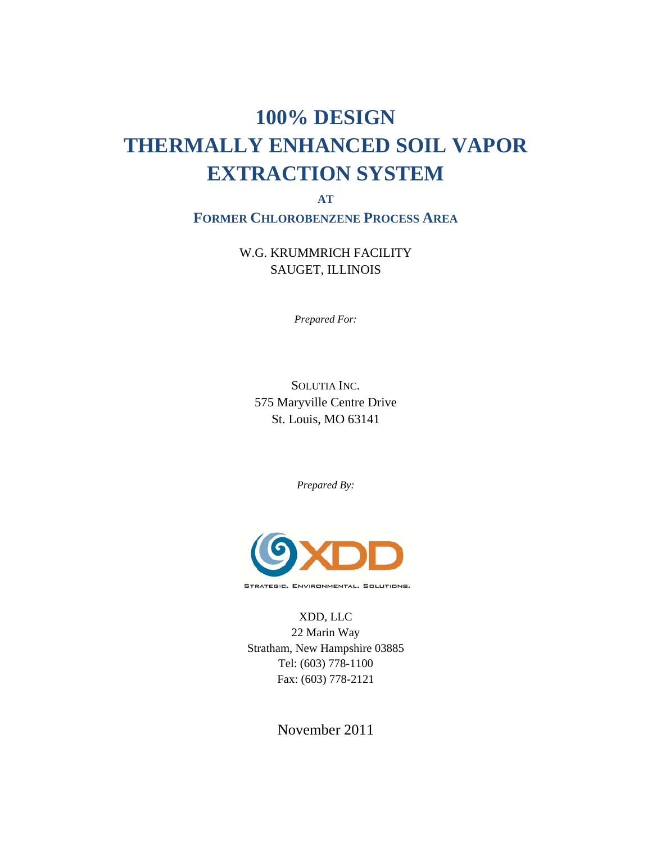# **100% DESIGN THERMALLY ENHANCED SOIL VAPOR EXTRACTION SYSTEM**

**AT**

**FORMER CHLOROBENZENE PROCESS AREA**

W.G. KRUMMRICH FACILITY SAUGET, ILLINOIS

*Prepared For:* 

SOLUTIA INC. 575 Maryville Centre Drive St. Louis, MO 63141

*Prepared By:* 



STRATEGIC. ENVIRONMENTAL. SOLUTIONS.

XDD, LLC 22 Marin Way Stratham, New Hampshire 03885 Tel: (603) 778-1100 Fax: (603) 778-2121

November 2011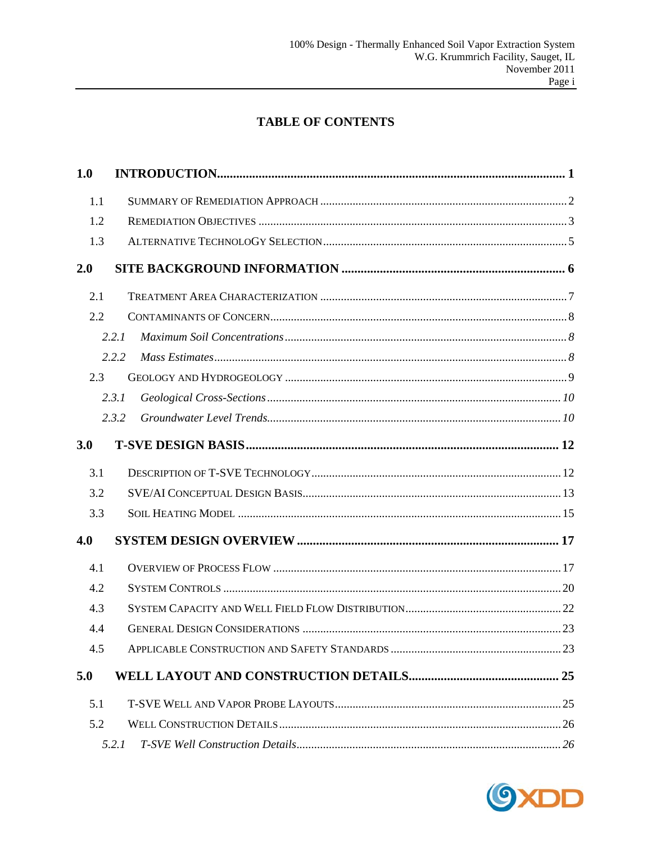# **TABLE OF CONTENTS**

| 1.0 |       |  |
|-----|-------|--|
| 1.1 |       |  |
| 1.2 |       |  |
| 1.3 |       |  |
| 2.0 |       |  |
| 2.1 |       |  |
| 2.2 |       |  |
|     | 2.2.1 |  |
|     | 2.2.2 |  |
| 2.3 |       |  |
|     | 2.3.1 |  |
|     | 2.3.2 |  |
| 3.0 |       |  |
| 3.1 |       |  |
| 3.2 |       |  |
| 3.3 |       |  |
| 4.0 |       |  |
| 4.1 |       |  |
| 4.2 |       |  |
| 4.3 |       |  |
| 4.4 |       |  |
| 4.5 |       |  |
| 5.0 |       |  |
| 5.1 |       |  |
| 5.2 |       |  |
|     | 5.2.1 |  |

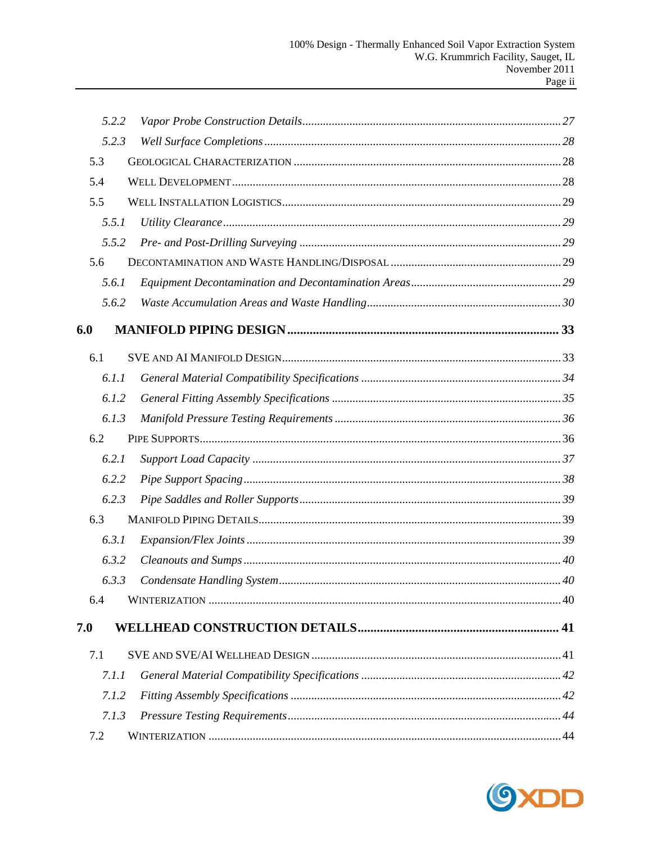|     | 5.2.2 |  |
|-----|-------|--|
|     | 5.2.3 |  |
|     | 5.3   |  |
|     | 5.4   |  |
|     | 5.5   |  |
|     | 5.5.1 |  |
|     | 5.5.2 |  |
|     | 5.6   |  |
|     | 5.6.1 |  |
|     | 5.6.2 |  |
| 6.0 |       |  |
|     | 6.1   |  |
|     | 6.1.1 |  |
|     | 6.1.2 |  |
|     | 6.1.3 |  |
|     | 6.2   |  |
|     | 6.2.1 |  |
|     | 6.2.2 |  |
|     | 6.2.3 |  |
|     | 6.3   |  |
|     | 6.3.1 |  |
|     | 6.3.2 |  |
|     | 6.3.3 |  |
|     | 6.4   |  |
| 7.0 |       |  |
|     | 7.1   |  |
|     | 7.1.1 |  |
|     | 7.1.2 |  |
|     | 7.1.3 |  |
|     | 7.2   |  |

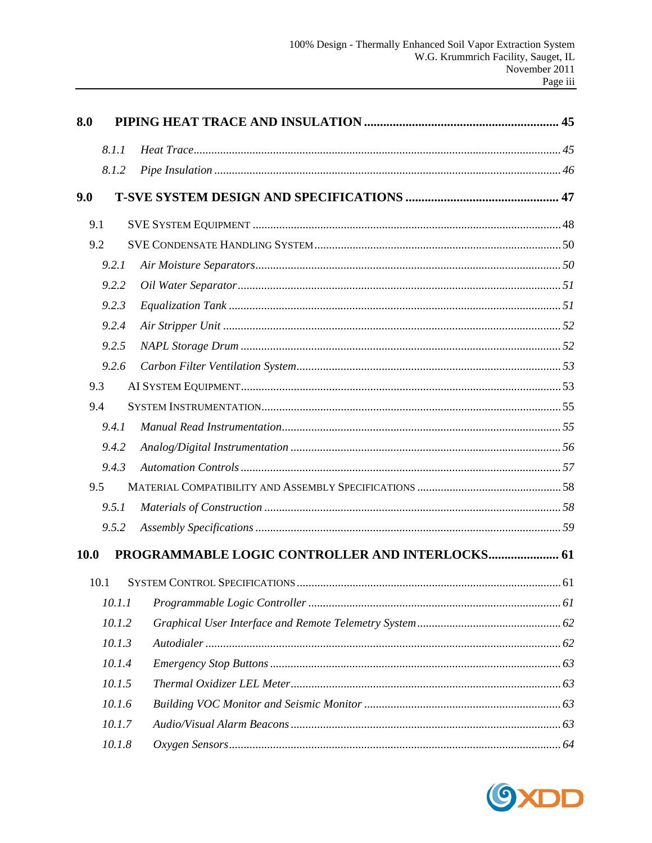| 8.0  |        |                                                 |  |  |
|------|--------|-------------------------------------------------|--|--|
|      | 8.1.1  |                                                 |  |  |
|      | 8.1.2  |                                                 |  |  |
| 9.0  |        |                                                 |  |  |
| 9.1  |        |                                                 |  |  |
| 9.2  |        |                                                 |  |  |
|      | 9.2.1  |                                                 |  |  |
|      | 9.2.2  |                                                 |  |  |
|      | 9.2.3  |                                                 |  |  |
|      | 9.2.4  |                                                 |  |  |
|      | 9.2.5  |                                                 |  |  |
|      | 9.2.6  |                                                 |  |  |
| 9.3  |        |                                                 |  |  |
| 9.4  |        |                                                 |  |  |
|      | 9.4.1  |                                                 |  |  |
|      | 9.4.2  |                                                 |  |  |
|      | 9.4.3  |                                                 |  |  |
| 9.5  |        |                                                 |  |  |
|      | 9.5.1  |                                                 |  |  |
|      | 9.5.2  |                                                 |  |  |
| 10.0 |        | PROGRAMMABLE LOGIC CONTROLLER AND INTERLOCKS 61 |  |  |
| 10.1 |        |                                                 |  |  |
|      | 10.1.1 |                                                 |  |  |
|      | 10.1.2 |                                                 |  |  |
|      | 10.1.3 |                                                 |  |  |
|      | 10.1.4 |                                                 |  |  |
|      | 10.1.5 |                                                 |  |  |
|      | 10.1.6 |                                                 |  |  |
|      | 10.1.7 |                                                 |  |  |
|      | 10.1.8 |                                                 |  |  |

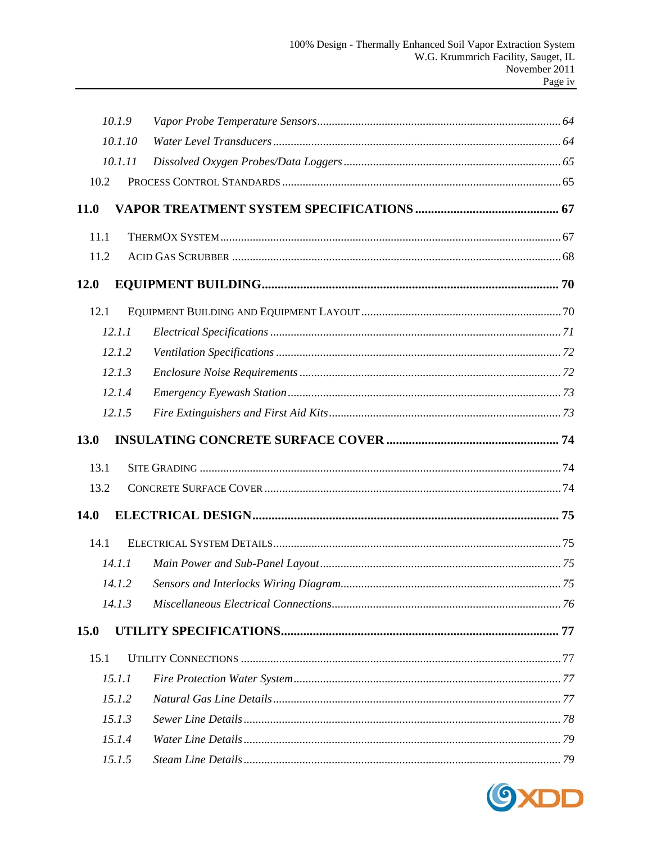|             | 10.1.9  |  |
|-------------|---------|--|
|             | 10.1.10 |  |
|             | 10.1.11 |  |
| 10.2        |         |  |
| 11.0        |         |  |
| 11.1        |         |  |
| 11.2        |         |  |
| <b>12.0</b> |         |  |
| 12.1        |         |  |
|             | 12.1.1  |  |
|             | 12.1.2  |  |
|             | 12.1.3  |  |
|             | 12.1.4  |  |
|             | 12.1.5  |  |
| 13.0        |         |  |
| 13.1        |         |  |
| 13.2        |         |  |
| 14.0        |         |  |
| 14.1        |         |  |
|             | 14.1.1  |  |
|             |         |  |
|             | 14.1.3  |  |
| 15.0        |         |  |
| 15.1        |         |  |
|             | 15.1.1  |  |
|             | 15.1.2  |  |
|             | 15.1.3  |  |
|             | 15.1.4  |  |
|             | 15.1.5  |  |

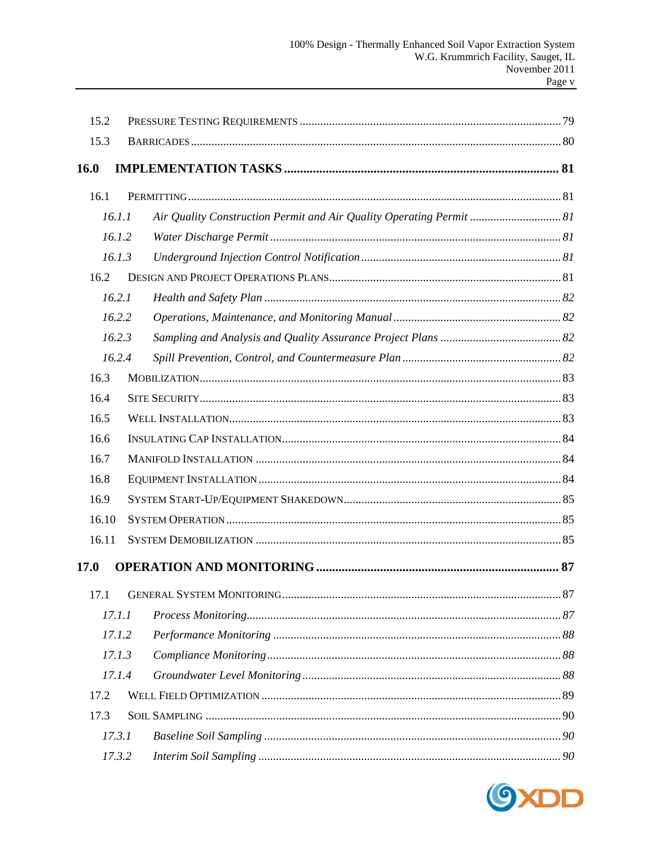| 15.2  |        |                                                                      |  |
|-------|--------|----------------------------------------------------------------------|--|
| 15.3  |        |                                                                      |  |
| 16.0  |        |                                                                      |  |
| 16.1  |        |                                                                      |  |
|       | 16.1.1 | Air Quality Construction Permit and Air Quality Operating Permit  81 |  |
|       | 16.1.2 |                                                                      |  |
|       | 16.1.3 |                                                                      |  |
| 16.2  |        |                                                                      |  |
|       | 16.2.1 |                                                                      |  |
|       | 16.2.2 |                                                                      |  |
|       | 16.2.3 |                                                                      |  |
|       | 16.2.4 |                                                                      |  |
| 16.3  |        |                                                                      |  |
| 16.4  |        |                                                                      |  |
| 16.5  |        |                                                                      |  |
| 16.6  |        |                                                                      |  |
| 16.7  |        |                                                                      |  |
| 16.8  |        |                                                                      |  |
| 16.9  |        |                                                                      |  |
| 16.10 |        |                                                                      |  |
| 16.11 |        |                                                                      |  |
| 17.0  |        |                                                                      |  |
| 17.1  |        |                                                                      |  |
|       | 17.1.1 |                                                                      |  |
|       | 17.1.2 |                                                                      |  |
|       | 17.1.3 |                                                                      |  |
|       | 17.1.4 |                                                                      |  |
| 17.2  |        |                                                                      |  |
| 17.3  |        |                                                                      |  |
|       | 17.3.1 |                                                                      |  |
|       | 17.3.2 |                                                                      |  |

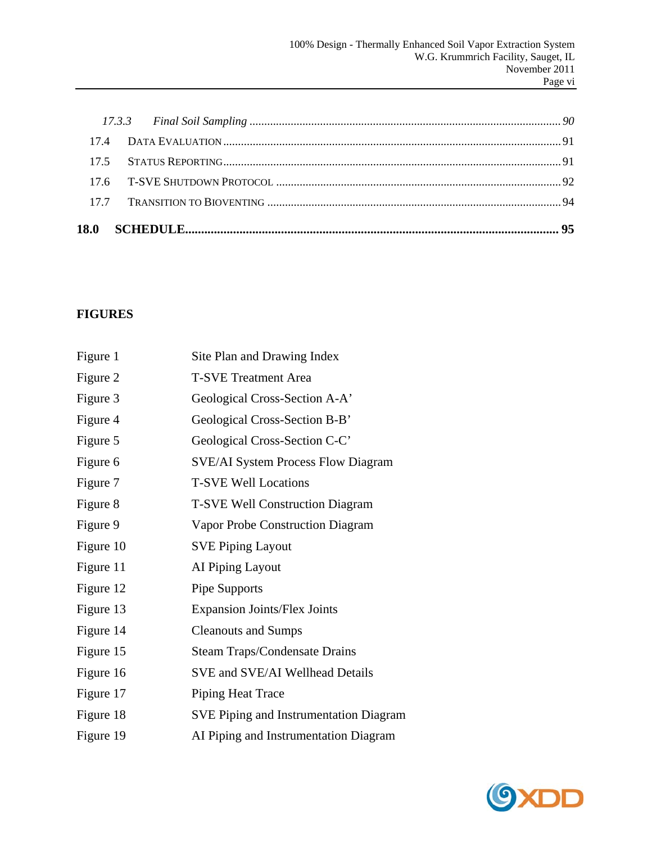# **FIGURES**

| Figure 1  | Site Plan and Drawing Index                   |
|-----------|-----------------------------------------------|
| Figure 2  | <b>T-SVE Treatment Area</b>                   |
| Figure 3  | Geological Cross-Section A-A'                 |
| Figure 4  | Geological Cross-Section B-B'                 |
| Figure 5  | Geological Cross-Section C-C'                 |
| Figure 6  | <b>SVE/AI System Process Flow Diagram</b>     |
| Figure 7  | <b>T-SVE Well Locations</b>                   |
| Figure 8  | <b>T-SVE Well Construction Diagram</b>        |
| Figure 9  | Vapor Probe Construction Diagram              |
| Figure 10 | <b>SVE Piping Layout</b>                      |
| Figure 11 | AI Piping Layout                              |
| Figure 12 | Pipe Supports                                 |
| Figure 13 | <b>Expansion Joints/Flex Joints</b>           |
| Figure 14 | <b>Cleanouts and Sumps</b>                    |
| Figure 15 | <b>Steam Traps/Condensate Drains</b>          |
| Figure 16 | SVE and SVE/AI Wellhead Details               |
| Figure 17 | Piping Heat Trace                             |
| Figure 18 | <b>SVE Piping and Instrumentation Diagram</b> |
| Figure 19 | AI Piping and Instrumentation Diagram         |
|           |                                               |

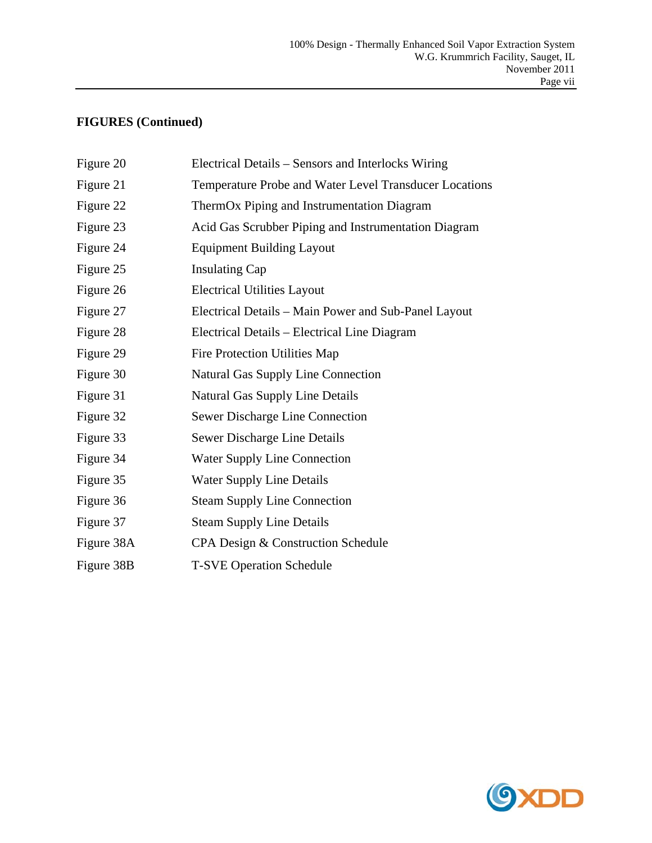# **FIGURES (Continued)**

| Figure 20  | Electrical Details – Sensors and Interlocks Wiring     |
|------------|--------------------------------------------------------|
| Figure 21  | Temperature Probe and Water Level Transducer Locations |
| Figure 22  | ThermOx Piping and Instrumentation Diagram             |
| Figure 23  | Acid Gas Scrubber Piping and Instrumentation Diagram   |
| Figure 24  | <b>Equipment Building Layout</b>                       |
| Figure 25  | <b>Insulating Cap</b>                                  |
| Figure 26  | <b>Electrical Utilities Layout</b>                     |
| Figure 27  | Electrical Details - Main Power and Sub-Panel Layout   |
| Figure 28  | Electrical Details - Electrical Line Diagram           |
| Figure 29  | Fire Protection Utilities Map                          |
| Figure 30  | <b>Natural Gas Supply Line Connection</b>              |
| Figure 31  | <b>Natural Gas Supply Line Details</b>                 |
| Figure 32  | <b>Sewer Discharge Line Connection</b>                 |
| Figure 33  | Sewer Discharge Line Details                           |
| Figure 34  | <b>Water Supply Line Connection</b>                    |
| Figure 35  | <b>Water Supply Line Details</b>                       |
| Figure 36  | <b>Steam Supply Line Connection</b>                    |
| Figure 37  | <b>Steam Supply Line Details</b>                       |
| Figure 38A | CPA Design & Construction Schedule                     |
| Figure 38B | <b>T-SVE Operation Schedule</b>                        |
|            |                                                        |

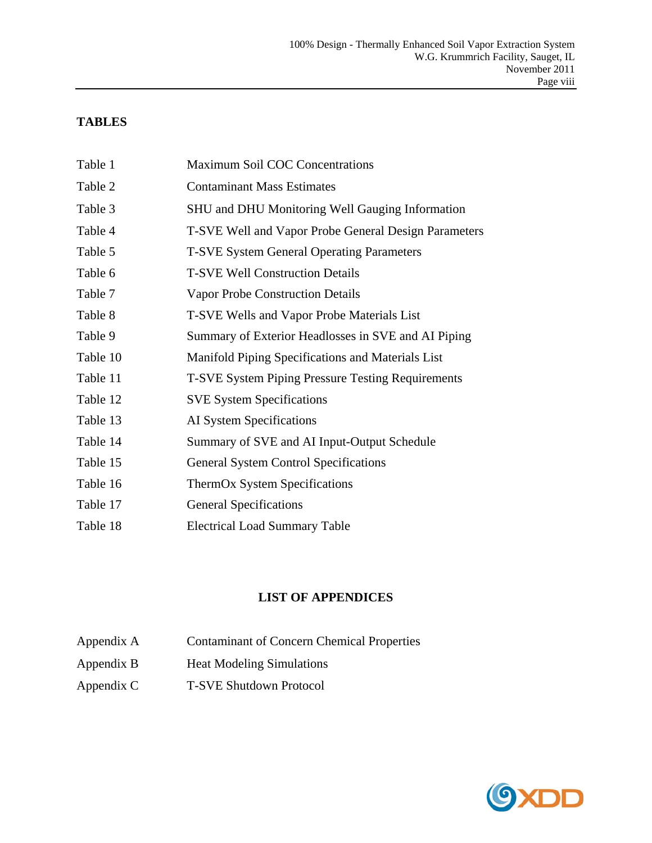#### **TABLES**

| Table 1  | Maximum Soil COC Concentrations                          |
|----------|----------------------------------------------------------|
| Table 2  | <b>Contaminant Mass Estimates</b>                        |
| Table 3  | <b>SHU and DHU Monitoring Well Gauging Information</b>   |
| Table 4  | T-SVE Well and Vapor Probe General Design Parameters     |
| Table 5  | <b>T-SVE System General Operating Parameters</b>         |
| Table 6  | <b>T-SVE Well Construction Details</b>                   |
| Table 7  | <b>Vapor Probe Construction Details</b>                  |
| Table 8  | T-SVE Wells and Vapor Probe Materials List               |
| Table 9  | Summary of Exterior Headlosses in SVE and AI Piping      |
| Table 10 | Manifold Piping Specifications and Materials List        |
| Table 11 | <b>T-SVE System Piping Pressure Testing Requirements</b> |
| Table 12 | <b>SVE System Specifications</b>                         |
| Table 13 | AI System Specifications                                 |
| Table 14 | Summary of SVE and AI Input-Output Schedule              |
| Table 15 | <b>General System Control Specifications</b>             |
| Table 16 | ThermOx System Specifications                            |
| Table 17 | <b>General Specifications</b>                            |
| Table 18 | <b>Electrical Load Summary Table</b>                     |

## **LIST OF APPENDICES**

- Appendix A Contaminant of Concern Chemical Properties
- Appendix B Heat Modeling Simulations
- Appendix C T-SVE Shutdown Protocol

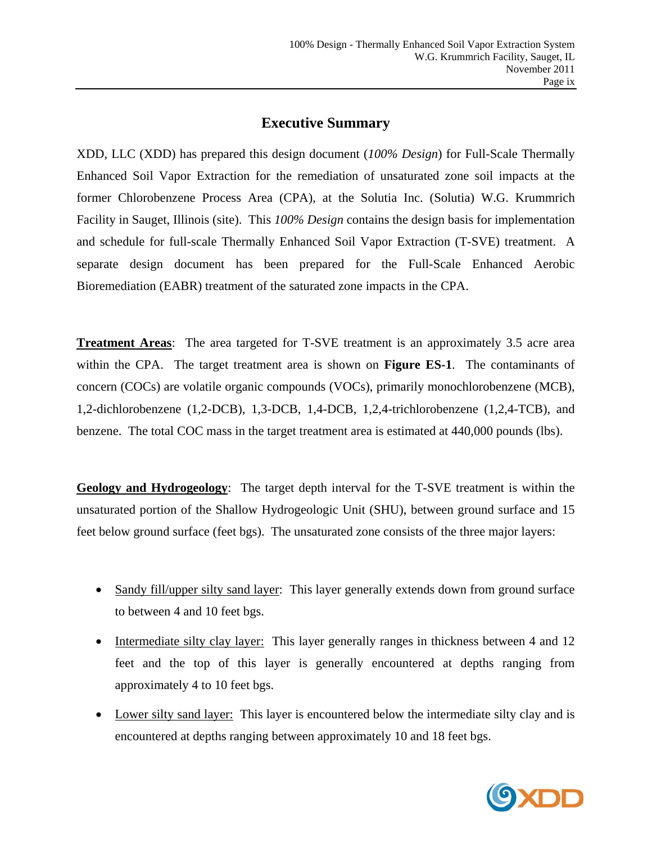# **Executive Summary**

XDD, LLC (XDD) has prepared this design document (*100% Design*) for Full-Scale Thermally Enhanced Soil Vapor Extraction for the remediation of unsaturated zone soil impacts at the former Chlorobenzene Process Area (CPA), at the Solutia Inc. (Solutia) W.G. Krummrich Facility in Sauget, Illinois (site). This *100% Design* contains the design basis for implementation and schedule for full-scale Thermally Enhanced Soil Vapor Extraction (T-SVE) treatment. A separate design document has been prepared for the Full-Scale Enhanced Aerobic Bioremediation (EABR) treatment of the saturated zone impacts in the CPA.

**Treatment Areas**: The area targeted for T-SVE treatment is an approximately 3.5 acre area within the CPA. The target treatment area is shown on **Figure ES-1**. The contaminants of concern (COCs) are volatile organic compounds (VOCs), primarily monochlorobenzene (MCB), 1,2-dichlorobenzene (1,2-DCB), 1,3-DCB, 1,4-DCB, 1,2,4-trichlorobenzene (1,2,4-TCB), and benzene. The total COC mass in the target treatment area is estimated at 440,000 pounds (lbs).

**Geology and Hydrogeology**: The target depth interval for the T-SVE treatment is within the unsaturated portion of the Shallow Hydrogeologic Unit (SHU), between ground surface and 15 feet below ground surface (feet bgs). The unsaturated zone consists of the three major layers:

- Sandy fill/upper silty sand layer: This layer generally extends down from ground surface to between 4 and 10 feet bgs.
- Intermediate silty clay layer: This layer generally ranges in thickness between 4 and 12 feet and the top of this layer is generally encountered at depths ranging from approximately 4 to 10 feet bgs.
- Lower silty sand layer: This layer is encountered below the intermediate silty clay and is encountered at depths ranging between approximately 10 and 18 feet bgs.

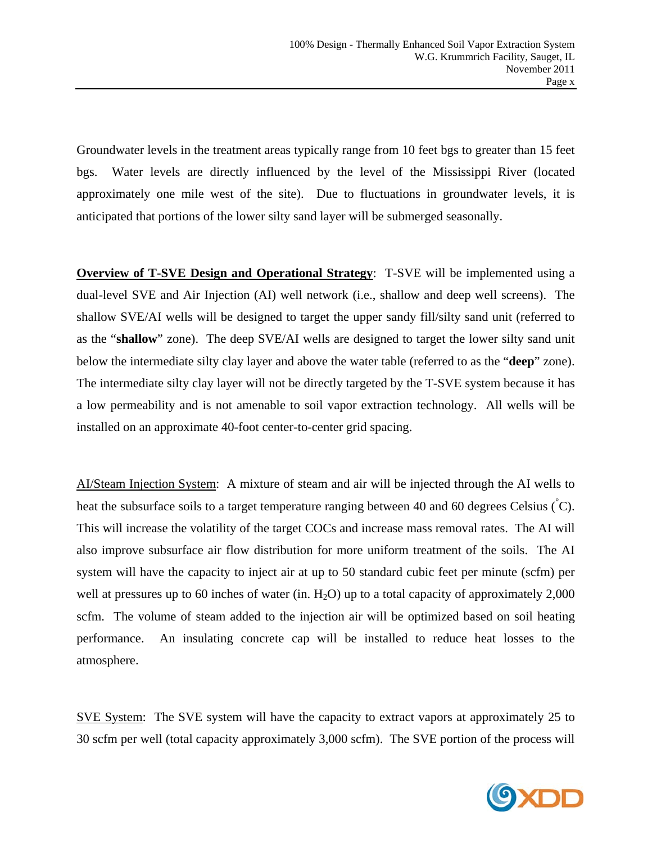Groundwater levels in the treatment areas typically range from 10 feet bgs to greater than 15 feet bgs. Water levels are directly influenced by the level of the Mississippi River (located approximately one mile west of the site). Due to fluctuations in groundwater levels, it is anticipated that portions of the lower silty sand layer will be submerged seasonally.

**Overview of T-SVE Design and Operational Strategy**: T-SVE will be implemented using a dual-level SVE and Air Injection (AI) well network (i.e., shallow and deep well screens). The shallow SVE/AI wells will be designed to target the upper sandy fill/silty sand unit (referred to as the "**shallow**" zone). The deep SVE/AI wells are designed to target the lower silty sand unit below the intermediate silty clay layer and above the water table (referred to as the "**deep**" zone). The intermediate silty clay layer will not be directly targeted by the T-SVE system because it has a low permeability and is not amenable to soil vapor extraction technology. All wells will be installed on an approximate 40-foot center-to-center grid spacing.

AI/Steam Injection System: A mixture of steam and air will be injected through the AI wells to heat the subsurface soils to a target temperature ranging between 40 and 60 degrees Celsius  $\langle C \rangle$ . This will increase the volatility of the target COCs and increase mass removal rates. The AI will also improve subsurface air flow distribution for more uniform treatment of the soils. The AI system will have the capacity to inject air at up to 50 standard cubic feet per minute (scfm) per well at pressures up to 60 inches of water (in.  $H_2O$ ) up to a total capacity of approximately 2,000 scfm. The volume of steam added to the injection air will be optimized based on soil heating performance. An insulating concrete cap will be installed to reduce heat losses to the atmosphere.

SVE System: The SVE system will have the capacity to extract vapors at approximately 25 to 30 scfm per well (total capacity approximately 3,000 scfm). The SVE portion of the process will

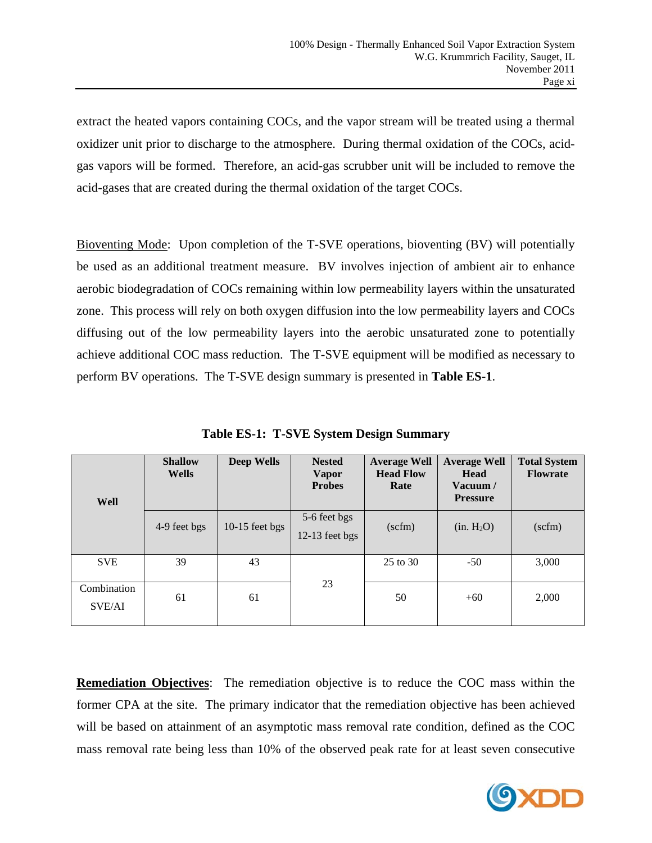extract the heated vapors containing COCs, and the vapor stream will be treated using a thermal oxidizer unit prior to discharge to the atmosphere. During thermal oxidation of the COCs, acidgas vapors will be formed. Therefore, an acid-gas scrubber unit will be included to remove the acid-gases that are created during the thermal oxidation of the target COCs.

Bioventing Mode: Upon completion of the T-SVE operations, bioventing (BV) will potentially be used as an additional treatment measure. BV involves injection of ambient air to enhance aerobic biodegradation of COCs remaining within low permeability layers within the unsaturated zone. This process will rely on both oxygen diffusion into the low permeability layers and COCs diffusing out of the low permeability layers into the aerobic unsaturated zone to potentially achieve additional COC mass reduction. The T-SVE equipment will be modified as necessary to perform BV operations. The T-SVE design summary is presented in **Table ES-1**.

| Well                  | <b>Shallow</b><br><b>Wells</b> | <b>Deep Wells</b> | <b>Nested</b><br><b>Vapor</b><br><b>Probes</b> | <b>Average Well</b><br><b>Head Flow</b><br>Rate | <b>Average Well</b><br><b>Head</b><br>Vacuum /<br><b>Pressure</b> | <b>Total System</b><br><b>Flowrate</b> |
|-----------------------|--------------------------------|-------------------|------------------------------------------------|-------------------------------------------------|-------------------------------------------------------------------|----------------------------------------|
|                       | 4-9 feet bgs                   | $10-15$ feet bgs  | 5-6 feet bgs<br>$12-13$ feet bgs               | $(\text{scfm})$                                 | (in. H <sub>2</sub> O)                                            | $(\text{scfm})$                        |
| <b>SVE</b>            | 39                             | 43                |                                                | 25 to 30                                        | $-50$                                                             | 3,000                                  |
| Combination<br>SVE/AI | 61                             | 61                | 23                                             | 50                                              | $+60$                                                             | 2,000                                  |

**Table ES-1: T-SVE System Design Summary** 

**Remediation Objectives**: The remediation objective is to reduce the COC mass within the former CPA at the site. The primary indicator that the remediation objective has been achieved will be based on attainment of an asymptotic mass removal rate condition, defined as the COC mass removal rate being less than 10% of the observed peak rate for at least seven consecutive

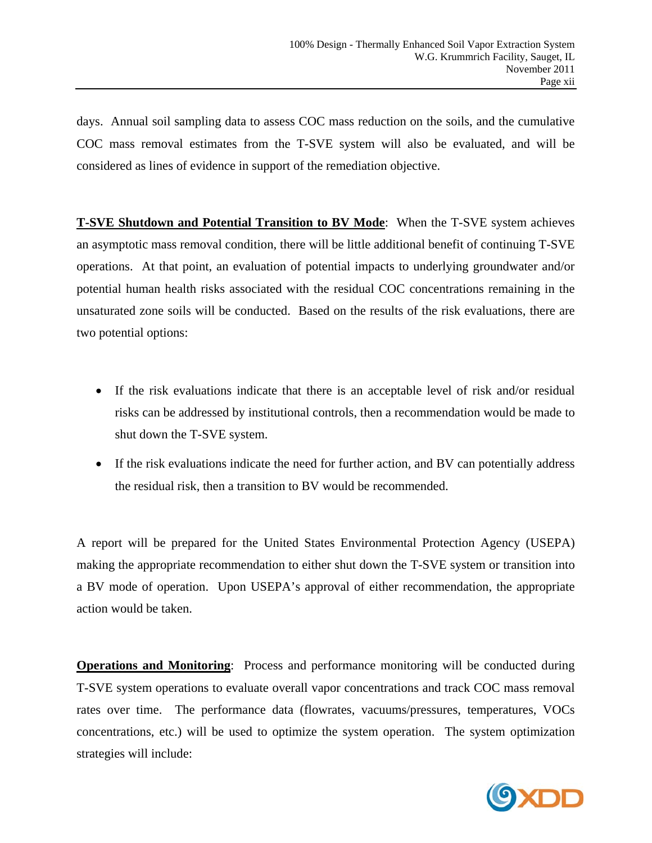days. Annual soil sampling data to assess COC mass reduction on the soils, and the cumulative COC mass removal estimates from the T-SVE system will also be evaluated, and will be considered as lines of evidence in support of the remediation objective.

**T-SVE Shutdown and Potential Transition to BV Mode**: When the T-SVE system achieves an asymptotic mass removal condition, there will be little additional benefit of continuing T-SVE operations. At that point, an evaluation of potential impacts to underlying groundwater and/or potential human health risks associated with the residual COC concentrations remaining in the unsaturated zone soils will be conducted. Based on the results of the risk evaluations, there are two potential options:

- If the risk evaluations indicate that there is an acceptable level of risk and/or residual risks can be addressed by institutional controls, then a recommendation would be made to shut down the T-SVE system.
- If the risk evaluations indicate the need for further action, and BV can potentially address the residual risk, then a transition to BV would be recommended.

A report will be prepared for the United States Environmental Protection Agency (USEPA) making the appropriate recommendation to either shut down the T-SVE system or transition into a BV mode of operation. Upon USEPA's approval of either recommendation, the appropriate action would be taken.

**Operations and Monitoring**: Process and performance monitoring will be conducted during T-SVE system operations to evaluate overall vapor concentrations and track COC mass removal rates over time. The performance data (flowrates, vacuums/pressures, temperatures, VOCs concentrations, etc.) will be used to optimize the system operation. The system optimization strategies will include:

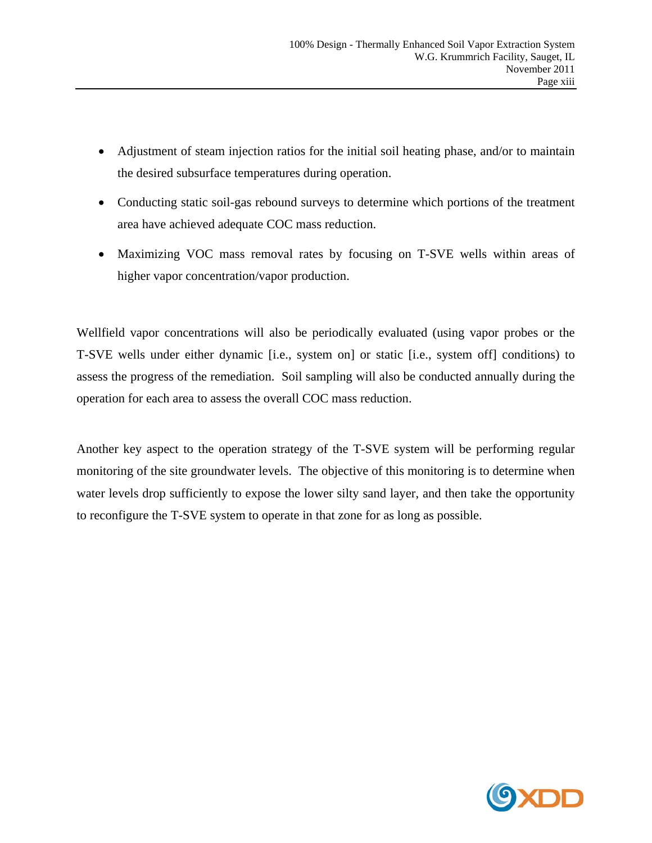- Adjustment of steam injection ratios for the initial soil heating phase, and/or to maintain the desired subsurface temperatures during operation.
- Conducting static soil-gas rebound surveys to determine which portions of the treatment area have achieved adequate COC mass reduction.
- Maximizing VOC mass removal rates by focusing on T-SVE wells within areas of higher vapor concentration/vapor production.

Wellfield vapor concentrations will also be periodically evaluated (using vapor probes or the T-SVE wells under either dynamic [i.e., system on] or static [i.e., system off] conditions) to assess the progress of the remediation. Soil sampling will also be conducted annually during the operation for each area to assess the overall COC mass reduction.

Another key aspect to the operation strategy of the T-SVE system will be performing regular monitoring of the site groundwater levels. The objective of this monitoring is to determine when water levels drop sufficiently to expose the lower silty sand layer, and then take the opportunity to reconfigure the T-SVE system to operate in that zone for as long as possible.

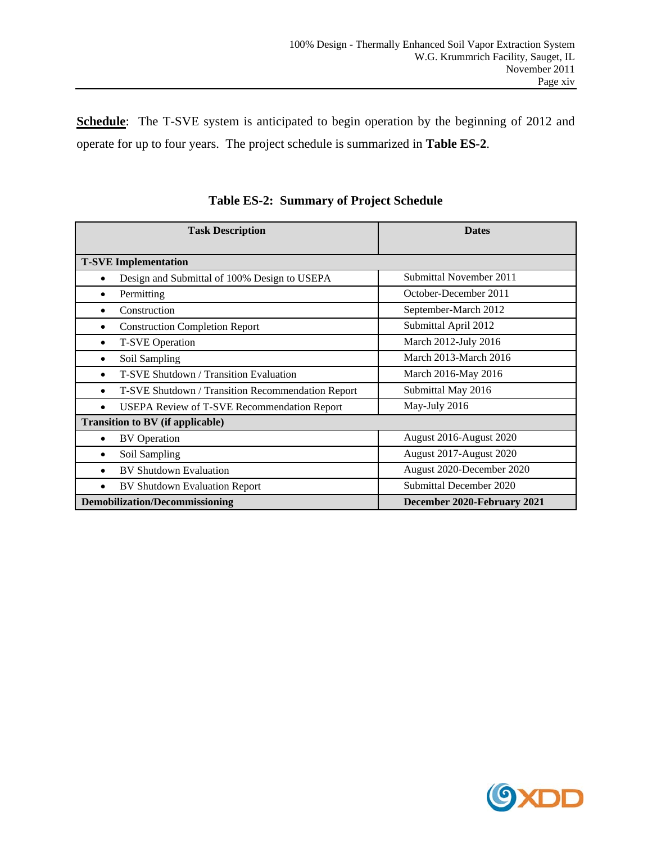Schedule: The T-SVE system is anticipated to begin operation by the beginning of 2012 and operate for up to four years. The project schedule is summarized in **Table ES-2**.

| <b>Task Description</b>                            | <b>Dates</b>                 |
|----------------------------------------------------|------------------------------|
| <b>T-SVE Implementation</b>                        |                              |
| Design and Submittal of 100% Design to USEPA       | Submittal November 2011      |
| Permitting                                         | October-December 2011        |
| Construction                                       | September-March 2012         |
| <b>Construction Completion Report</b>              | Submittal April 2012         |
| <b>T-SVE Operation</b>                             | March 2012-July 2016         |
| Soil Sampling                                      | <b>March 2013-March 2016</b> |
| T-SVE Shutdown / Transition Evaluation             | March 2016-May 2016          |
| T-SVE Shutdown / Transition Recommendation Report  | Submittal May 2016           |
| <b>USEPA Review of T-SVE Recommendation Report</b> | May-July 2016                |
| <b>Transition to BV (if applicable)</b>            |                              |
| <b>BV</b> Operation                                | August 2016-August 2020      |
| Soil Sampling                                      | August 2017-August 2020      |
| <b>BV Shutdown Evaluation</b><br>$\bullet$         | August 2020-December 2020    |
| <b>BV Shutdown Evaluation Report</b>               | Submittal December 2020      |
| <b>Demobilization/Decommissioning</b>              | December 2020-February 2021  |

**Table ES-2: Summary of Project Schedule** 

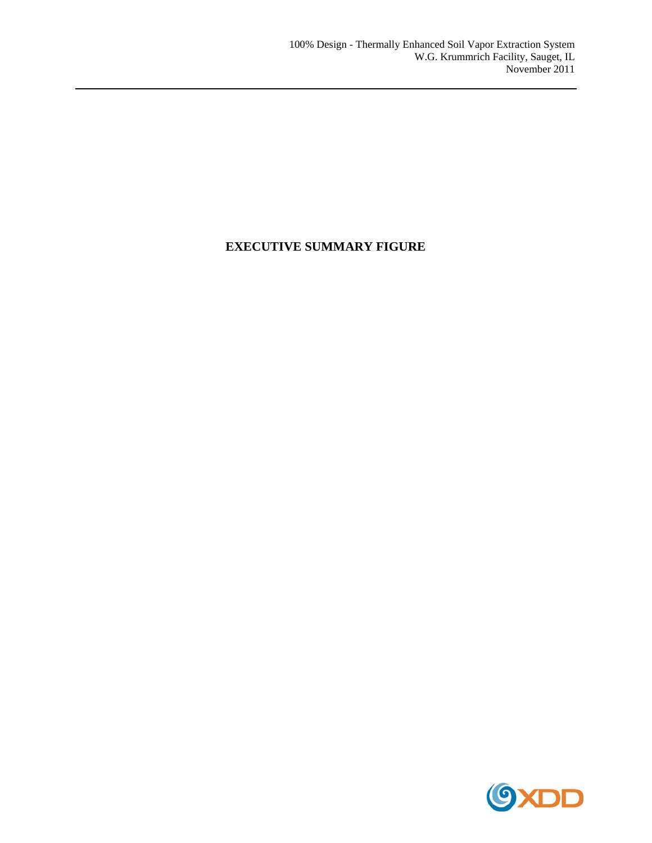# **EXECUTIVE SUMMARY FIGURE**

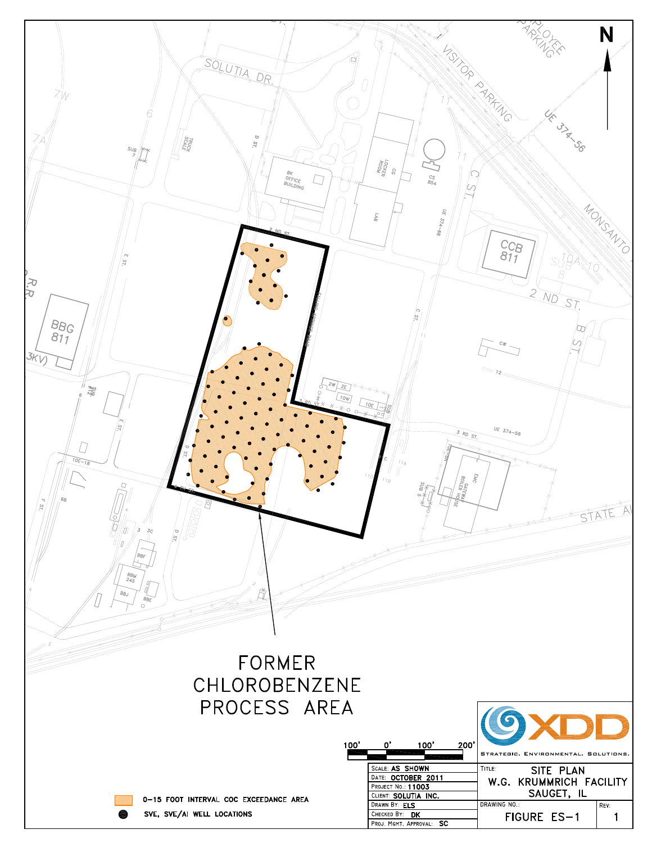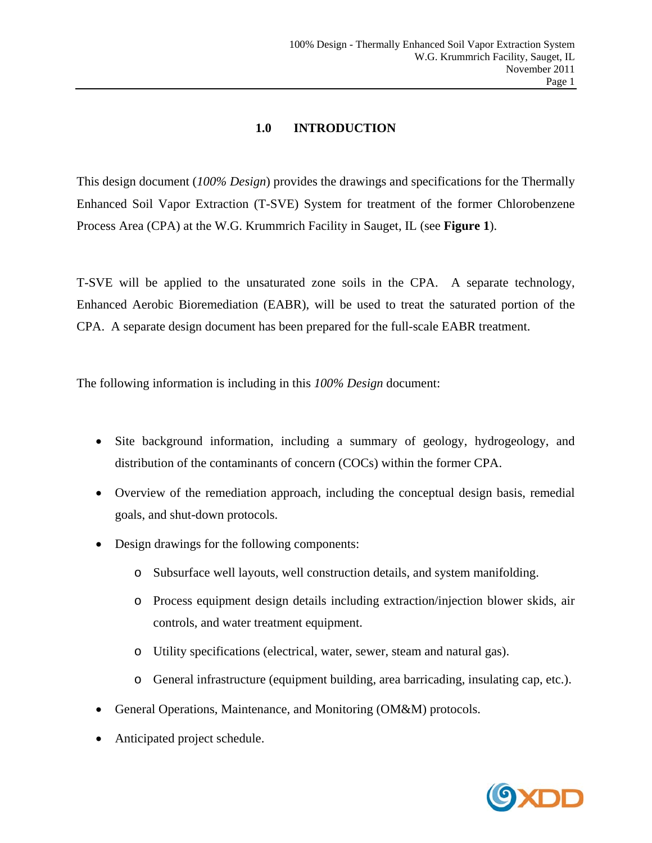# **1.0 INTRODUCTION**

This design document (*100% Design*) provides the drawings and specifications for the Thermally Enhanced Soil Vapor Extraction (T-SVE) System for treatment of the former Chlorobenzene Process Area (CPA) at the W.G. Krummrich Facility in Sauget, IL (see **Figure 1**).

T-SVE will be applied to the unsaturated zone soils in the CPA. A separate technology, Enhanced Aerobic Bioremediation (EABR), will be used to treat the saturated portion of the CPA. A separate design document has been prepared for the full-scale EABR treatment.

The following information is including in this *100% Design* document:

- Site background information, including a summary of geology, hydrogeology, and distribution of the contaminants of concern (COCs) within the former CPA.
- Overview of the remediation approach, including the conceptual design basis, remedial goals, and shut-down protocols.
- Design drawings for the following components:
	- o Subsurface well layouts, well construction details, and system manifolding.
	- o Process equipment design details including extraction/injection blower skids, air controls, and water treatment equipment.
	- o Utility specifications (electrical, water, sewer, steam and natural gas).
	- o General infrastructure (equipment building, area barricading, insulating cap, etc.).
- General Operations, Maintenance, and Monitoring (OM&M) protocols.
- Anticipated project schedule.

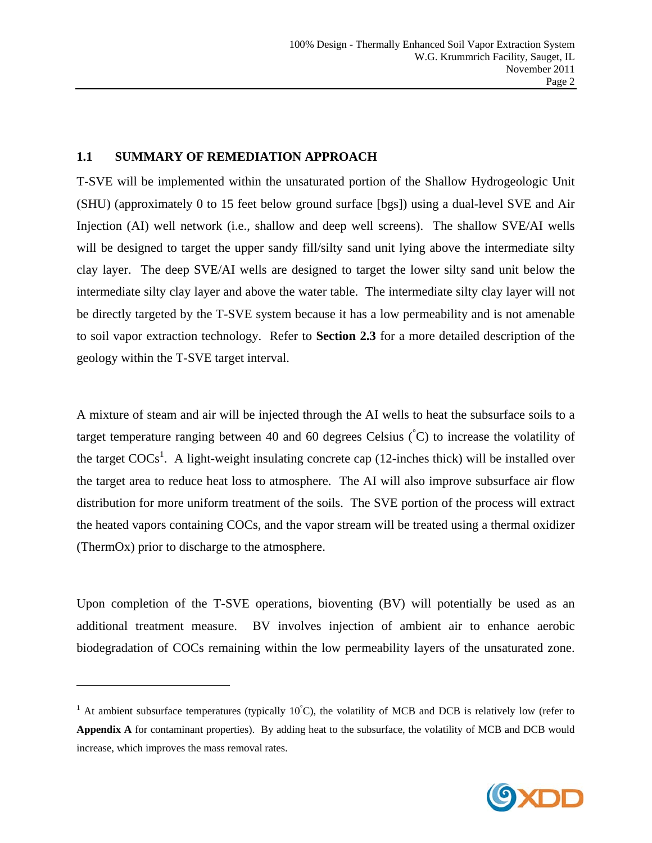#### **1.1 SUMMARY OF REMEDIATION APPROACH**

1

T-SVE will be implemented within the unsaturated portion of the Shallow Hydrogeologic Unit (SHU) (approximately 0 to 15 feet below ground surface [bgs]) using a dual-level SVE and Air Injection (AI) well network (i.e., shallow and deep well screens). The shallow SVE/AI wells will be designed to target the upper sandy fill/silty sand unit lying above the intermediate silty clay layer. The deep SVE/AI wells are designed to target the lower silty sand unit below the intermediate silty clay layer and above the water table. The intermediate silty clay layer will not be directly targeted by the T-SVE system because it has a low permeability and is not amenable to soil vapor extraction technology. Refer to **Section 2.3** for a more detailed description of the geology within the T-SVE target interval.

A mixture of steam and air will be injected through the AI wells to heat the subsurface soils to a target temperature ranging between 40 and 60 degrees Celsius  $\zeta$  to increase the volatility of the target  $\text{COCs}^1$ . A light-weight insulating concrete cap (12-inches thick) will be installed over the target area to reduce heat loss to atmosphere. The AI will also improve subsurface air flow distribution for more uniform treatment of the soils. The SVE portion of the process will extract the heated vapors containing COCs, and the vapor stream will be treated using a thermal oxidizer (ThermOx) prior to discharge to the atmosphere.

Upon completion of the T-SVE operations, bioventing (BV) will potentially be used as an additional treatment measure. BV involves injection of ambient air to enhance aerobic biodegradation of COCs remaining within the low permeability layers of the unsaturated zone.

<sup>&</sup>lt;sup>1</sup> At ambient subsurface temperatures (typically  $10^{\circ}$ C), the volatility of MCB and DCB is relatively low (refer to **Appendix A** for contaminant properties). By adding heat to the subsurface, the volatility of MCB and DCB would increase, which improves the mass removal rates.

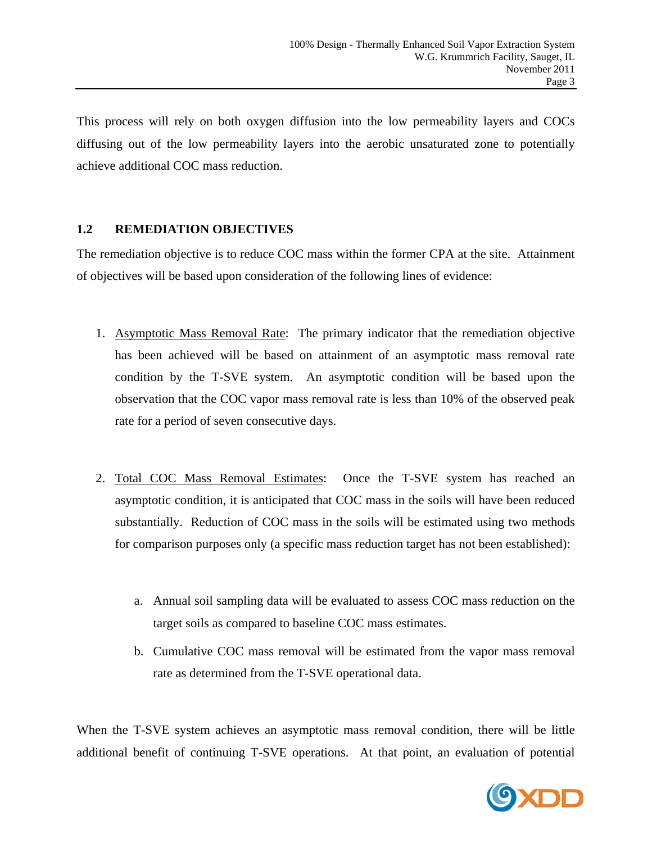This process will rely on both oxygen diffusion into the low permeability layers and COCs diffusing out of the low permeability layers into the aerobic unsaturated zone to potentially achieve additional COC mass reduction.

## **1.2 REMEDIATION OBJECTIVES**

The remediation objective is to reduce COC mass within the former CPA at the site. Attainment of objectives will be based upon consideration of the following lines of evidence:

- 1. Asymptotic Mass Removal Rate: The primary indicator that the remediation objective has been achieved will be based on attainment of an asymptotic mass removal rate condition by the T-SVE system. An asymptotic condition will be based upon the observation that the COC vapor mass removal rate is less than 10% of the observed peak rate for a period of seven consecutive days.
- 2. Total COC Mass Removal Estimates: Once the T-SVE system has reached an asymptotic condition, it is anticipated that COC mass in the soils will have been reduced substantially. Reduction of COC mass in the soils will be estimated using two methods for comparison purposes only (a specific mass reduction target has not been established):
	- a. Annual soil sampling data will be evaluated to assess COC mass reduction on the target soils as compared to baseline COC mass estimates.
	- b. Cumulative COC mass removal will be estimated from the vapor mass removal rate as determined from the T-SVE operational data.

When the T-SVE system achieves an asymptotic mass removal condition, there will be little additional benefit of continuing T-SVE operations. At that point, an evaluation of potential

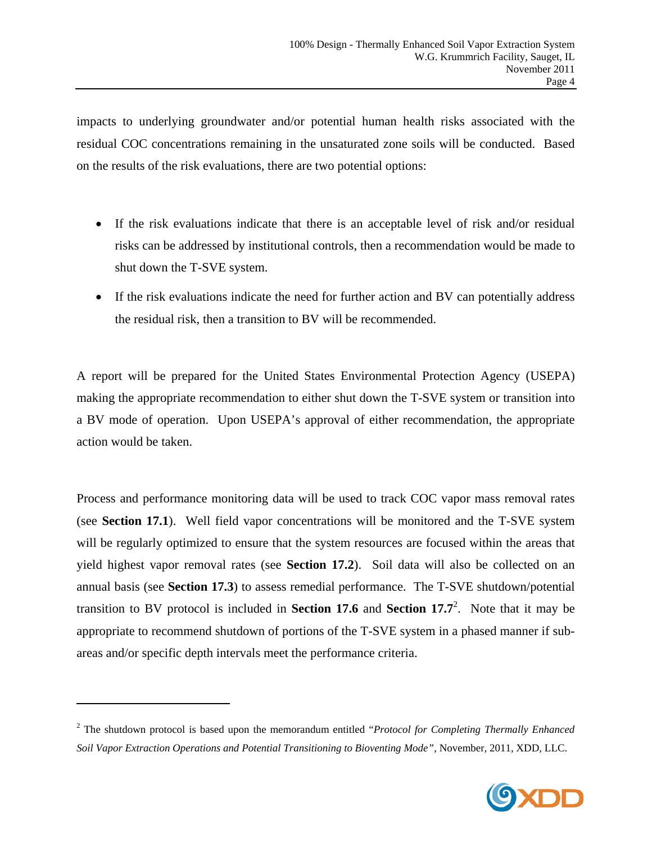impacts to underlying groundwater and/or potential human health risks associated with the residual COC concentrations remaining in the unsaturated zone soils will be conducted. Based on the results of the risk evaluations, there are two potential options:

- If the risk evaluations indicate that there is an acceptable level of risk and/or residual risks can be addressed by institutional controls, then a recommendation would be made to shut down the T-SVE system.
- If the risk evaluations indicate the need for further action and BV can potentially address the residual risk, then a transition to BV will be recommended.

A report will be prepared for the United States Environmental Protection Agency (USEPA) making the appropriate recommendation to either shut down the T-SVE system or transition into a BV mode of operation. Upon USEPA's approval of either recommendation, the appropriate action would be taken.

Process and performance monitoring data will be used to track COC vapor mass removal rates (see **Section 17.1**). Well field vapor concentrations will be monitored and the T-SVE system will be regularly optimized to ensure that the system resources are focused within the areas that yield highest vapor removal rates (see **Section 17.2**). Soil data will also be collected on an annual basis (see **Section 17.3**) to assess remedial performance. The T-SVE shutdown/potential transition to BV protocol is included in **Section 17.6** and **Section 17.7**<sup>2</sup>. Note that it may be appropriate to recommend shutdown of portions of the T-SVE system in a phased manner if subareas and/or specific depth intervals meet the performance criteria.

1



<sup>2</sup> The shutdown protocol is based upon the memorandum entitled "*Protocol for Completing Thermally Enhanced Soil Vapor Extraction Operations and Potential Transitioning to Bioventing Mode"*, November, 2011, XDD, LLC.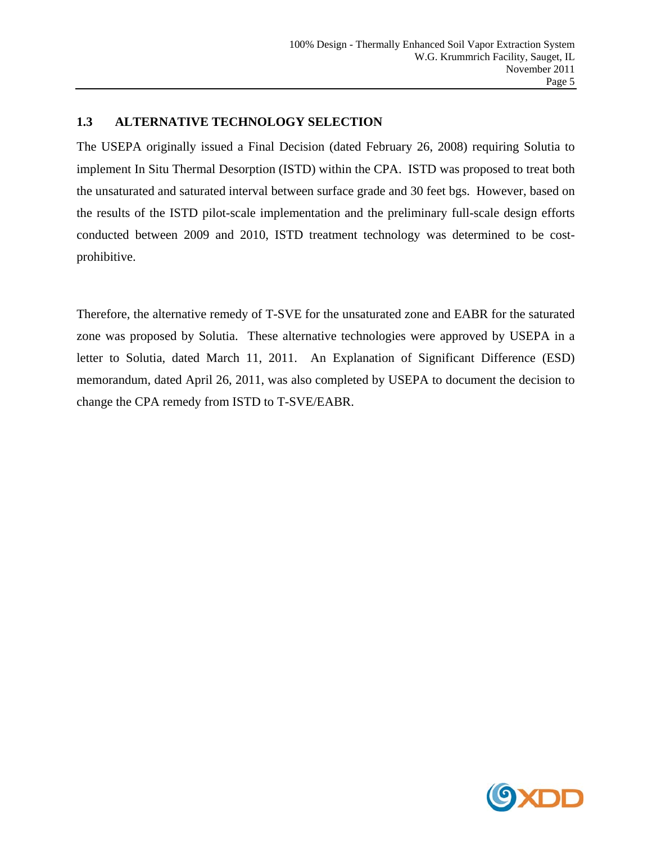# **1.3 ALTERNATIVE TECHNOLOGY SELECTION**

The USEPA originally issued a Final Decision (dated February 26, 2008) requiring Solutia to implement In Situ Thermal Desorption (ISTD) within the CPA. ISTD was proposed to treat both the unsaturated and saturated interval between surface grade and 30 feet bgs. However, based on the results of the ISTD pilot-scale implementation and the preliminary full-scale design efforts conducted between 2009 and 2010, ISTD treatment technology was determined to be costprohibitive.

Therefore, the alternative remedy of T-SVE for the unsaturated zone and EABR for the saturated zone was proposed by Solutia. These alternative technologies were approved by USEPA in a letter to Solutia, dated March 11, 2011. An Explanation of Significant Difference (ESD) memorandum, dated April 26, 2011, was also completed by USEPA to document the decision to change the CPA remedy from ISTD to T-SVE/EABR.

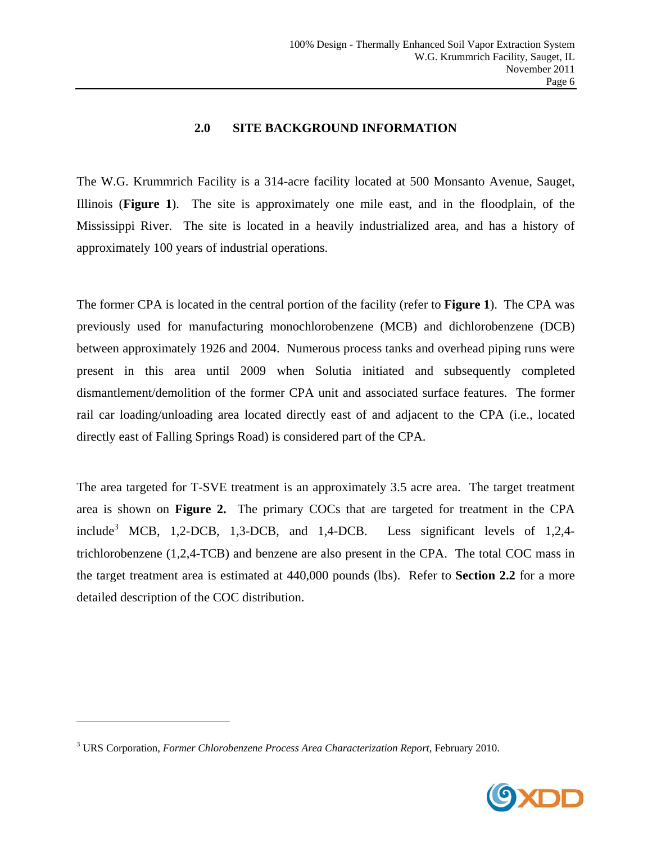#### **2.0 SITE BACKGROUND INFORMATION**

The W.G. Krummrich Facility is a 314-acre facility located at 500 Monsanto Avenue, Sauget, Illinois (**Figure 1**). The site is approximately one mile east, and in the floodplain, of the Mississippi River. The site is located in a heavily industrialized area, and has a history of approximately 100 years of industrial operations.

The former CPA is located in the central portion of the facility (refer to **Figure 1**). The CPA was previously used for manufacturing monochlorobenzene (MCB) and dichlorobenzene (DCB) between approximately 1926 and 2004. Numerous process tanks and overhead piping runs were present in this area until 2009 when Solutia initiated and subsequently completed dismantlement/demolition of the former CPA unit and associated surface features. The former rail car loading/unloading area located directly east of and adjacent to the CPA (i.e., located directly east of Falling Springs Road) is considered part of the CPA.

The area targeted for T-SVE treatment is an approximately 3.5 acre area. The target treatment area is shown on **Figure 2.** The primary COCs that are targeted for treatment in the CPA include<sup>3</sup> MCB, 1,2-DCB, 1,3-DCB, and 1,4-DCB. Less significant levels of 1,2,4trichlorobenzene (1,2,4-TCB) and benzene are also present in the CPA. The total COC mass in the target treatment area is estimated at 440,000 pounds (lbs). Refer to **Section 2.2** for a more detailed description of the COC distribution.

 $\overline{\phantom{a}}$ 



<sup>3</sup> URS Corporation, *Former Chlorobenzene Process Area Characterization Report*, February 2010.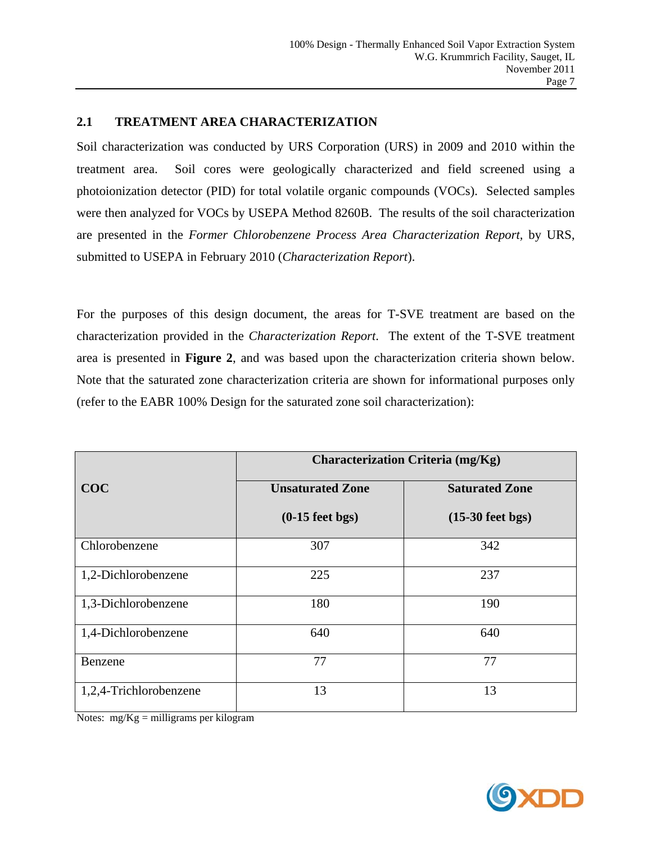#### **2.1 TREATMENT AREA CHARACTERIZATION**

Soil characterization was conducted by URS Corporation (URS) in 2009 and 2010 within the treatment area. Soil cores were geologically characterized and field screened using a photoionization detector (PID) for total volatile organic compounds (VOCs). Selected samples were then analyzed for VOCs by USEPA Method 8260B. The results of the soil characterization are presented in the *Former Chlorobenzene Process Area Characterization Report,* by URS, submitted to USEPA in February 2010 (*Characterization Report*).

For the purposes of this design document, the areas for T-SVE treatment are based on the characterization provided in the *Characterization Report*. The extent of the T-SVE treatment area is presented in **Figure 2**, and was based upon the characterization criteria shown below. Note that the saturated zone characterization criteria are shown for informational purposes only (refer to the EABR 100% Design for the saturated zone soil characterization):

|                        | Characterization Criteria (mg/Kg) |                       |  |  |
|------------------------|-----------------------------------|-----------------------|--|--|
| COC                    | <b>Unsaturated Zone</b>           | <b>Saturated Zone</b> |  |  |
|                        | $(0-15$ feet bgs)                 | $(15-30$ feet bgs)    |  |  |
| Chlorobenzene          | 307                               | 342                   |  |  |
| 1,2-Dichlorobenzene    | 225                               | 237                   |  |  |
| 1,3-Dichlorobenzene    | 180                               | 190                   |  |  |
| 1,4-Dichlorobenzene    | 640                               | 640                   |  |  |
| Benzene                | 77                                | 77                    |  |  |
| 1,2,4-Trichlorobenzene | 13                                | 13                    |  |  |

Notes: mg/Kg = milligrams per kilogram

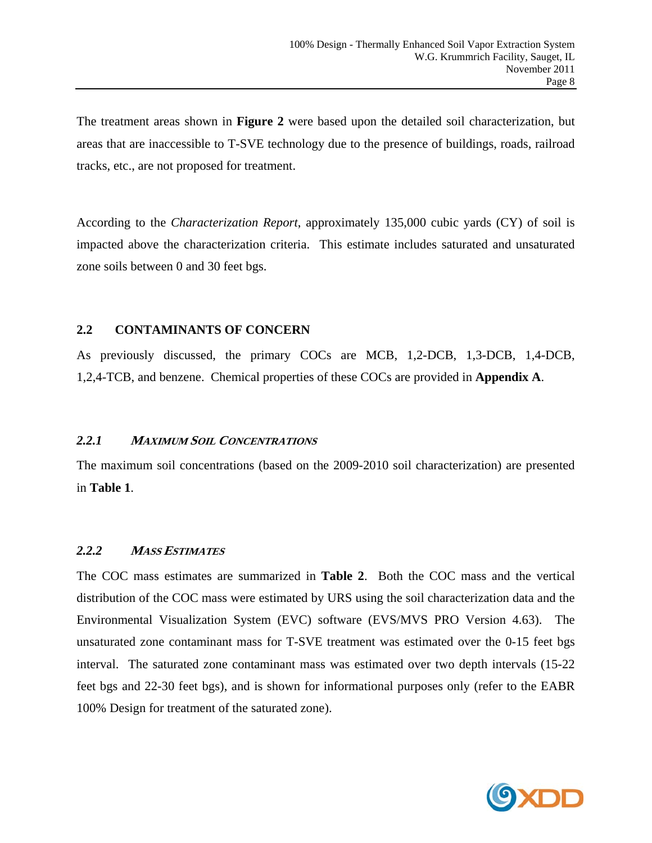The treatment areas shown in **Figure 2** were based upon the detailed soil characterization, but areas that are inaccessible to T-SVE technology due to the presence of buildings, roads, railroad tracks, etc., are not proposed for treatment.

According to the *Characterization Report*, approximately 135,000 cubic yards (CY) of soil is impacted above the characterization criteria. This estimate includes saturated and unsaturated zone soils between 0 and 30 feet bgs.

## **2.2 CONTAMINANTS OF CONCERN**

As previously discussed, the primary COCs are MCB, 1,2-DCB, 1,3-DCB, 1,4-DCB, 1,2,4-TCB, and benzene. Chemical properties of these COCs are provided in **Appendix A**.

#### *2.2.1* **<sup>M</sup>AXIMUM SOIL CONCENTRATIONS**

The maximum soil concentrations (based on the 2009-2010 soil characterization) are presented in **Table 1**.

#### *2.2.2* **<sup>M</sup>ASS ESTIMATES**

The COC mass estimates are summarized in **Table 2**. Both the COC mass and the vertical distribution of the COC mass were estimated by URS using the soil characterization data and the Environmental Visualization System (EVC) software (EVS/MVS PRO Version 4.63). The unsaturated zone contaminant mass for T-SVE treatment was estimated over the 0-15 feet bgs interval. The saturated zone contaminant mass was estimated over two depth intervals (15-22 feet bgs and 22-30 feet bgs), and is shown for informational purposes only (refer to the EABR 100% Design for treatment of the saturated zone).

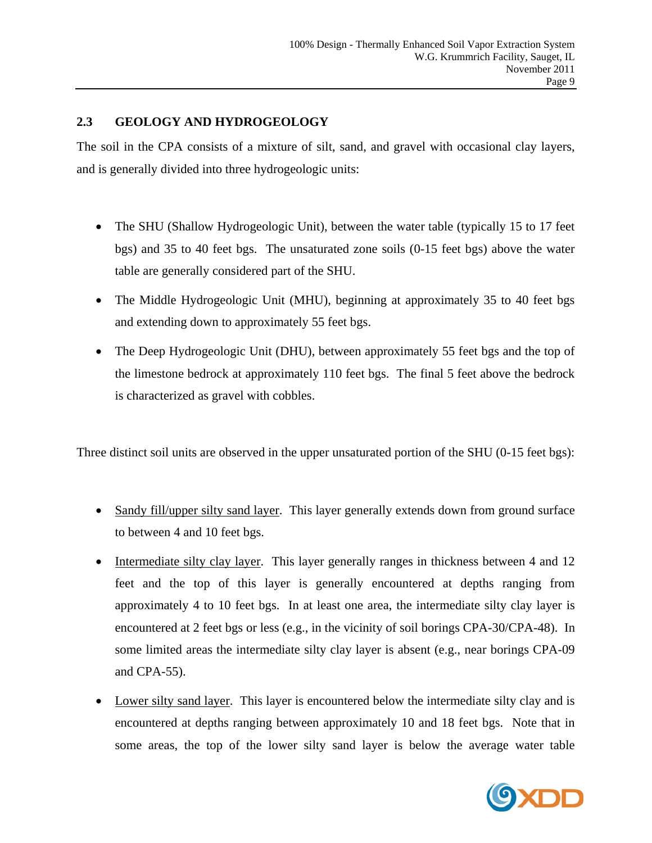## **2.3 GEOLOGY AND HYDROGEOLOGY**

The soil in the CPA consists of a mixture of silt, sand, and gravel with occasional clay layers, and is generally divided into three hydrogeologic units:

- The SHU (Shallow Hydrogeologic Unit), between the water table (typically 15 to 17 feet bgs) and 35 to 40 feet bgs. The unsaturated zone soils (0-15 feet bgs) above the water table are generally considered part of the SHU.
- The Middle Hydrogeologic Unit (MHU), beginning at approximately 35 to 40 feet bgs and extending down to approximately 55 feet bgs.
- The Deep Hydrogeologic Unit (DHU), between approximately 55 feet bgs and the top of the limestone bedrock at approximately 110 feet bgs. The final 5 feet above the bedrock is characterized as gravel with cobbles.

Three distinct soil units are observed in the upper unsaturated portion of the SHU (0-15 feet bgs):

- Sandy fill/upper silty sand layer. This layer generally extends down from ground surface to between 4 and 10 feet bgs.
- Intermediate silty clay layer. This layer generally ranges in thickness between 4 and 12 feet and the top of this layer is generally encountered at depths ranging from approximately 4 to 10 feet bgs. In at least one area, the intermediate silty clay layer is encountered at 2 feet bgs or less (e.g., in the vicinity of soil borings CPA-30/CPA-48). In some limited areas the intermediate silty clay layer is absent (e.g., near borings CPA-09 and CPA-55).
- Lower silty sand layer. This layer is encountered below the intermediate silty clay and is encountered at depths ranging between approximately 10 and 18 feet bgs. Note that in some areas, the top of the lower silty sand layer is below the average water table

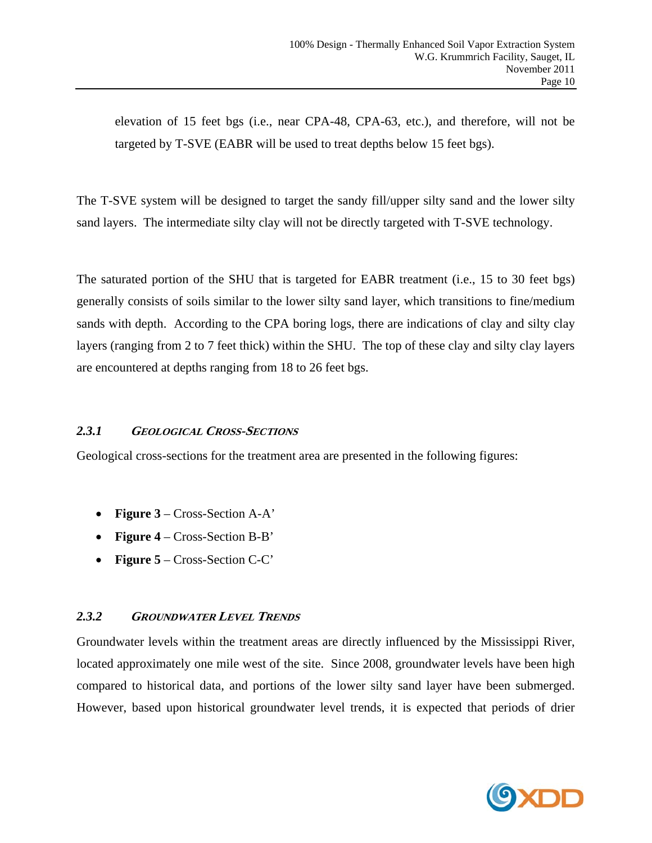elevation of 15 feet bgs (i.e., near CPA-48, CPA-63, etc.), and therefore, will not be targeted by T-SVE (EABR will be used to treat depths below 15 feet bgs).

The T-SVE system will be designed to target the sandy fill/upper silty sand and the lower silty sand layers. The intermediate silty clay will not be directly targeted with T-SVE technology.

The saturated portion of the SHU that is targeted for EABR treatment (i.e., 15 to 30 feet bgs) generally consists of soils similar to the lower silty sand layer, which transitions to fine/medium sands with depth. According to the CPA boring logs, there are indications of clay and silty clay layers (ranging from 2 to 7 feet thick) within the SHU. The top of these clay and silty clay layers are encountered at depths ranging from 18 to 26 feet bgs.

## *2.3.1* **GEOLOGICAL CROSS-SECTIONS**

Geological cross-sections for the treatment area are presented in the following figures:

- **Figure 3** Cross-Section A-A'
- **Figure 4** Cross-Section B-B'
- **Figure 5** Cross-Section C-C'

## *2.3.2* **GROUNDWATER LEVEL TRENDS**

Groundwater levels within the treatment areas are directly influenced by the Mississippi River, located approximately one mile west of the site. Since 2008, groundwater levels have been high compared to historical data, and portions of the lower silty sand layer have been submerged. However, based upon historical groundwater level trends, it is expected that periods of drier

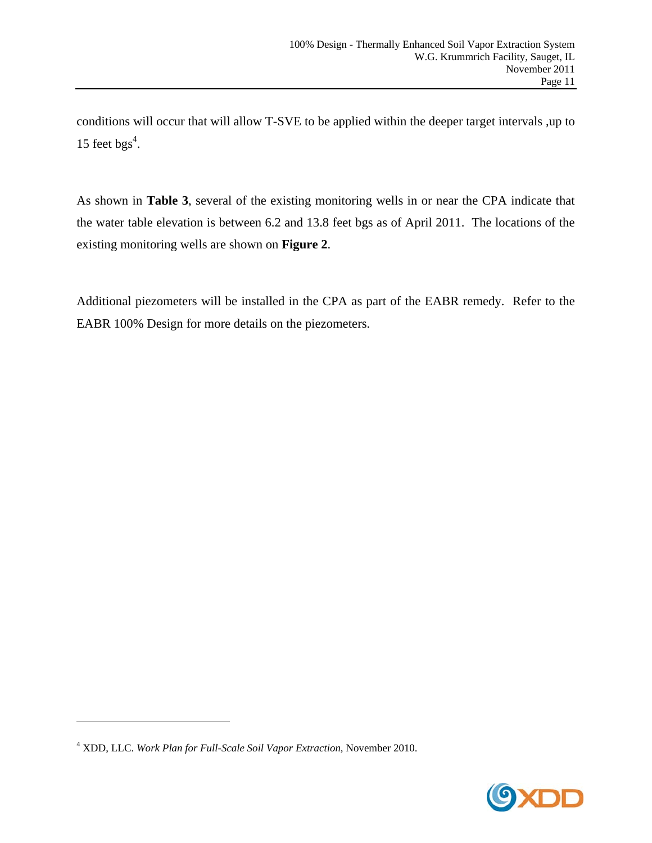conditions will occur that will allow T-SVE to be applied within the deeper target intervals ,up to 15 feet  $bgs<sup>4</sup>$ .

As shown in **Table 3**, several of the existing monitoring wells in or near the CPA indicate that the water table elevation is between 6.2 and 13.8 feet bgs as of April 2011. The locations of the existing monitoring wells are shown on **Figure 2**.

Additional piezometers will be installed in the CPA as part of the EABR remedy. Refer to the EABR 100% Design for more details on the piezometers.

1



<sup>4</sup> XDD, LLC. *Work Plan for Full-Scale Soil Vapor Extraction,* November 2010.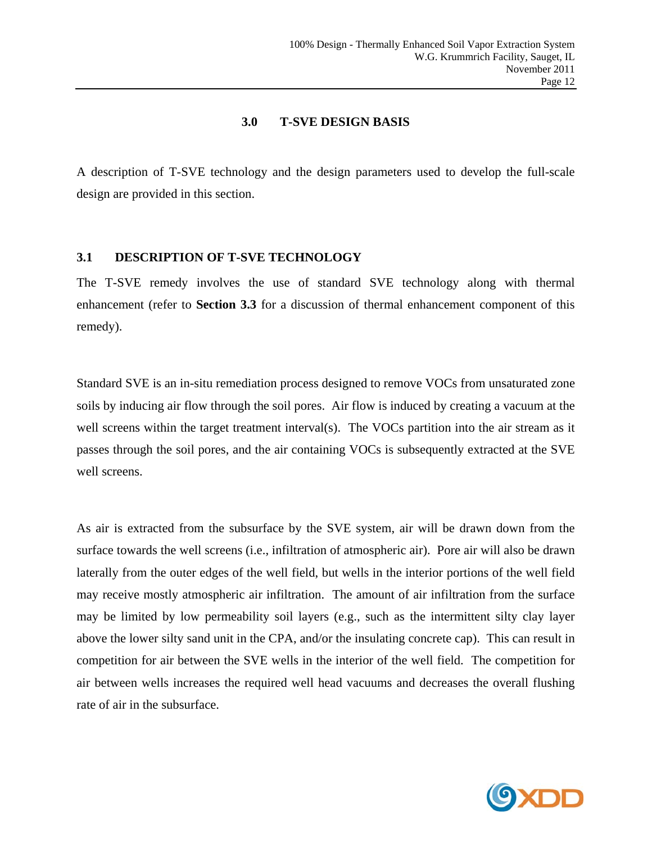#### **3.0 T-SVE DESIGN BASIS**

A description of T-SVE technology and the design parameters used to develop the full-scale design are provided in this section.

#### **3.1 DESCRIPTION OF T-SVE TECHNOLOGY**

The T-SVE remedy involves the use of standard SVE technology along with thermal enhancement (refer to **Section 3.3** for a discussion of thermal enhancement component of this remedy).

Standard SVE is an in-situ remediation process designed to remove VOCs from unsaturated zone soils by inducing air flow through the soil pores. Air flow is induced by creating a vacuum at the well screens within the target treatment interval(s). The VOCs partition into the air stream as it passes through the soil pores, and the air containing VOCs is subsequently extracted at the SVE well screens.

As air is extracted from the subsurface by the SVE system, air will be drawn down from the surface towards the well screens (i.e., infiltration of atmospheric air). Pore air will also be drawn laterally from the outer edges of the well field, but wells in the interior portions of the well field may receive mostly atmospheric air infiltration. The amount of air infiltration from the surface may be limited by low permeability soil layers (e.g., such as the intermittent silty clay layer above the lower silty sand unit in the CPA, and/or the insulating concrete cap). This can result in competition for air between the SVE wells in the interior of the well field. The competition for air between wells increases the required well head vacuums and decreases the overall flushing rate of air in the subsurface.

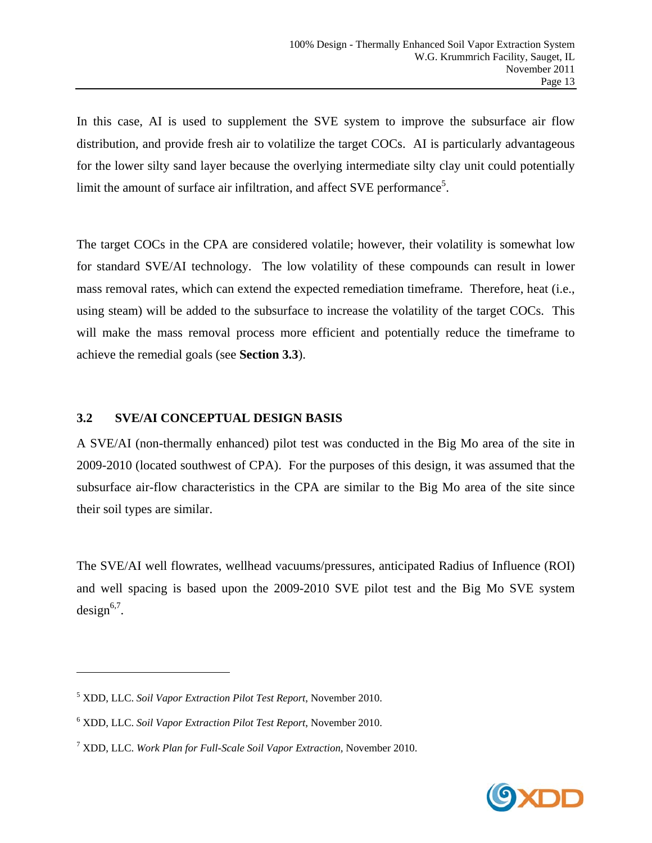In this case, AI is used to supplement the SVE system to improve the subsurface air flow distribution, and provide fresh air to volatilize the target COCs. AI is particularly advantageous for the lower silty sand layer because the overlying intermediate silty clay unit could potentially limit the amount of surface air infiltration, and affect SVE performance<sup>5</sup>.

The target COCs in the CPA are considered volatile; however, their volatility is somewhat low for standard SVE/AI technology. The low volatility of these compounds can result in lower mass removal rates, which can extend the expected remediation timeframe. Therefore, heat (i.e., using steam) will be added to the subsurface to increase the volatility of the target COCs. This will make the mass removal process more efficient and potentially reduce the timeframe to achieve the remedial goals (see **Section 3.3**).

#### **3.2 SVE/AI CONCEPTUAL DESIGN BASIS**

A SVE/AI (non-thermally enhanced) pilot test was conducted in the Big Mo area of the site in 2009-2010 (located southwest of CPA). For the purposes of this design, it was assumed that the subsurface air-flow characteristics in the CPA are similar to the Big Mo area of the site since their soil types are similar.

The SVE/AI well flowrates, wellhead vacuums/pressures, anticipated Radius of Influence (ROI) and well spacing is based upon the 2009-2010 SVE pilot test and the Big Mo SVE system  $design<sup>6,7</sup>$ .

 $\overline{\phantom{a}}$ 



<sup>5</sup> XDD, LLC. *Soil Vapor Extraction Pilot Test Report*, November 2010.

<sup>6</sup> XDD, LLC. *Soil Vapor Extraction Pilot Test Report*, November 2010.

<sup>7</sup> XDD, LLC. *Work Plan for Full-Scale Soil Vapor Extraction,* November 2010.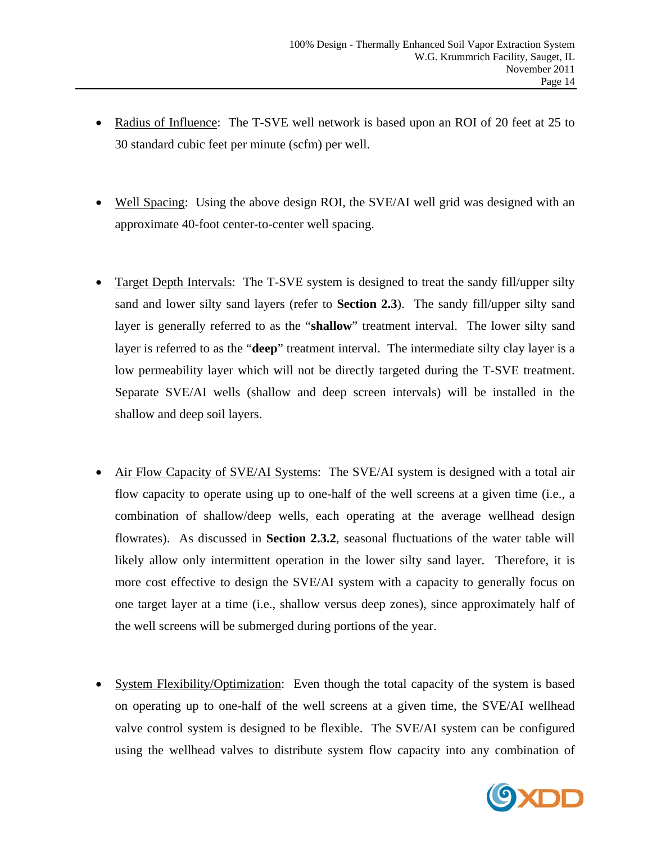- Radius of Influence: The T-SVE well network is based upon an ROI of 20 feet at 25 to 30 standard cubic feet per minute (scfm) per well.
- Well Spacing: Using the above design ROI, the SVE/AI well grid was designed with an approximate 40-foot center-to-center well spacing.
- Target Depth Intervals: The T-SVE system is designed to treat the sandy fill/upper silty sand and lower silty sand layers (refer to **Section 2.3**). The sandy fill/upper silty sand layer is generally referred to as the "**shallow**" treatment interval. The lower silty sand layer is referred to as the "**deep**" treatment interval. The intermediate silty clay layer is a low permeability layer which will not be directly targeted during the T-SVE treatment. Separate SVE/AI wells (shallow and deep screen intervals) will be installed in the shallow and deep soil layers.
- Air Flow Capacity of SVE/AI Systems: The SVE/AI system is designed with a total air flow capacity to operate using up to one-half of the well screens at a given time (i.e., a combination of shallow/deep wells, each operating at the average wellhead design flowrates). As discussed in **Section 2.3.2**, seasonal fluctuations of the water table will likely allow only intermittent operation in the lower silty sand layer. Therefore, it is more cost effective to design the SVE/AI system with a capacity to generally focus on one target layer at a time (i.e., shallow versus deep zones), since approximately half of the well screens will be submerged during portions of the year.
- System Flexibility/Optimization: Even though the total capacity of the system is based on operating up to one-half of the well screens at a given time, the SVE/AI wellhead valve control system is designed to be flexible. The SVE/AI system can be configured using the wellhead valves to distribute system flow capacity into any combination of

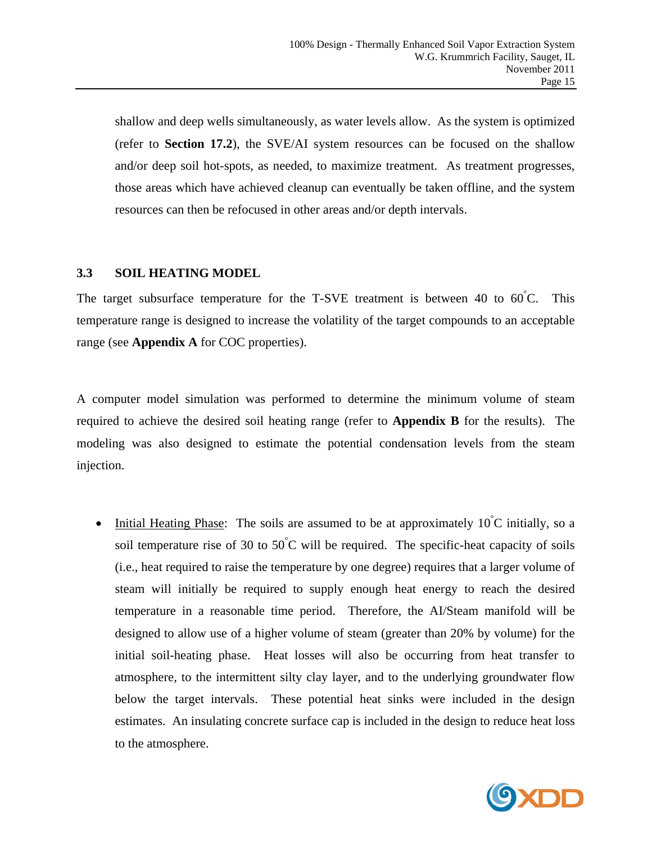shallow and deep wells simultaneously, as water levels allow. As the system is optimized (refer to **Section 17.2**), the SVE/AI system resources can be focused on the shallow and/or deep soil hot-spots, as needed, to maximize treatment. As treatment progresses, those areas which have achieved cleanup can eventually be taken offline, and the system resources can then be refocused in other areas and/or depth intervals.

## **3.3 SOIL HEATING MODEL**

The target subsurface temperature for the T-SVE treatment is between 40 to  $60^{\circ}$ C. This temperature range is designed to increase the volatility of the target compounds to an acceptable range (see **Appendix A** for COC properties).

A computer model simulation was performed to determine the minimum volume of steam required to achieve the desired soil heating range (refer to **Appendix B** for the results). The modeling was also designed to estimate the potential condensation levels from the steam injection.

• Initial Heating Phase: The soils are assumed to be at approximately  $10^{\circ}$ C initially, so a soil temperature rise of 30 to 50 $\degree$ C will be required. The specific-heat capacity of soils (i.e., heat required to raise the temperature by one degree) requires that a larger volume of steam will initially be required to supply enough heat energy to reach the desired temperature in a reasonable time period. Therefore, the AI/Steam manifold will be designed to allow use of a higher volume of steam (greater than 20% by volume) for the initial soil-heating phase. Heat losses will also be occurring from heat transfer to atmosphere, to the intermittent silty clay layer, and to the underlying groundwater flow below the target intervals. These potential heat sinks were included in the design estimates. An insulating concrete surface cap is included in the design to reduce heat loss to the atmosphere.

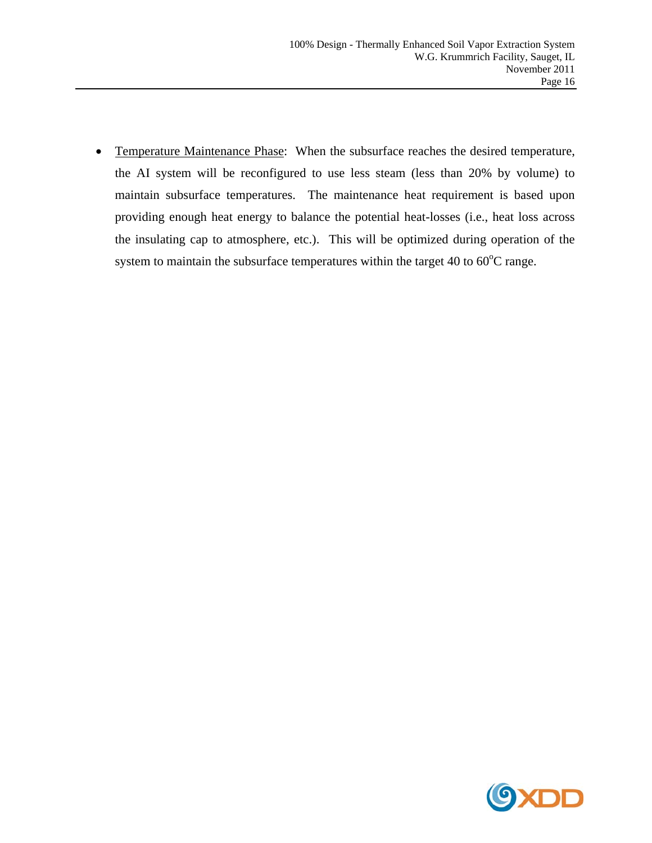• Temperature Maintenance Phase: When the subsurface reaches the desired temperature, the AI system will be reconfigured to use less steam (less than 20% by volume) to maintain subsurface temperatures. The maintenance heat requirement is based upon providing enough heat energy to balance the potential heat-losses (i.e., heat loss across the insulating cap to atmosphere, etc.). This will be optimized during operation of the system to maintain the subsurface temperatures within the target 40 to  $60^{\circ}$ C range.

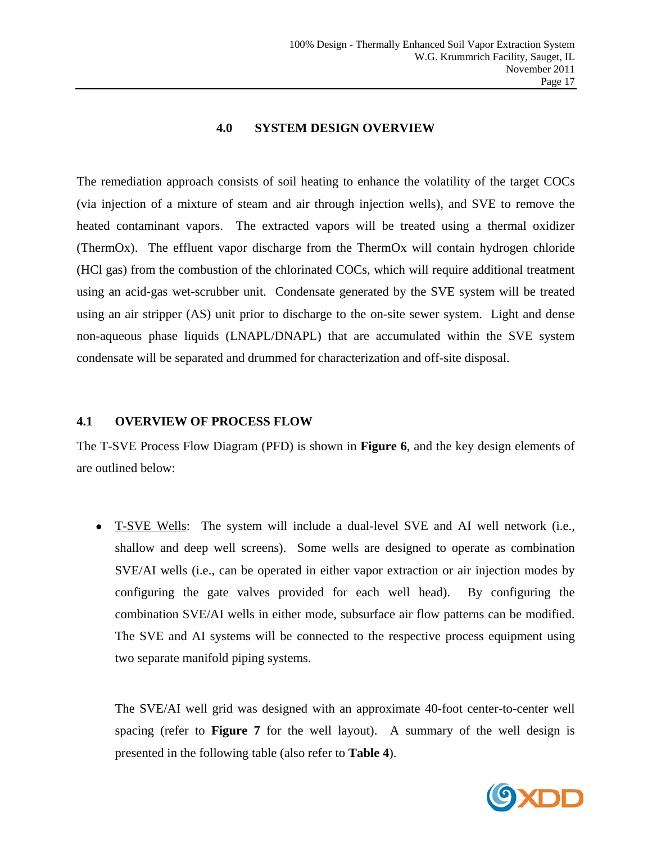#### **4.0 SYSTEM DESIGN OVERVIEW**

The remediation approach consists of soil heating to enhance the volatility of the target COCs (via injection of a mixture of steam and air through injection wells), and SVE to remove the heated contaminant vapors. The extracted vapors will be treated using a thermal oxidizer (ThermOx). The effluent vapor discharge from the ThermOx will contain hydrogen chloride (HCl gas) from the combustion of the chlorinated COCs, which will require additional treatment using an acid-gas wet-scrubber unit. Condensate generated by the SVE system will be treated using an air stripper (AS) unit prior to discharge to the on-site sewer system. Light and dense non-aqueous phase liquids (LNAPL/DNAPL) that are accumulated within the SVE system condensate will be separated and drummed for characterization and off-site disposal.

#### **4.1 OVERVIEW OF PROCESS FLOW**

The T-SVE Process Flow Diagram (PFD) is shown in **Figure 6**, and the key design elements of are outlined below:

 T-SVE Wells: The system will include a dual-level SVE and AI well network (i.e., shallow and deep well screens). Some wells are designed to operate as combination SVE/AI wells (i.e., can be operated in either vapor extraction or air injection modes by configuring the gate valves provided for each well head). By configuring the combination SVE/AI wells in either mode, subsurface air flow patterns can be modified. The SVE and AI systems will be connected to the respective process equipment using two separate manifold piping systems.

The SVE/AI well grid was designed with an approximate 40-foot center-to-center well spacing (refer to **Figure 7** for the well layout). A summary of the well design is presented in the following table (also refer to **Table 4**).

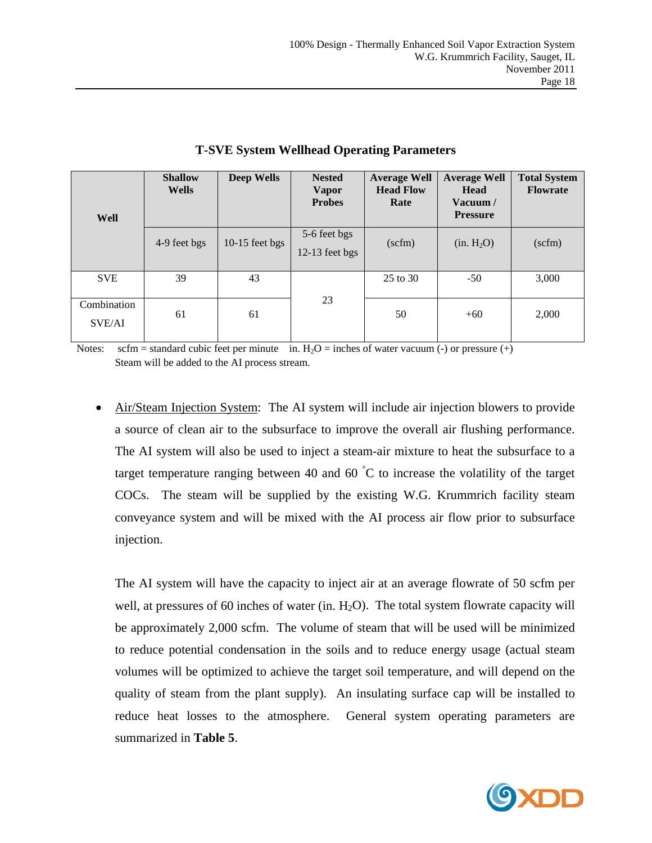| Well                  | <b>Shallow</b><br><b>Wells</b> | <b>Deep Wells</b> | <b>Nested</b><br><b>Vapor</b><br><b>Probes</b> | <b>Average Well</b><br><b>Head Flow</b><br>Rate | <b>Average Well</b><br><b>Head</b><br>Vacuum $/$<br><b>Pressure</b> | <b>Total System</b><br><b>Flowrate</b> |
|-----------------------|--------------------------------|-------------------|------------------------------------------------|-------------------------------------------------|---------------------------------------------------------------------|----------------------------------------|
|                       | 4-9 feet bgs                   | 10-15 feet bgs    | 5-6 feet bgs<br>12-13 feet bgs                 | $(\text{scfm})$                                 | (in. H <sub>2</sub> O)                                              | $(\text{scfm})$                        |
| <b>SVE</b>            | 39                             | 43                |                                                | 25 to 30                                        | $-50$                                                               | 3,000                                  |
| Combination<br>SVE/AI | 61                             | 61                | 23                                             | 50                                              | $+60$                                                               | 2,000                                  |

#### **T-SVE System Wellhead Operating Parameters**

Notes: scfm = standard cubic feet per minute in.  $H_2O$  = inches of water vacuum (-) or pressure (+) Steam will be added to the AI process stream.

 Air/Steam Injection System: The AI system will include air injection blowers to provide a source of clean air to the subsurface to improve the overall air flushing performance. The AI system will also be used to inject a steam-air mixture to heat the subsurface to a target temperature ranging between 40 and 60  $\degree$ C to increase the volatility of the target COCs. The steam will be supplied by the existing W.G. Krummrich facility steam conveyance system and will be mixed with the AI process air flow prior to subsurface injection.

The AI system will have the capacity to inject air at an average flowrate of 50 scfm per well, at pressures of 60 inches of water (in.  $H_2O$ ). The total system flowrate capacity will be approximately 2,000 scfm. The volume of steam that will be used will be minimized to reduce potential condensation in the soils and to reduce energy usage (actual steam volumes will be optimized to achieve the target soil temperature, and will depend on the quality of steam from the plant supply). An insulating surface cap will be installed to reduce heat losses to the atmosphere. General system operating parameters are summarized in **Table 5**.

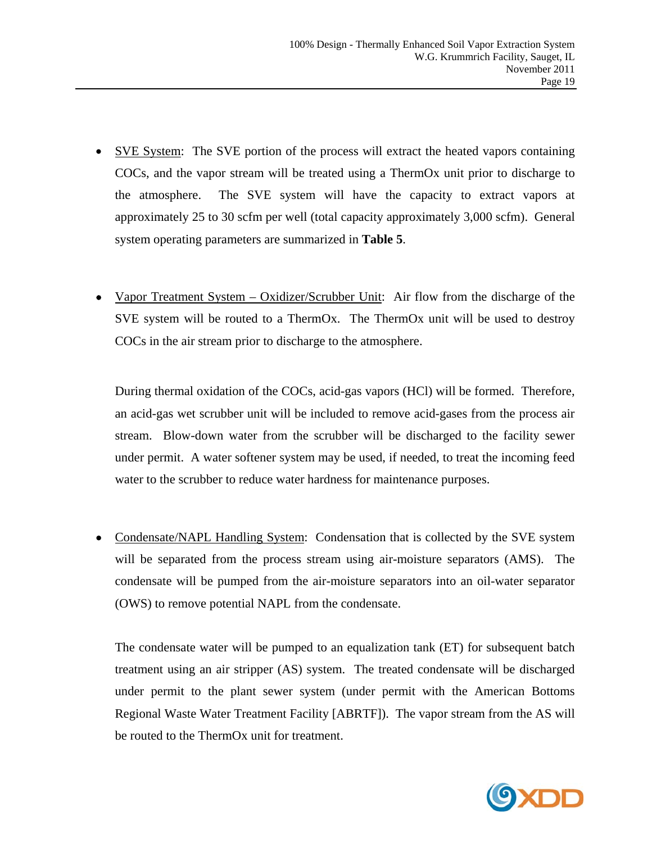- SVE System: The SVE portion of the process will extract the heated vapors containing COCs, and the vapor stream will be treated using a ThermOx unit prior to discharge to the atmosphere. The SVE system will have the capacity to extract vapors at approximately 25 to 30 scfm per well (total capacity approximately 3,000 scfm). General system operating parameters are summarized in **Table 5**.
- Vapor Treatment System Oxidizer/Scrubber Unit: Air flow from the discharge of the SVE system will be routed to a ThermOx. The ThermOx unit will be used to destroy COCs in the air stream prior to discharge to the atmosphere.

During thermal oxidation of the COCs, acid-gas vapors (HCl) will be formed. Therefore, an acid-gas wet scrubber unit will be included to remove acid-gases from the process air stream. Blow-down water from the scrubber will be discharged to the facility sewer under permit. A water softener system may be used, if needed, to treat the incoming feed water to the scrubber to reduce water hardness for maintenance purposes.

 Condensate/NAPL Handling System: Condensation that is collected by the SVE system will be separated from the process stream using air-moisture separators (AMS). The condensate will be pumped from the air-moisture separators into an oil-water separator (OWS) to remove potential NAPL from the condensate.

The condensate water will be pumped to an equalization tank (ET) for subsequent batch treatment using an air stripper (AS) system. The treated condensate will be discharged under permit to the plant sewer system (under permit with the American Bottoms Regional Waste Water Treatment Facility [ABRTF]). The vapor stream from the AS will be routed to the ThermOx unit for treatment.

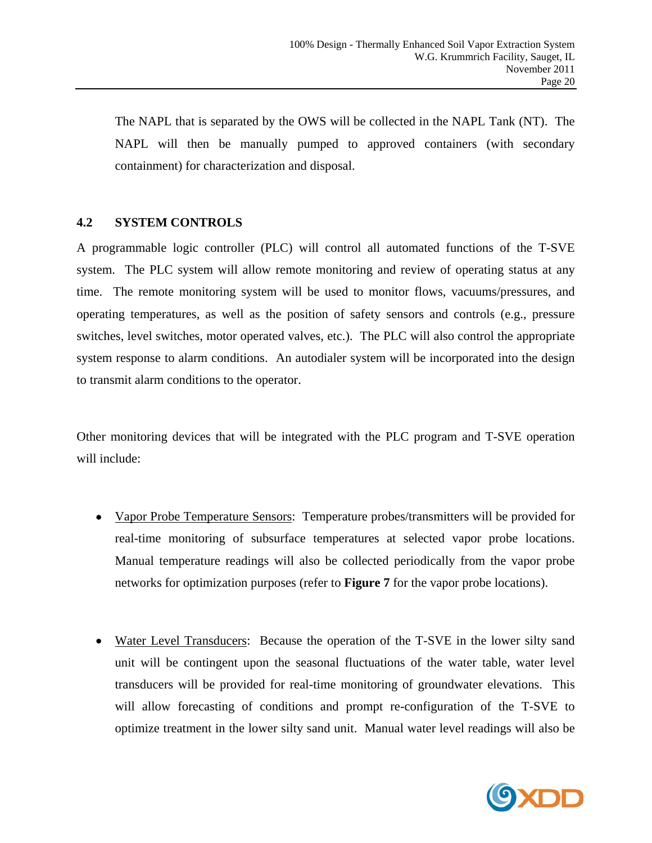The NAPL that is separated by the OWS will be collected in the NAPL Tank (NT). The NAPL will then be manually pumped to approved containers (with secondary containment) for characterization and disposal.

# **4.2 SYSTEM CONTROLS**

A programmable logic controller (PLC) will control all automated functions of the T-SVE system. The PLC system will allow remote monitoring and review of operating status at any time. The remote monitoring system will be used to monitor flows, vacuums/pressures, and operating temperatures, as well as the position of safety sensors and controls (e.g., pressure switches, level switches, motor operated valves, etc.). The PLC will also control the appropriate system response to alarm conditions. An autodialer system will be incorporated into the design to transmit alarm conditions to the operator.

Other monitoring devices that will be integrated with the PLC program and T-SVE operation will include:

- Vapor Probe Temperature Sensors: Temperature probes/transmitters will be provided for real-time monitoring of subsurface temperatures at selected vapor probe locations. Manual temperature readings will also be collected periodically from the vapor probe networks for optimization purposes (refer to **Figure 7** for the vapor probe locations).
- Water Level Transducers: Because the operation of the T-SVE in the lower silty sand unit will be contingent upon the seasonal fluctuations of the water table, water level transducers will be provided for real-time monitoring of groundwater elevations. This will allow forecasting of conditions and prompt re-configuration of the T-SVE to optimize treatment in the lower silty sand unit. Manual water level readings will also be

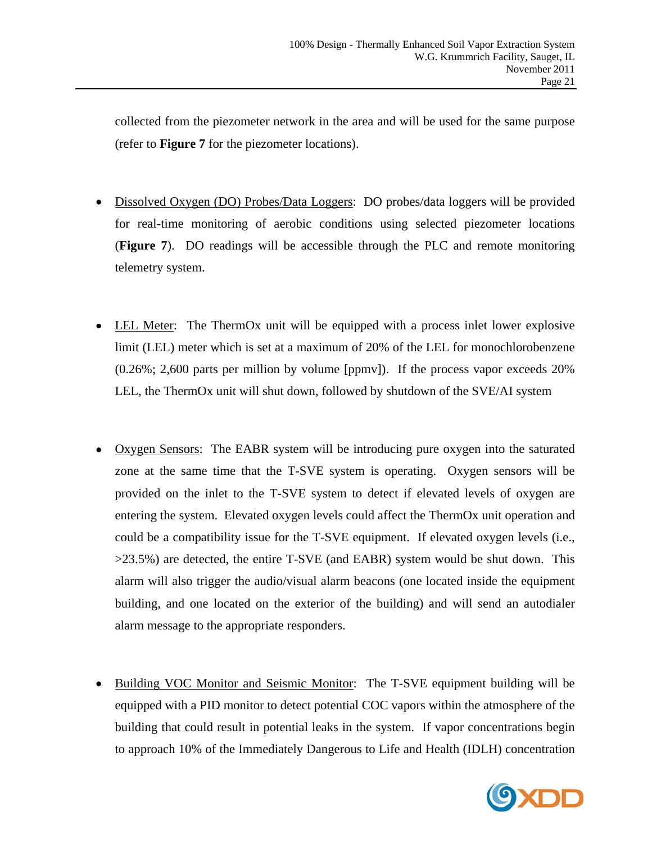collected from the piezometer network in the area and will be used for the same purpose (refer to **Figure 7** for the piezometer locations).

- Dissolved Oxygen (DO) Probes/Data Loggers: DO probes/data loggers will be provided for real-time monitoring of aerobic conditions using selected piezometer locations (**Figure 7**). DO readings will be accessible through the PLC and remote monitoring telemetry system.
- LEL Meter: The ThermOx unit will be equipped with a process inlet lower explosive limit (LEL) meter which is set at a maximum of 20% of the LEL for monochlorobenzene (0.26%; 2,600 parts per million by volume [ppmv]). If the process vapor exceeds 20% LEL, the ThermOx unit will shut down, followed by shutdown of the SVE/AI system
- Oxygen Sensors: The EABR system will be introducing pure oxygen into the saturated zone at the same time that the T-SVE system is operating. Oxygen sensors will be provided on the inlet to the T-SVE system to detect if elevated levels of oxygen are entering the system. Elevated oxygen levels could affect the ThermOx unit operation and could be a compatibility issue for the T-SVE equipment. If elevated oxygen levels (i.e., >23.5%) are detected, the entire T-SVE (and EABR) system would be shut down. This alarm will also trigger the audio/visual alarm beacons (one located inside the equipment building, and one located on the exterior of the building) and will send an autodialer alarm message to the appropriate responders.
- Building VOC Monitor and Seismic Monitor: The T-SVE equipment building will be equipped with a PID monitor to detect potential COC vapors within the atmosphere of the building that could result in potential leaks in the system. If vapor concentrations begin to approach 10% of the Immediately Dangerous to Life and Health (IDLH) concentration

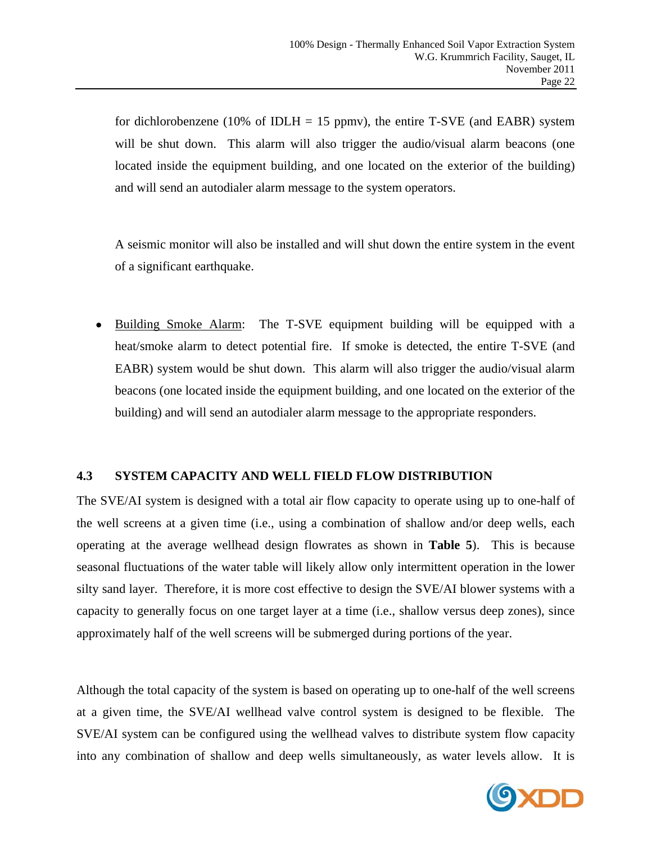for dichlorobenzene (10% of IDLH = 15 ppmv), the entire T-SVE (and EABR) system will be shut down. This alarm will also trigger the audio/visual alarm beacons (one located inside the equipment building, and one located on the exterior of the building) and will send an autodialer alarm message to the system operators.

A seismic monitor will also be installed and will shut down the entire system in the event of a significant earthquake.

 Building Smoke Alarm: The T-SVE equipment building will be equipped with a heat/smoke alarm to detect potential fire. If smoke is detected, the entire T-SVE (and EABR) system would be shut down. This alarm will also trigger the audio/visual alarm beacons (one located inside the equipment building, and one located on the exterior of the building) and will send an autodialer alarm message to the appropriate responders.

# **4.3 SYSTEM CAPACITY AND WELL FIELD FLOW DISTRIBUTION**

The SVE/AI system is designed with a total air flow capacity to operate using up to one-half of the well screens at a given time (i.e., using a combination of shallow and/or deep wells, each operating at the average wellhead design flowrates as shown in **Table 5**). This is because seasonal fluctuations of the water table will likely allow only intermittent operation in the lower silty sand layer. Therefore, it is more cost effective to design the SVE/AI blower systems with a capacity to generally focus on one target layer at a time (i.e., shallow versus deep zones), since approximately half of the well screens will be submerged during portions of the year.

Although the total capacity of the system is based on operating up to one-half of the well screens at a given time, the SVE/AI wellhead valve control system is designed to be flexible. The SVE/AI system can be configured using the wellhead valves to distribute system flow capacity into any combination of shallow and deep wells simultaneously, as water levels allow. It is

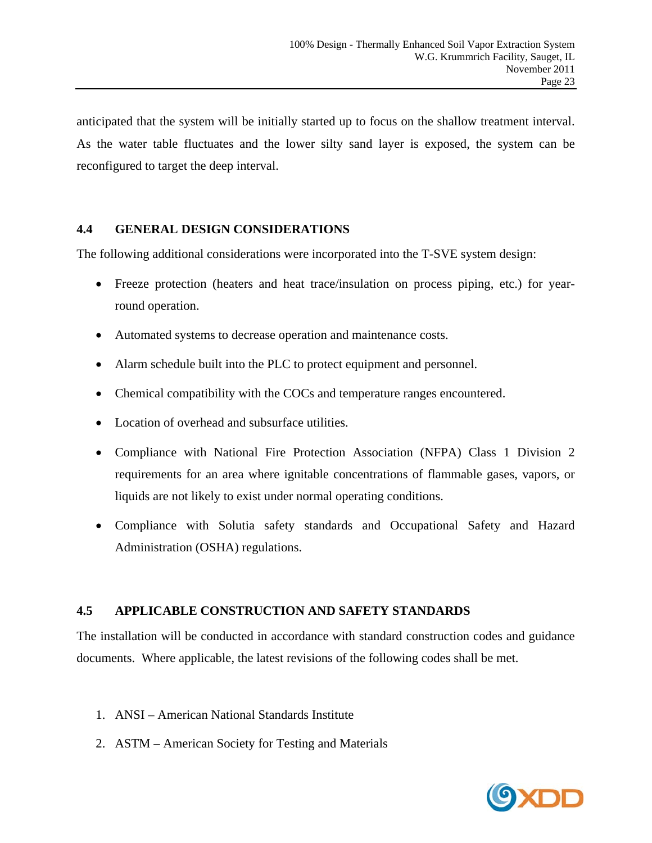anticipated that the system will be initially started up to focus on the shallow treatment interval. As the water table fluctuates and the lower silty sand layer is exposed, the system can be reconfigured to target the deep interval.

# **4.4 GENERAL DESIGN CONSIDERATIONS**

The following additional considerations were incorporated into the T-SVE system design:

- Freeze protection (heaters and heat trace/insulation on process piping, etc.) for yearround operation.
- Automated systems to decrease operation and maintenance costs.
- Alarm schedule built into the PLC to protect equipment and personnel.
- Chemical compatibility with the COCs and temperature ranges encountered.
- Location of overhead and subsurface utilities.
- Compliance with National Fire Protection Association (NFPA) Class 1 Division 2 requirements for an area where ignitable concentrations of flammable gases, vapors, or liquids are not likely to exist under normal operating conditions.
- Compliance with Solutia safety standards and Occupational Safety and Hazard Administration (OSHA) regulations.

# **4.5 APPLICABLE CONSTRUCTION AND SAFETY STANDARDS**

The installation will be conducted in accordance with standard construction codes and guidance documents. Where applicable, the latest revisions of the following codes shall be met.

- 1. ANSI American National Standards Institute
- 2. ASTM American Society for Testing and Materials

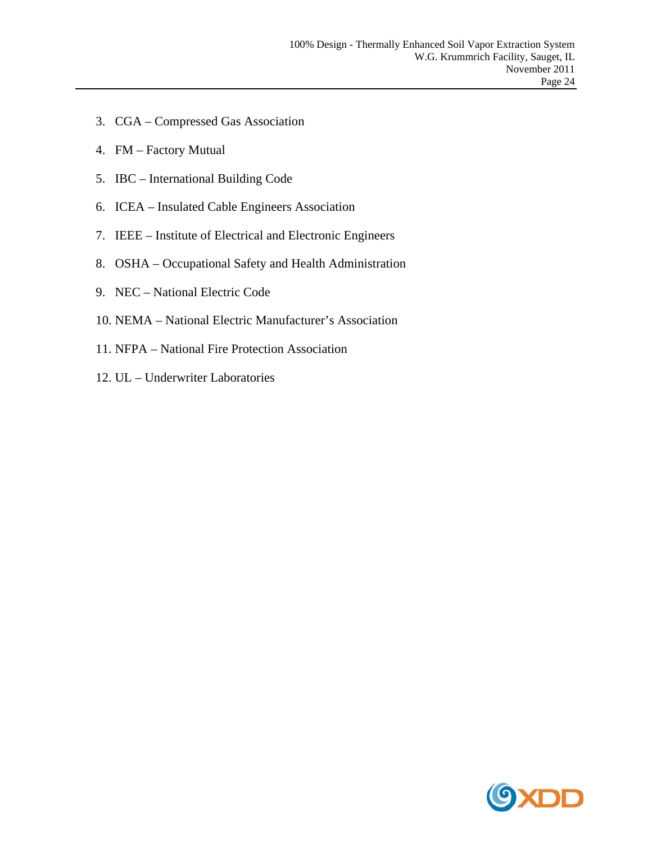- 3. CGA Compressed Gas Association
- 4. FM Factory Mutual
- 5. IBC International Building Code
- 6. ICEA Insulated Cable Engineers Association
- 7. IEEE Institute of Electrical and Electronic Engineers
- 8. OSHA Occupational Safety and Health Administration
- 9. NEC National Electric Code
- 10. NEMA National Electric Manufacturer's Association
- 11. NFPA National Fire Protection Association
- 12. UL Underwriter Laboratories

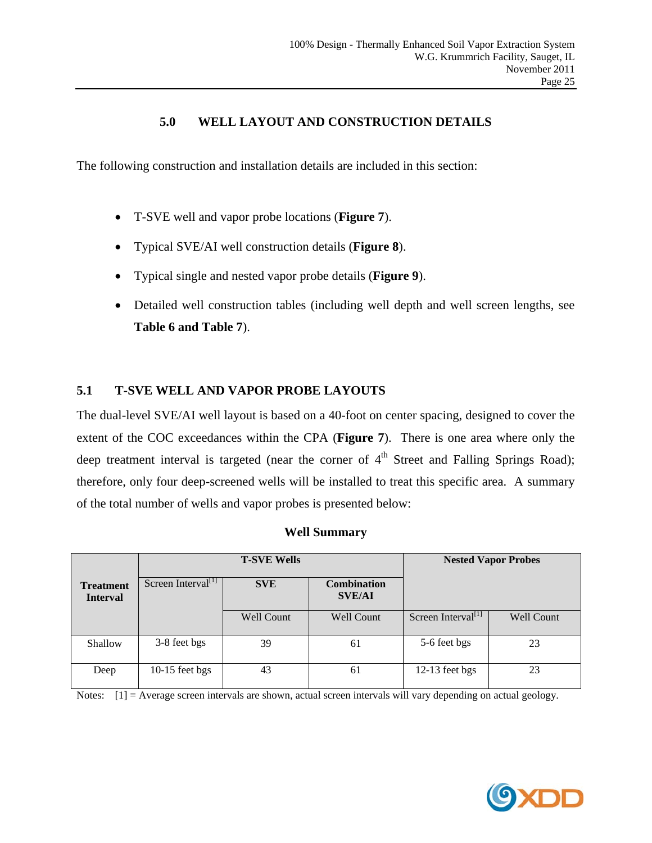# **5.0 WELL LAYOUT AND CONSTRUCTION DETAILS**

The following construction and installation details are included in this section:

- T-SVE well and vapor probe locations (**Figure 7**).
- Typical SVE/AI well construction details (**Figure 8**).
- Typical single and nested vapor probe details (**Figure 9**).
- Detailed well construction tables (including well depth and well screen lengths, see **Table 6 and Table 7**).

# **5.1 T-SVE WELL AND VAPOR PROBE LAYOUTS**

The dual-level SVE/AI well layout is based on a 40-foot on center spacing, designed to cover the extent of the COC exceedances within the CPA (**Figure 7**). There is one area where only the deep treatment interval is targeted (near the corner of  $4<sup>th</sup>$  Street and Falling Springs Road); therefore, only four deep-screened wells will be installed to treat this specific area. A summary of the total number of wells and vapor probes is presented below:

#### **Well Summary**

|                                     |                                | <b>T-SVE Wells</b> | <b>Nested Vapor Probes</b>          |                                |                   |  |
|-------------------------------------|--------------------------------|--------------------|-------------------------------------|--------------------------------|-------------------|--|
| <b>Treatment</b><br><b>Interval</b> | Screen Interval <sup>[1]</sup> | <b>SVE</b>         | <b>Combination</b><br><b>SVE/AI</b> |                                |                   |  |
|                                     |                                | <b>Well Count</b>  | <b>Well Count</b>                   | Screen Interval <sup>[1]</sup> | <b>Well Count</b> |  |
| Shallow                             | 3-8 feet bgs                   | 39                 | 61                                  | 5-6 feet bgs                   | 23                |  |
| Deep                                | $10-15$ feet bgs               | 43                 | 61                                  | $12-13$ feet bgs               | 23                |  |

Notes: [1] = Average screen intervals are shown, actual screen intervals will vary depending on actual geology.

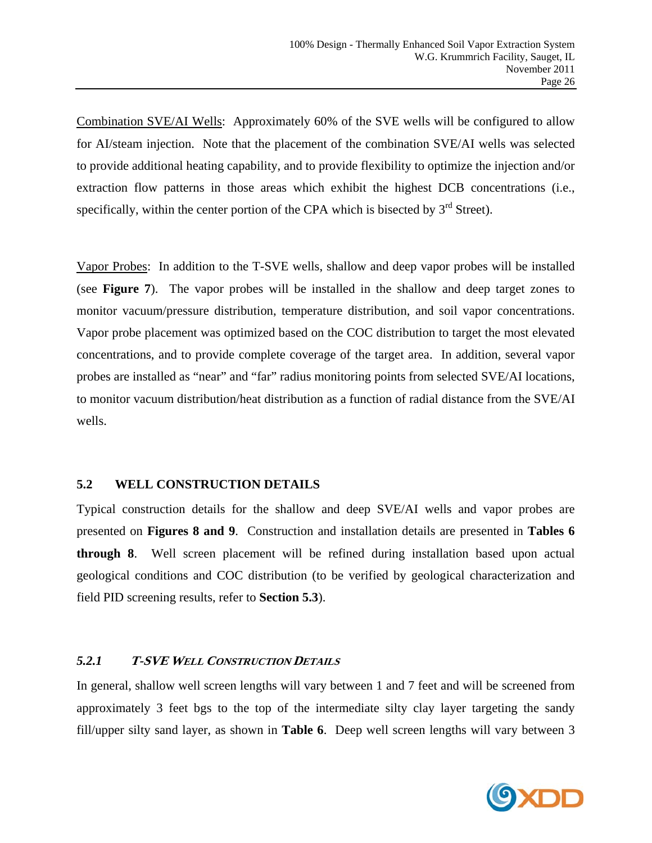Combination SVE/AI Wells: Approximately 60% of the SVE wells will be configured to allow for AI/steam injection. Note that the placement of the combination SVE/AI wells was selected to provide additional heating capability, and to provide flexibility to optimize the injection and/or extraction flow patterns in those areas which exhibit the highest DCB concentrations (i.e., specifically, within the center portion of the CPA which is bisected by  $3<sup>rd</sup>$  Street).

Vapor Probes: In addition to the T-SVE wells, shallow and deep vapor probes will be installed (see **Figure 7**). The vapor probes will be installed in the shallow and deep target zones to monitor vacuum/pressure distribution, temperature distribution, and soil vapor concentrations. Vapor probe placement was optimized based on the COC distribution to target the most elevated concentrations, and to provide complete coverage of the target area. In addition, several vapor probes are installed as "near" and "far" radius monitoring points from selected SVE/AI locations, to monitor vacuum distribution/heat distribution as a function of radial distance from the SVE/AI wells.

# **5.2 WELL CONSTRUCTION DETAILS**

Typical construction details for the shallow and deep SVE/AI wells and vapor probes are presented on **Figures 8 and 9**. Construction and installation details are presented in **Tables 6 through 8**. Well screen placement will be refined during installation based upon actual geological conditions and COC distribution (to be verified by geological characterization and field PID screening results, refer to **Section 5.3**).

# *5.2.1* **T-SVE <sup>W</sup>ELL CONSTRUCTION DETAILS**

In general, shallow well screen lengths will vary between 1 and 7 feet and will be screened from approximately 3 feet bgs to the top of the intermediate silty clay layer targeting the sandy fill/upper silty sand layer, as shown in **Table 6**. Deep well screen lengths will vary between 3

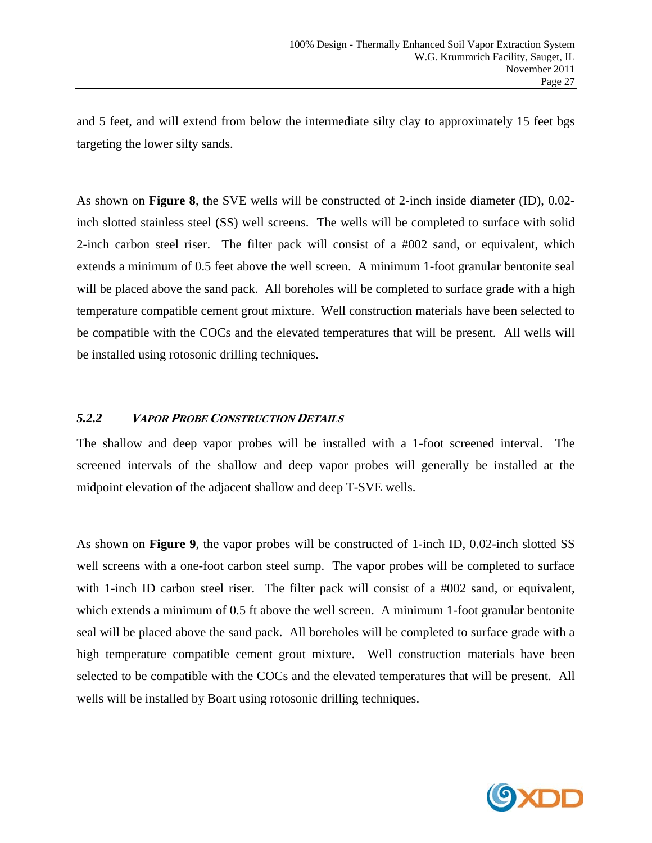and 5 feet, and will extend from below the intermediate silty clay to approximately 15 feet bgs targeting the lower silty sands.

As shown on **Figure 8**, the SVE wells will be constructed of 2-inch inside diameter (ID), 0.02 inch slotted stainless steel (SS) well screens. The wells will be completed to surface with solid 2-inch carbon steel riser. The filter pack will consist of a #002 sand, or equivalent, which extends a minimum of 0.5 feet above the well screen. A minimum 1-foot granular bentonite seal will be placed above the sand pack. All boreholes will be completed to surface grade with a high temperature compatible cement grout mixture. Well construction materials have been selected to be compatible with the COCs and the elevated temperatures that will be present. All wells will be installed using rotosonic drilling techniques.

#### *5.2.2* **<sup>V</sup>APOR PROBE CONSTRUCTION DETAILS**

The shallow and deep vapor probes will be installed with a 1-foot screened interval. The screened intervals of the shallow and deep vapor probes will generally be installed at the midpoint elevation of the adjacent shallow and deep T-SVE wells.

As shown on **Figure 9**, the vapor probes will be constructed of 1-inch ID, 0.02-inch slotted SS well screens with a one-foot carbon steel sump. The vapor probes will be completed to surface with 1-inch ID carbon steel riser. The filter pack will consist of a #002 sand, or equivalent, which extends a minimum of 0.5 ft above the well screen. A minimum 1-foot granular bentonite seal will be placed above the sand pack. All boreholes will be completed to surface grade with a high temperature compatible cement grout mixture. Well construction materials have been selected to be compatible with the COCs and the elevated temperatures that will be present. All wells will be installed by Boart using rotosonic drilling techniques.

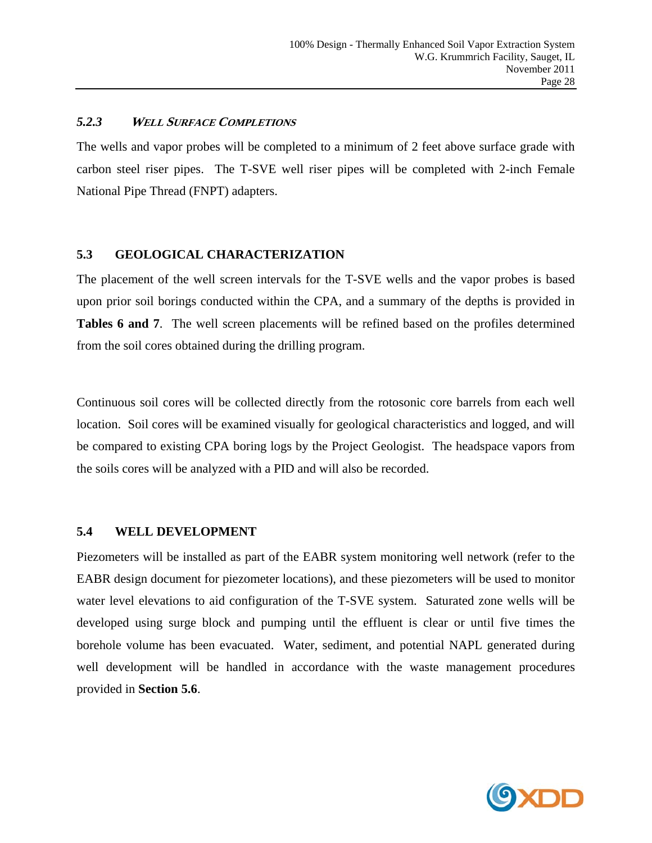#### *5.2.3* **<sup>W</sup>ELL SURFACE COMPLETIONS**

The wells and vapor probes will be completed to a minimum of 2 feet above surface grade with carbon steel riser pipes. The T-SVE well riser pipes will be completed with 2-inch Female National Pipe Thread (FNPT) adapters.

# **5.3 GEOLOGICAL CHARACTERIZATION**

The placement of the well screen intervals for the T-SVE wells and the vapor probes is based upon prior soil borings conducted within the CPA, and a summary of the depths is provided in **Tables 6 and 7**. The well screen placements will be refined based on the profiles determined from the soil cores obtained during the drilling program.

Continuous soil cores will be collected directly from the rotosonic core barrels from each well location. Soil cores will be examined visually for geological characteristics and logged, and will be compared to existing CPA boring logs by the Project Geologist. The headspace vapors from the soils cores will be analyzed with a PID and will also be recorded.

#### **5.4 WELL DEVELOPMENT**

Piezometers will be installed as part of the EABR system monitoring well network (refer to the EABR design document for piezometer locations), and these piezometers will be used to monitor water level elevations to aid configuration of the T-SVE system. Saturated zone wells will be developed using surge block and pumping until the effluent is clear or until five times the borehole volume has been evacuated. Water, sediment, and potential NAPL generated during well development will be handled in accordance with the waste management procedures provided in **Section 5.6**.

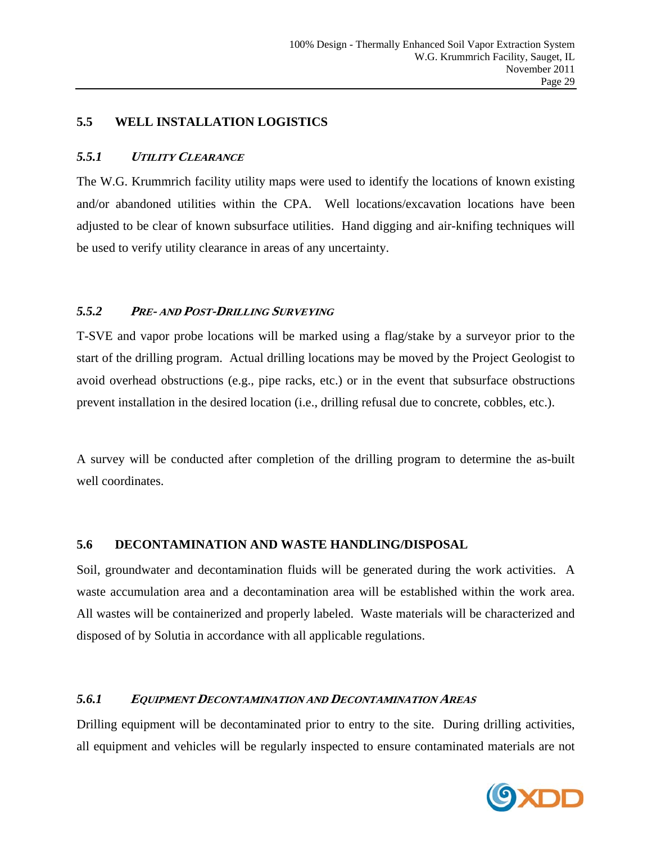#### **5.5 WELL INSTALLATION LOGISTICS**

#### *5.5.1* **<sup>U</sup>TILITY CLEARANCE**

The W.G. Krummrich facility utility maps were used to identify the locations of known existing and/or abandoned utilities within the CPA. Well locations/excavation locations have been adjusted to be clear of known subsurface utilities. Hand digging and air-knifing techniques will be used to verify utility clearance in areas of any uncertainty.

#### *5.5.2* **<sup>P</sup>RE- AND POST-DRILLING SURVEYING**

T-SVE and vapor probe locations will be marked using a flag/stake by a surveyor prior to the start of the drilling program. Actual drilling locations may be moved by the Project Geologist to avoid overhead obstructions (e.g., pipe racks, etc.) or in the event that subsurface obstructions prevent installation in the desired location (i.e., drilling refusal due to concrete, cobbles, etc.).

A survey will be conducted after completion of the drilling program to determine the as-built well coordinates.

#### **5.6 DECONTAMINATION AND WASTE HANDLING/DISPOSAL**

Soil, groundwater and decontamination fluids will be generated during the work activities. A waste accumulation area and a decontamination area will be established within the work area. All wastes will be containerized and properly labeled. Waste materials will be characterized and disposed of by Solutia in accordance with all applicable regulations.

#### *5.6.1* **<sup>E</sup>QUIPMENT DECONTAMINATION AND DECONTAMINATION AREAS**

Drilling equipment will be decontaminated prior to entry to the site. During drilling activities, all equipment and vehicles will be regularly inspected to ensure contaminated materials are not

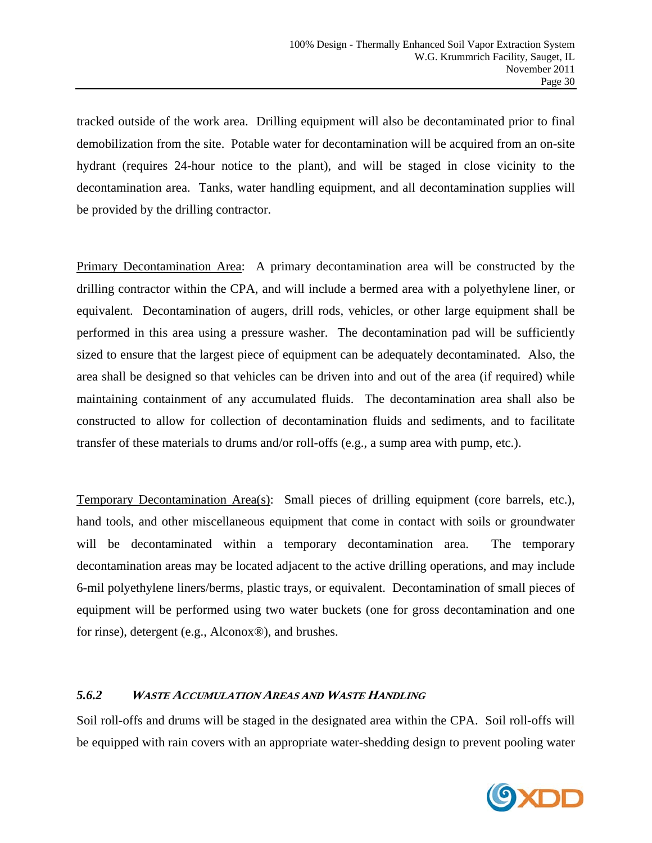tracked outside of the work area. Drilling equipment will also be decontaminated prior to final demobilization from the site. Potable water for decontamination will be acquired from an on-site hydrant (requires 24-hour notice to the plant), and will be staged in close vicinity to the decontamination area. Tanks, water handling equipment, and all decontamination supplies will be provided by the drilling contractor.

Primary Decontamination Area: A primary decontamination area will be constructed by the drilling contractor within the CPA, and will include a bermed area with a polyethylene liner, or equivalent. Decontamination of augers, drill rods, vehicles, or other large equipment shall be performed in this area using a pressure washer. The decontamination pad will be sufficiently sized to ensure that the largest piece of equipment can be adequately decontaminated. Also, the area shall be designed so that vehicles can be driven into and out of the area (if required) while maintaining containment of any accumulated fluids. The decontamination area shall also be constructed to allow for collection of decontamination fluids and sediments, and to facilitate transfer of these materials to drums and/or roll-offs (e.g., a sump area with pump, etc.).

Temporary Decontamination Area(s): Small pieces of drilling equipment (core barrels, etc.), hand tools, and other miscellaneous equipment that come in contact with soils or groundwater will be decontaminated within a temporary decontamination area. The temporary decontamination areas may be located adjacent to the active drilling operations, and may include 6-mil polyethylene liners/berms, plastic trays, or equivalent. Decontamination of small pieces of equipment will be performed using two water buckets (one for gross decontamination and one for rinse), detergent (e.g., Alconox®), and brushes.

# *5.6.2* **<sup>W</sup>ASTE ACCUMULATION AREAS AND WASTE HANDLING**

Soil roll-offs and drums will be staged in the designated area within the CPA. Soil roll-offs will be equipped with rain covers with an appropriate water-shedding design to prevent pooling water

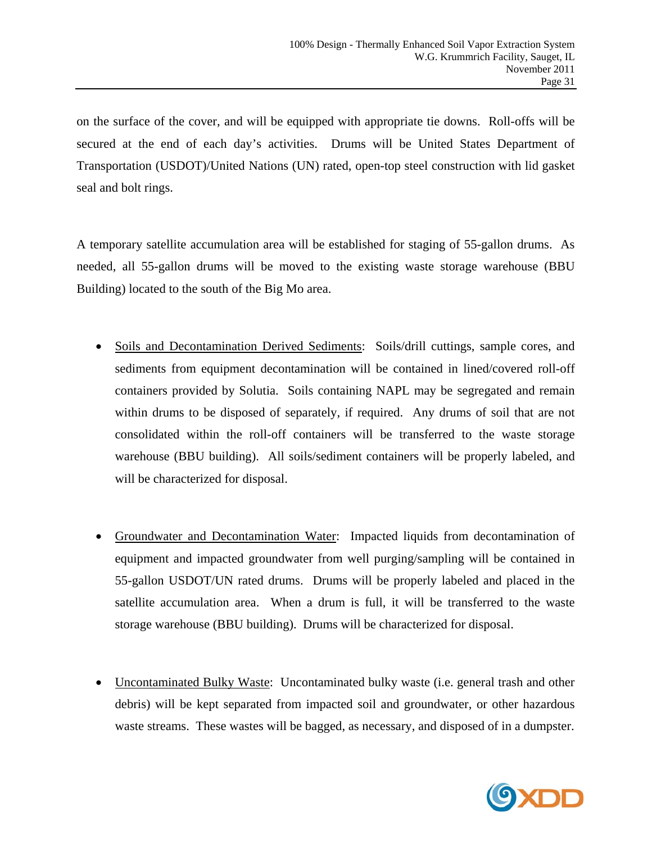on the surface of the cover, and will be equipped with appropriate tie downs. Roll-offs will be secured at the end of each day's activities. Drums will be United States Department of Transportation (USDOT)/United Nations (UN) rated, open-top steel construction with lid gasket seal and bolt rings.

A temporary satellite accumulation area will be established for staging of 55-gallon drums. As needed, all 55-gallon drums will be moved to the existing waste storage warehouse (BBU Building) located to the south of the Big Mo area.

- Soils and Decontamination Derived Sediments: Soils/drill cuttings, sample cores, and sediments from equipment decontamination will be contained in lined/covered roll-off containers provided by Solutia. Soils containing NAPL may be segregated and remain within drums to be disposed of separately, if required. Any drums of soil that are not consolidated within the roll-off containers will be transferred to the waste storage warehouse (BBU building). All soils/sediment containers will be properly labeled, and will be characterized for disposal.
- Groundwater and Decontamination Water: Impacted liquids from decontamination of equipment and impacted groundwater from well purging/sampling will be contained in 55-gallon USDOT/UN rated drums. Drums will be properly labeled and placed in the satellite accumulation area. When a drum is full, it will be transferred to the waste storage warehouse (BBU building). Drums will be characterized for disposal.
- Uncontaminated Bulky Waste: Uncontaminated bulky waste (i.e. general trash and other debris) will be kept separated from impacted soil and groundwater, or other hazardous waste streams. These wastes will be bagged, as necessary, and disposed of in a dumpster.

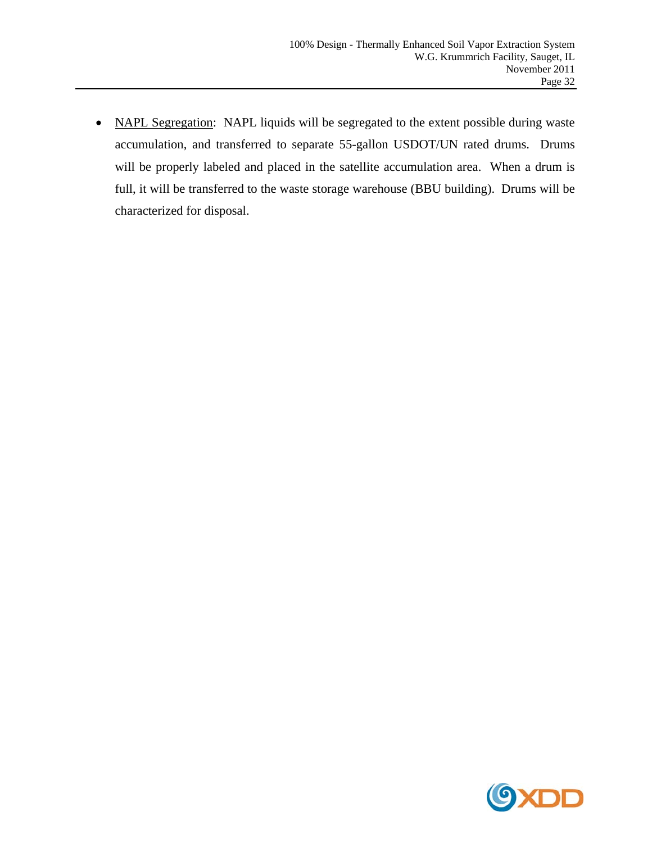• NAPL Segregation: NAPL liquids will be segregated to the extent possible during waste accumulation, and transferred to separate 55-gallon USDOT/UN rated drums. Drums will be properly labeled and placed in the satellite accumulation area. When a drum is full, it will be transferred to the waste storage warehouse (BBU building). Drums will be characterized for disposal.

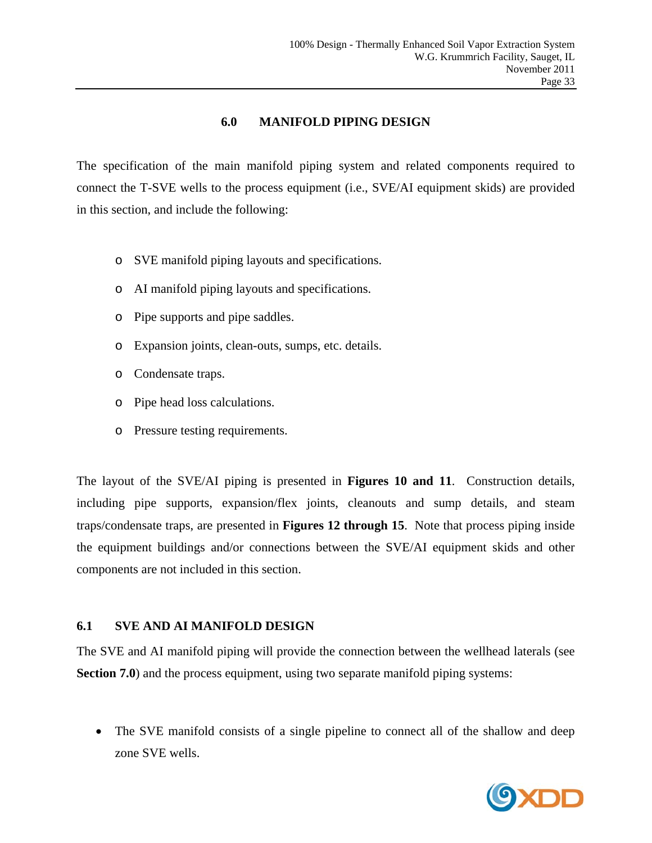#### **6.0 MANIFOLD PIPING DESIGN**

The specification of the main manifold piping system and related components required to connect the T-SVE wells to the process equipment (i.e., SVE/AI equipment skids) are provided in this section, and include the following:

- o SVE manifold piping layouts and specifications.
- o AI manifold piping layouts and specifications.
- o Pipe supports and pipe saddles.
- o Expansion joints, clean-outs, sumps, etc. details.
- o Condensate traps.
- o Pipe head loss calculations.
- o Pressure testing requirements.

The layout of the SVE/AI piping is presented in **Figures 10 and 11**. Construction details, including pipe supports, expansion/flex joints, cleanouts and sump details, and steam traps/condensate traps, are presented in **Figures 12 through 15**. Note that process piping inside the equipment buildings and/or connections between the SVE/AI equipment skids and other components are not included in this section.

# **6.1 SVE AND AI MANIFOLD DESIGN**

The SVE and AI manifold piping will provide the connection between the wellhead laterals (see **Section 7.0**) and the process equipment, using two separate manifold piping systems:

• The SVE manifold consists of a single pipeline to connect all of the shallow and deep zone SVE wells.

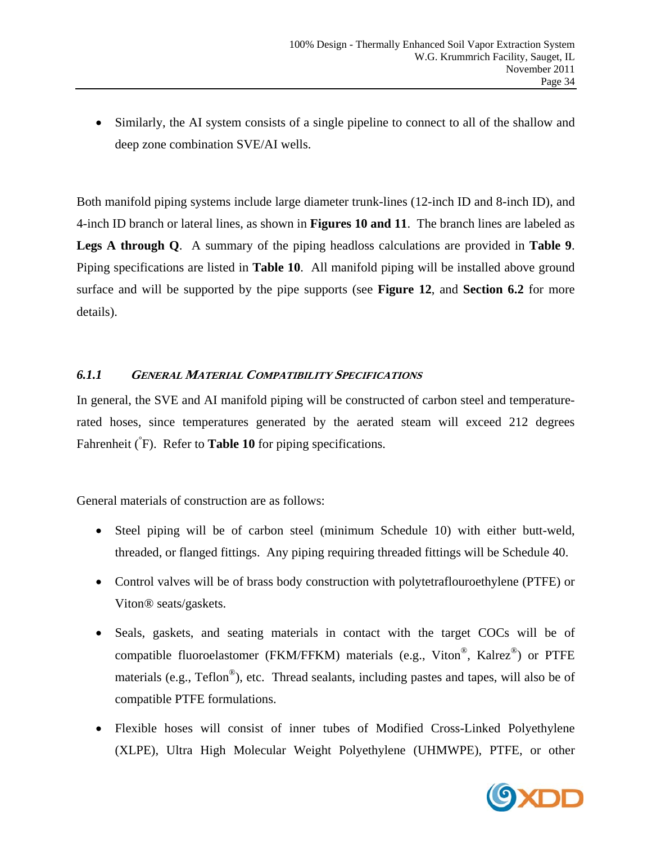Similarly, the AI system consists of a single pipeline to connect to all of the shallow and deep zone combination SVE/AI wells.

Both manifold piping systems include large diameter trunk-lines (12-inch ID and 8-inch ID), and 4-inch ID branch or lateral lines, as shown in **Figures 10 and 11**. The branch lines are labeled as **Legs A through Q**. A summary of the piping headloss calculations are provided in **Table 9**. Piping specifications are listed in **Table 10**. All manifold piping will be installed above ground surface and will be supported by the pipe supports (see **Figure 12**, and **Section 6.2** for more details).

# *6.1.1* **GENERAL MATERIAL COMPATIBILITY SPECIFICATIONS**

In general, the SVE and AI manifold piping will be constructed of carbon steel and temperaturerated hoses, since temperatures generated by the aerated steam will exceed 212 degrees Fahrenheit (<sup>°</sup>F). Refer to **Table 10** for piping specifications.

General materials of construction are as follows:

- Steel piping will be of carbon steel (minimum Schedule 10) with either butt-weld, threaded, or flanged fittings. Any piping requiring threaded fittings will be Schedule 40.
- Control valves will be of brass body construction with polytetraflouroethylene (PTFE) or Viton® seats/gaskets.
- Seals, gaskets, and seating materials in contact with the target COCs will be of compatible fluoroelastomer (FKM/FFKM) materials (e.g., Viton<sup>®</sup>, Kalrez<sup>®</sup>) or PTFE materials (e.g., Teflon<sup>®</sup>), etc. Thread sealants, including pastes and tapes, will also be of compatible PTFE formulations.
- Flexible hoses will consist of inner tubes of Modified Cross-Linked Polyethylene (XLPE), Ultra High Molecular Weight Polyethylene (UHMWPE), PTFE, or other

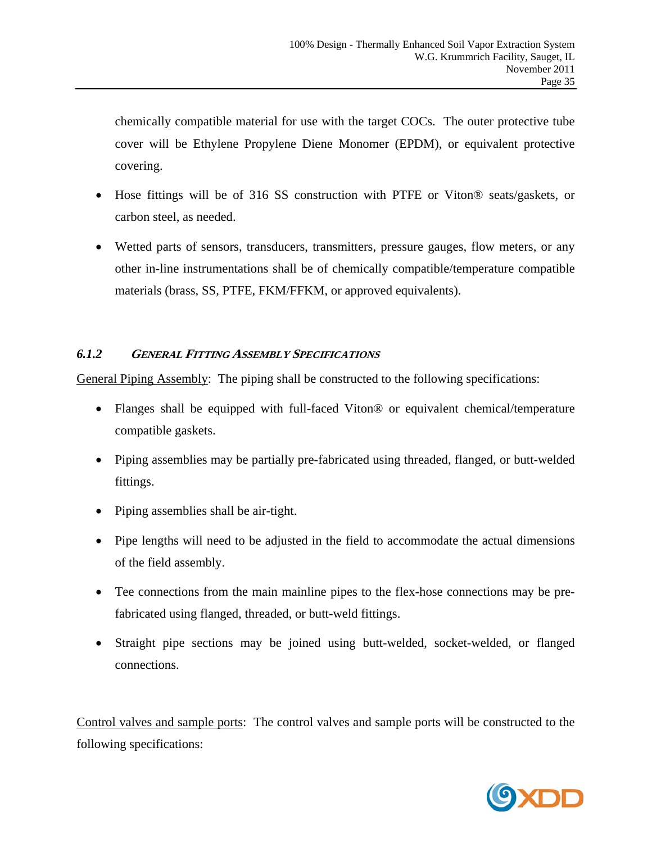chemically compatible material for use with the target COCs. The outer protective tube cover will be Ethylene Propylene Diene Monomer (EPDM), or equivalent protective covering.

- Hose fittings will be of 316 SS construction with PTFE or Viton® seats/gaskets, or carbon steel, as needed.
- Wetted parts of sensors, transducers, transmitters, pressure gauges, flow meters, or any other in-line instrumentations shall be of chemically compatible/temperature compatible materials (brass, SS, PTFE, FKM/FFKM, or approved equivalents).

# *6.1.2* **GENERAL FITTING ASSEMBLY SPECIFICATIONS**

General Piping Assembly: The piping shall be constructed to the following specifications:

- Flanges shall be equipped with full-faced Viton® or equivalent chemical/temperature compatible gaskets.
- Piping assemblies may be partially pre-fabricated using threaded, flanged, or butt-welded fittings.
- Piping assemblies shall be air-tight.
- Pipe lengths will need to be adjusted in the field to accommodate the actual dimensions of the field assembly.
- Tee connections from the main mainline pipes to the flex-hose connections may be prefabricated using flanged, threaded, or butt-weld fittings.
- Straight pipe sections may be joined using butt-welded, socket-welded, or flanged connections.

Control valves and sample ports: The control valves and sample ports will be constructed to the following specifications:

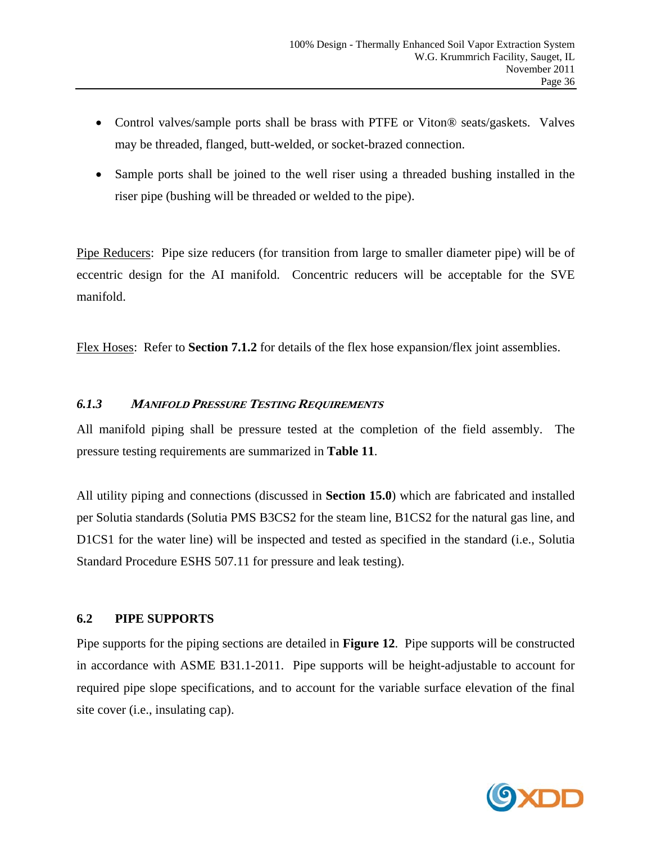- Control valves/sample ports shall be brass with PTFE or Viton® seats/gaskets. Valves may be threaded, flanged, butt-welded, or socket-brazed connection.
- Sample ports shall be joined to the well riser using a threaded bushing installed in the riser pipe (bushing will be threaded or welded to the pipe).

Pipe Reducers: Pipe size reducers (for transition from large to smaller diameter pipe) will be of eccentric design for the AI manifold. Concentric reducers will be acceptable for the SVE manifold.

Flex Hoses: Refer to **Section 7.1.2** for details of the flex hose expansion/flex joint assemblies.

# *6.1.3* **<sup>M</sup>ANIFOLD PRESSURE TESTING REQUIREMENTS**

All manifold piping shall be pressure tested at the completion of the field assembly. The pressure testing requirements are summarized in **Table 11**.

All utility piping and connections (discussed in **Section 15.0**) which are fabricated and installed per Solutia standards (Solutia PMS B3CS2 for the steam line, B1CS2 for the natural gas line, and D1CS1 for the water line) will be inspected and tested as specified in the standard (i.e., Solutia Standard Procedure ESHS 507.11 for pressure and leak testing).

# **6.2 PIPE SUPPORTS**

Pipe supports for the piping sections are detailed in **Figure 12**. Pipe supports will be constructed in accordance with ASME B31.1-2011. Pipe supports will be height-adjustable to account for required pipe slope specifications, and to account for the variable surface elevation of the final site cover (i.e., insulating cap).

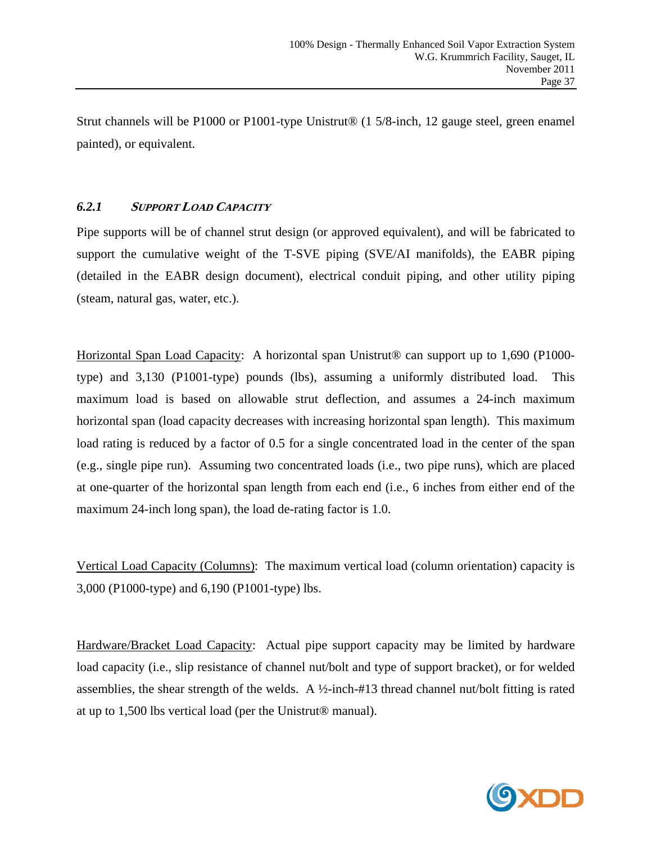Strut channels will be P1000 or P1001-type Unistrut® (1 5/8-inch, 12 gauge steel, green enamel painted), or equivalent.

# *6.2.1* **SUPPORT LOAD CAPACITY**

Pipe supports will be of channel strut design (or approved equivalent), and will be fabricated to support the cumulative weight of the T-SVE piping (SVE/AI manifolds), the EABR piping (detailed in the EABR design document), electrical conduit piping, and other utility piping (steam, natural gas, water, etc.).

Horizontal Span Load Capacity: A horizontal span Unistrut® can support up to 1,690 (P1000 type) and 3,130 (P1001-type) pounds (lbs), assuming a uniformly distributed load. This maximum load is based on allowable strut deflection, and assumes a 24-inch maximum horizontal span (load capacity decreases with increasing horizontal span length). This maximum load rating is reduced by a factor of 0.5 for a single concentrated load in the center of the span (e.g., single pipe run). Assuming two concentrated loads (i.e., two pipe runs), which are placed at one-quarter of the horizontal span length from each end (i.e., 6 inches from either end of the maximum 24-inch long span), the load de-rating factor is 1.0.

Vertical Load Capacity (Columns): The maximum vertical load (column orientation) capacity is 3,000 (P1000-type) and 6,190 (P1001-type) lbs.

Hardware/Bracket Load Capacity: Actual pipe support capacity may be limited by hardware load capacity (i.e., slip resistance of channel nut/bolt and type of support bracket), or for welded assemblies, the shear strength of the welds. A ½-inch-#13 thread channel nut/bolt fitting is rated at up to 1,500 lbs vertical load (per the Unistrut® manual).

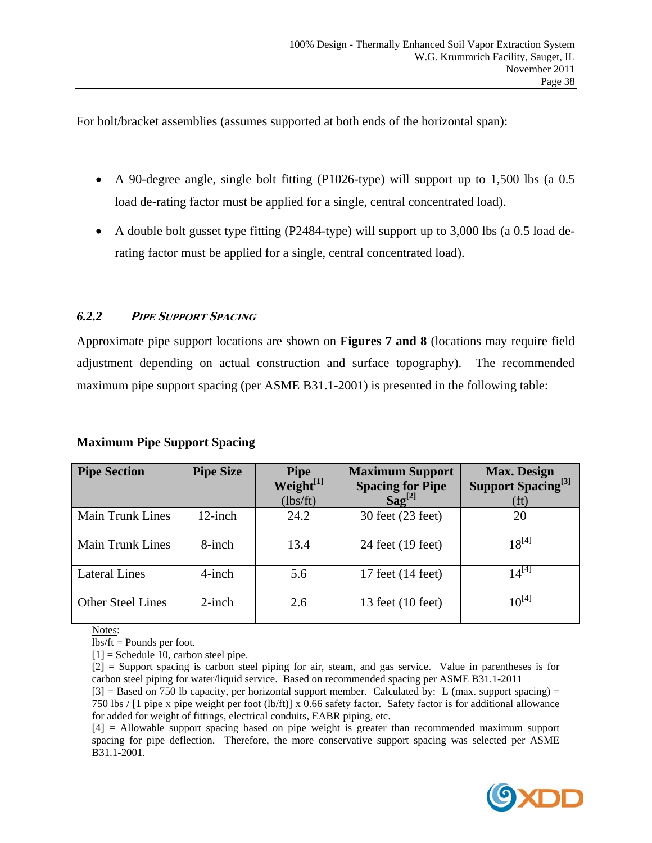For bolt/bracket assemblies (assumes supported at both ends of the horizontal span):

- A 90-degree angle, single bolt fitting (P1026-type) will support up to 1,500 lbs (a 0.5 load de-rating factor must be applied for a single, central concentrated load).
- A double bolt gusset type fitting (P2484-type) will support up to 3,000 lbs (a 0.5 load derating factor must be applied for a single, central concentrated load).

# *6.2.2* **<sup>P</sup>IPE SUPPORT SPACING**

Approximate pipe support locations are shown on **Figures 7 and 8** (locations may require field adjustment depending on actual construction and surface topography). The recommended maximum pipe support spacing (per ASME B31.1-2001) is presented in the following table:

| <b>Maximum Pipe Support Spacing</b> |  |  |
|-------------------------------------|--|--|
|                                     |  |  |

| <b>Pipe Section</b>      | <b>Pipe Size</b> | <b>Pipe</b><br>Weight[1] | <b>Maximum Support</b><br><b>Spacing for Pipe</b> | <b>Max. Design</b><br>Support Spacing <sup>[3]</sup> |
|--------------------------|------------------|--------------------------|---------------------------------------------------|------------------------------------------------------|
|                          |                  | (lbs/ft)                 | $S\mathbf{a}$ g <sup>[2]</sup>                    | (f <sup>t</sup> )                                    |
| <b>Main Trunk Lines</b>  | $12$ -inch       | 24.2                     | 30 feet (23 feet)                                 | 20                                                   |
| <b>Main Trunk Lines</b>  | 8-inch           | 13.4                     | 24 feet (19 feet)                                 | $18^{[4]}$                                           |
| <b>Lateral Lines</b>     | $4$ -inch        | 5.6                      | 17 feet (14 feet)                                 | $14^{[4]}$                                           |
| <b>Other Steel Lines</b> | $2$ -inch        | 2.6                      | 13 feet (10 feet)                                 | $10^{[4]}$                                           |

Notes:

lbs/ft = Pounds per foot.

 $[1]$  = Schedule 10, carbon steel pipe.

[2] = Support spacing is carbon steel piping for air, steam, and gas service. Value in parentheses is for carbon steel piping for water/liquid service. Based on recommended spacing per ASME B31.1-2011

 $[3]$  = Based on 750 lb capacity, per horizontal support member. Calculated by: L (max. support spacing) = 750 lbs / [1 pipe x pipe weight per foot (lb/ft)] x 0.66 safety factor. Safety factor is for additional allowance for added for weight of fittings, electrical conduits, EABR piping, etc.

[4] = Allowable support spacing based on pipe weight is greater than recommended maximum support spacing for pipe deflection. Therefore, the more conservative support spacing was selected per ASME B31.1-2001.

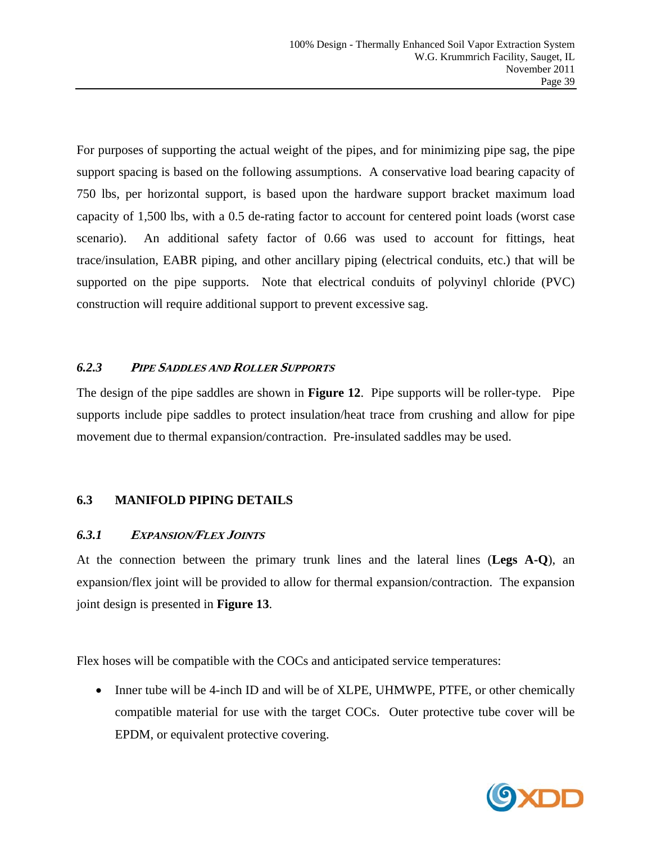For purposes of supporting the actual weight of the pipes, and for minimizing pipe sag, the pipe support spacing is based on the following assumptions. A conservative load bearing capacity of 750 lbs, per horizontal support, is based upon the hardware support bracket maximum load capacity of 1,500 lbs, with a 0.5 de-rating factor to account for centered point loads (worst case scenario). An additional safety factor of 0.66 was used to account for fittings, heat trace/insulation, EABR piping, and other ancillary piping (electrical conduits, etc.) that will be supported on the pipe supports. Note that electrical conduits of polyvinyl chloride (PVC) construction will require additional support to prevent excessive sag.

#### *6.2.3* **<sup>P</sup>IPE SADDLES AND ROLLER SUPPORTS**

The design of the pipe saddles are shown in **Figure 12**. Pipe supports will be roller-type. Pipe supports include pipe saddles to protect insulation/heat trace from crushing and allow for pipe movement due to thermal expansion/contraction. Pre-insulated saddles may be used.

# **6.3 MANIFOLD PIPING DETAILS**

# *6.3.1* **<sup>E</sup>XPANSION/FLEX JOINTS**

At the connection between the primary trunk lines and the lateral lines (**Legs A-Q**), an expansion/flex joint will be provided to allow for thermal expansion/contraction. The expansion joint design is presented in **Figure 13**.

Flex hoses will be compatible with the COCs and anticipated service temperatures:

• Inner tube will be 4-inch ID and will be of XLPE, UHMWPE, PTFE, or other chemically compatible material for use with the target COCs. Outer protective tube cover will be EPDM, or equivalent protective covering.

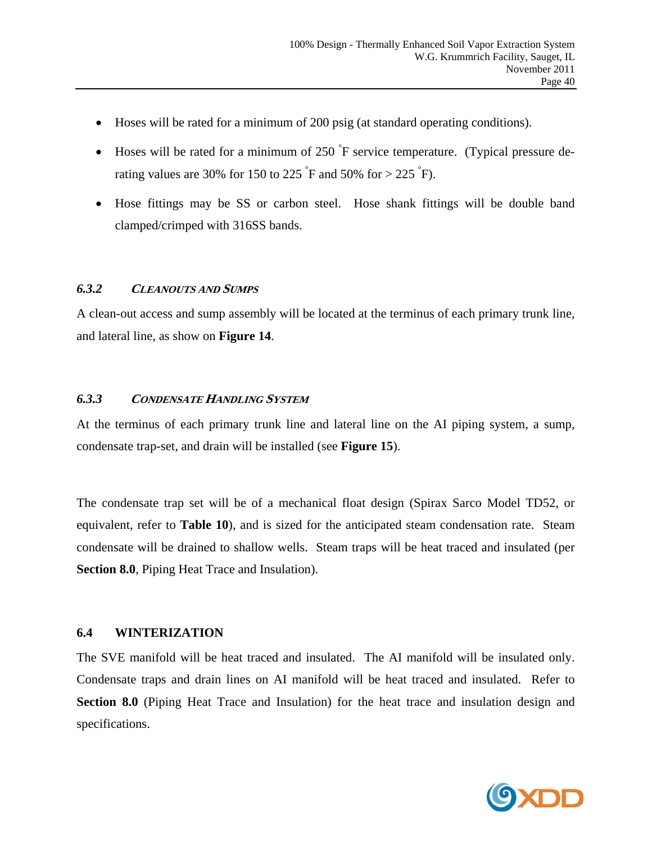- Hoses will be rated for a minimum of 200 psig (at standard operating conditions).
- Hoses will be rated for a minimum of 250  $\mathrm{F}$  service temperature. (Typical pressure derating values are 30% for 150 to 225  $\degree$ F and 50% for > 225  $\degree$ F).
- Hose fittings may be SS or carbon steel. Hose shank fittings will be double band clamped/crimped with 316SS bands.

#### *6.3.2* **CLEANOUTS AND SUMPS**

A clean-out access and sump assembly will be located at the terminus of each primary trunk line, and lateral line, as show on **Figure 14**.

#### *6.3.3* **CONDENSATE HANDLING SYSTEM**

At the terminus of each primary trunk line and lateral line on the AI piping system, a sump, condensate trap-set, and drain will be installed (see **Figure 15**).

The condensate trap set will be of a mechanical float design (Spirax Sarco Model TD52, or equivalent, refer to **Table 10**), and is sized for the anticipated steam condensation rate. Steam condensate will be drained to shallow wells. Steam traps will be heat traced and insulated (per **Section 8.0**, Piping Heat Trace and Insulation).

#### **6.4 WINTERIZATION**

The SVE manifold will be heat traced and insulated. The AI manifold will be insulated only. Condensate traps and drain lines on AI manifold will be heat traced and insulated. Refer to **Section 8.0** (Piping Heat Trace and Insulation) for the heat trace and insulation design and specifications.

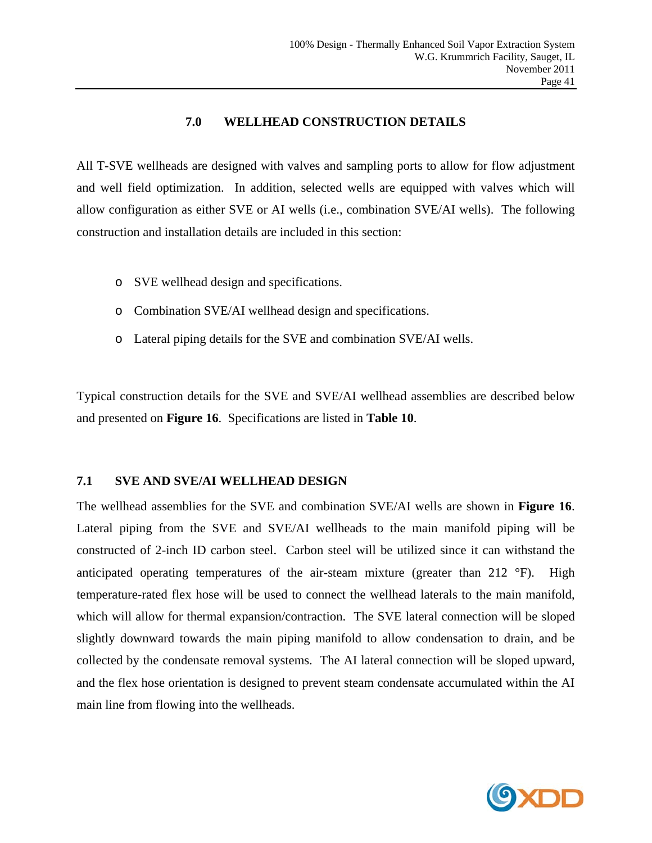#### **7.0 WELLHEAD CONSTRUCTION DETAILS**

All T-SVE wellheads are designed with valves and sampling ports to allow for flow adjustment and well field optimization. In addition, selected wells are equipped with valves which will allow configuration as either SVE or AI wells (i.e., combination SVE/AI wells). The following construction and installation details are included in this section:

- o SVE wellhead design and specifications.
- o Combination SVE/AI wellhead design and specifications.
- o Lateral piping details for the SVE and combination SVE/AI wells.

Typical construction details for the SVE and SVE/AI wellhead assemblies are described below and presented on **Figure 16**. Specifications are listed in **Table 10**.

#### **7.1 SVE AND SVE/AI WELLHEAD DESIGN**

The wellhead assemblies for the SVE and combination SVE/AI wells are shown in **Figure 16**. Lateral piping from the SVE and SVE/AI wellheads to the main manifold piping will be constructed of 2-inch ID carbon steel. Carbon steel will be utilized since it can withstand the anticipated operating temperatures of the air-steam mixture (greater than 212 °F). High temperature-rated flex hose will be used to connect the wellhead laterals to the main manifold, which will allow for thermal expansion/contraction. The SVE lateral connection will be sloped slightly downward towards the main piping manifold to allow condensation to drain, and be collected by the condensate removal systems. The AI lateral connection will be sloped upward, and the flex hose orientation is designed to prevent steam condensate accumulated within the AI main line from flowing into the wellheads.

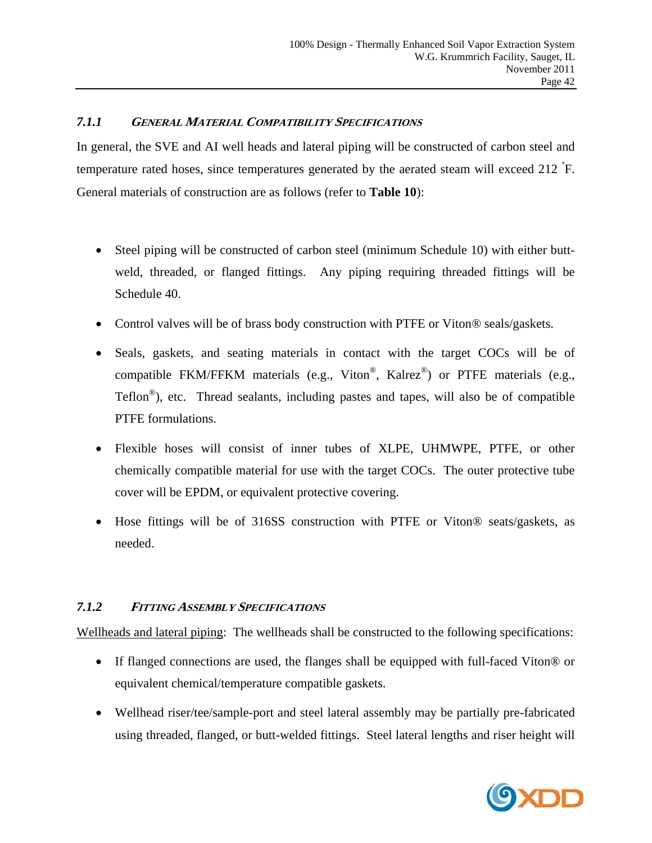#### *7.1.1* **GENERAL MATERIAL COMPATIBILITY SPECIFICATIONS**

In general, the SVE and AI well heads and lateral piping will be constructed of carbon steel and temperature rated hoses, since temperatures generated by the aerated steam will exceed 212 ° F. General materials of construction are as follows (refer to **Table 10**):

- Steel piping will be constructed of carbon steel (minimum Schedule 10) with either buttweld, threaded, or flanged fittings. Any piping requiring threaded fittings will be Schedule 40.
- Control valves will be of brass body construction with PTFE or Viton® seals/gaskets.
- Seals, gaskets, and seating materials in contact with the target COCs will be of compatible FKM/FFKM materials (e.g., Viton®, Kalrez®) or PTFE materials (e.g.,  $Teflon^{\circledast}$ ), etc. Thread sealants, including pastes and tapes, will also be of compatible PTFE formulations.
- Flexible hoses will consist of inner tubes of XLPE, UHMWPE, PTFE, or other chemically compatible material for use with the target COCs. The outer protective tube cover will be EPDM, or equivalent protective covering.
- Hose fittings will be of 316SS construction with PTFE or Viton® seats/gaskets, as needed.

# *7.1.2* **<sup>F</sup>ITTING ASSEMBLY SPECIFICATIONS**

Wellheads and lateral piping: The wellheads shall be constructed to the following specifications:

- If flanged connections are used, the flanges shall be equipped with full-faced Viton® or equivalent chemical/temperature compatible gaskets.
- Wellhead riser/tee/sample-port and steel lateral assembly may be partially pre-fabricated using threaded, flanged, or butt-welded fittings. Steel lateral lengths and riser height will

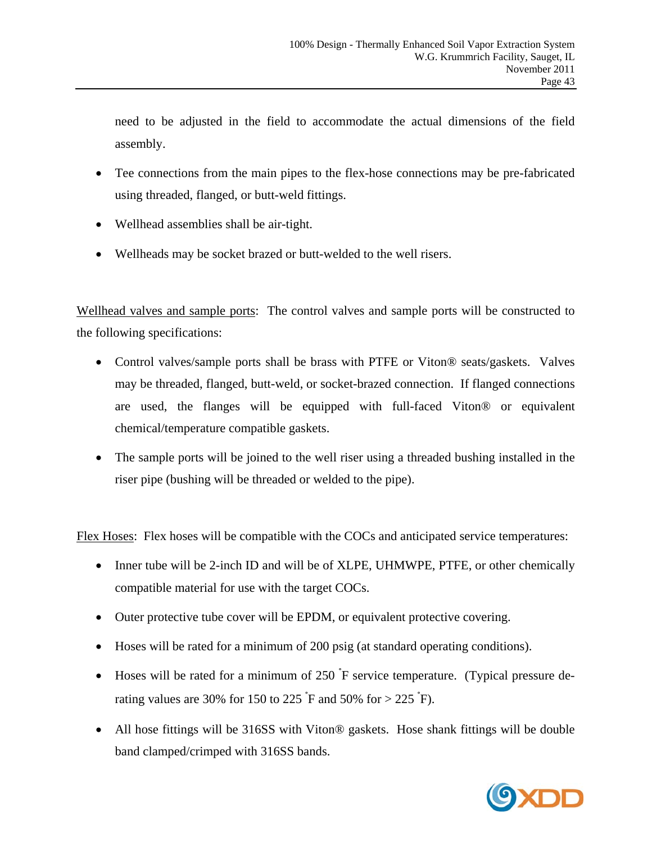need to be adjusted in the field to accommodate the actual dimensions of the field assembly.

- Tee connections from the main pipes to the flex-hose connections may be pre-fabricated using threaded, flanged, or butt-weld fittings.
- Wellhead assemblies shall be air-tight.
- Wellheads may be socket brazed or butt-welded to the well risers.

Wellhead valves and sample ports: The control valves and sample ports will be constructed to the following specifications:

- Control valves/sample ports shall be brass with PTFE or Viton® seats/gaskets. Valves may be threaded, flanged, butt-weld, or socket-brazed connection. If flanged connections are used, the flanges will be equipped with full-faced Viton® or equivalent chemical/temperature compatible gaskets.
- The sample ports will be joined to the well riser using a threaded bushing installed in the riser pipe (bushing will be threaded or welded to the pipe).

Flex Hoses: Flex hoses will be compatible with the COCs and anticipated service temperatures:

- Inner tube will be 2-inch ID and will be of XLPE, UHMWPE, PTFE, or other chemically compatible material for use with the target COCs.
- Outer protective tube cover will be EPDM, or equivalent protective covering.
- Hoses will be rated for a minimum of 200 psig (at standard operating conditions).
- Hoses will be rated for a minimum of 250  $\text{F}$  service temperature. (Typical pressure derating values are 30% for 150 to 225  $\textdegree$ F and 50% for > 225  $\textdegree$ F).
- All hose fittings will be 316SS with Viton® gaskets. Hose shank fittings will be double band clamped/crimped with 316SS bands.

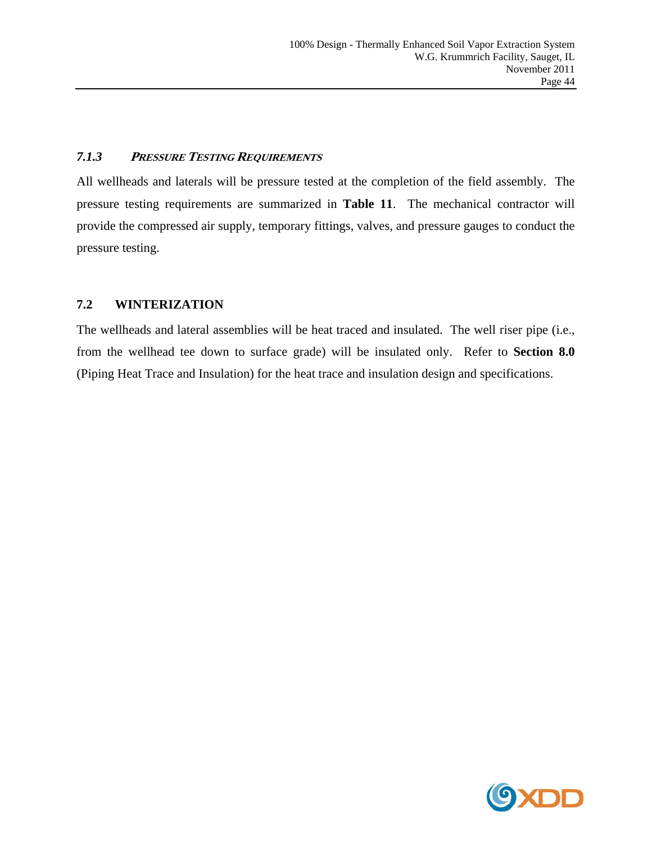#### *7.1.3* **<sup>P</sup>RESSURE TESTING REQUIREMENTS**

All wellheads and laterals will be pressure tested at the completion of the field assembly. The pressure testing requirements are summarized in **Table 11**. The mechanical contractor will provide the compressed air supply, temporary fittings, valves, and pressure gauges to conduct the pressure testing.

# **7.2 WINTERIZATION**

The wellheads and lateral assemblies will be heat traced and insulated. The well riser pipe (i.e., from the wellhead tee down to surface grade) will be insulated only. Refer to **Section 8.0** (Piping Heat Trace and Insulation) for the heat trace and insulation design and specifications.

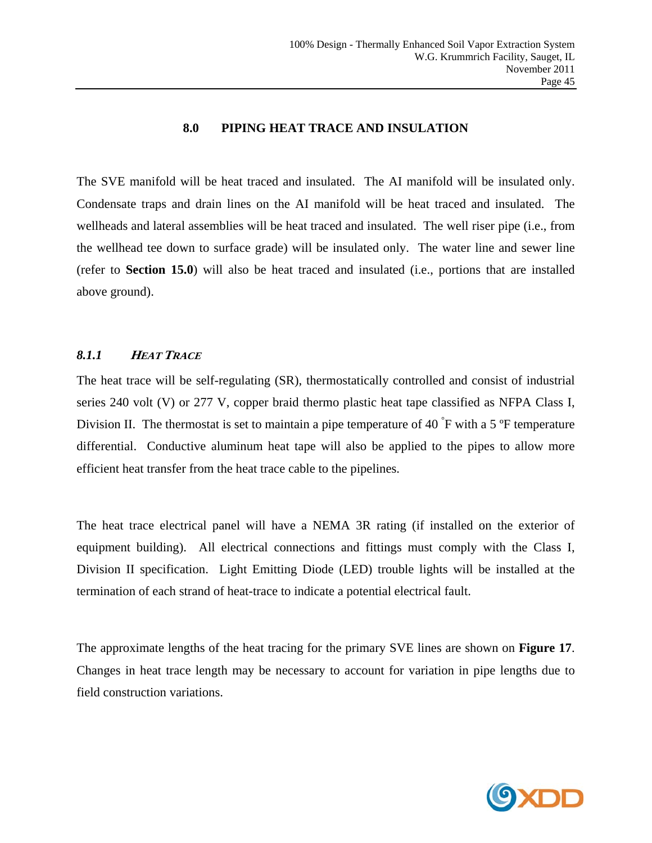#### **8.0 PIPING HEAT TRACE AND INSULATION**

The SVE manifold will be heat traced and insulated. The AI manifold will be insulated only. Condensate traps and drain lines on the AI manifold will be heat traced and insulated. The wellheads and lateral assemblies will be heat traced and insulated. The well riser pipe (i.e., from the wellhead tee down to surface grade) will be insulated only. The water line and sewer line (refer to **Section 15.0**) will also be heat traced and insulated (i.e., portions that are installed above ground).

#### *8.1.1* **<sup>H</sup>EAT TRACE**

The heat trace will be self-regulating (SR), thermostatically controlled and consist of industrial series 240 volt (V) or 277 V, copper braid thermo plastic heat tape classified as NFPA Class I, Division II. The thermostat is set to maintain a pipe temperature of 40  $\mathrm{F}$  with a 5  $\mathrm{F}$  temperature differential. Conductive aluminum heat tape will also be applied to the pipes to allow more efficient heat transfer from the heat trace cable to the pipelines.

The heat trace electrical panel will have a NEMA 3R rating (if installed on the exterior of equipment building). All electrical connections and fittings must comply with the Class I, Division II specification. Light Emitting Diode (LED) trouble lights will be installed at the termination of each strand of heat-trace to indicate a potential electrical fault.

The approximate lengths of the heat tracing for the primary SVE lines are shown on **Figure 17**. Changes in heat trace length may be necessary to account for variation in pipe lengths due to field construction variations.

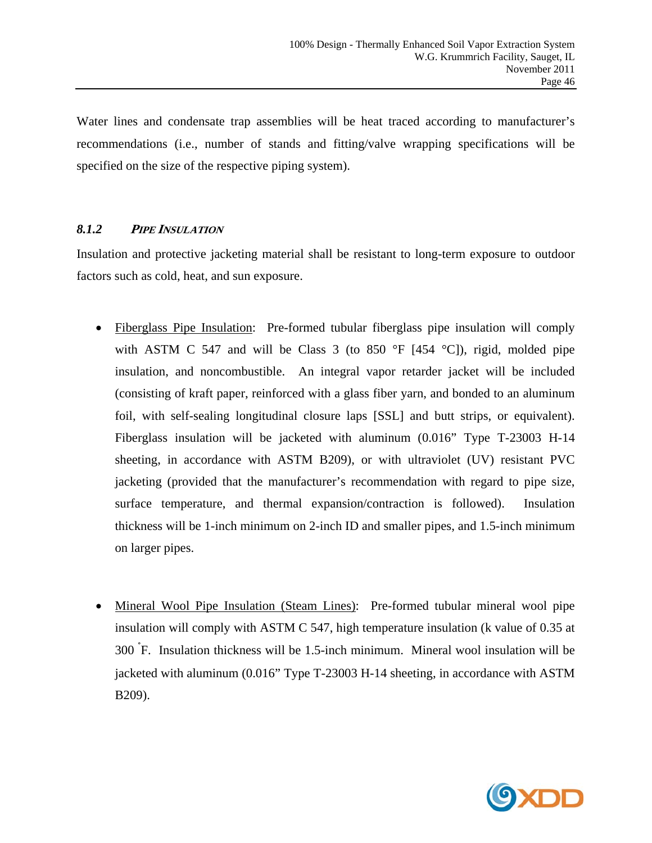Water lines and condensate trap assemblies will be heat traced according to manufacturer's recommendations (i.e., number of stands and fitting/valve wrapping specifications will be specified on the size of the respective piping system).

# *8.1.2* **<sup>P</sup>IPE INSULATION**

Insulation and protective jacketing material shall be resistant to long-term exposure to outdoor factors such as cold, heat, and sun exposure.

- Fiberglass Pipe Insulation: Pre-formed tubular fiberglass pipe insulation will comply with ASTM C 547 and will be Class 3 (to 850  $\degree$ F [454  $\degree$ C]), rigid, molded pipe insulation, and noncombustible. An integral vapor retarder jacket will be included (consisting of kraft paper, reinforced with a glass fiber yarn, and bonded to an aluminum foil, with self-sealing longitudinal closure laps [SSL] and butt strips, or equivalent). Fiberglass insulation will be jacketed with aluminum (0.016" Type T-23003 H-14 sheeting, in accordance with ASTM B209), or with ultraviolet (UV) resistant PVC jacketing (provided that the manufacturer's recommendation with regard to pipe size, surface temperature, and thermal expansion/contraction is followed). Insulation thickness will be 1-inch minimum on 2-inch ID and smaller pipes, and 1.5-inch minimum on larger pipes.
- Mineral Wool Pipe Insulation (Steam Lines): Pre-formed tubular mineral wool pipe insulation will comply with ASTM C 547, high temperature insulation (k value of 0.35 at 300 ° F. Insulation thickness will be 1.5-inch minimum. Mineral wool insulation will be jacketed with aluminum (0.016" Type T-23003 H-14 sheeting, in accordance with ASTM B209).

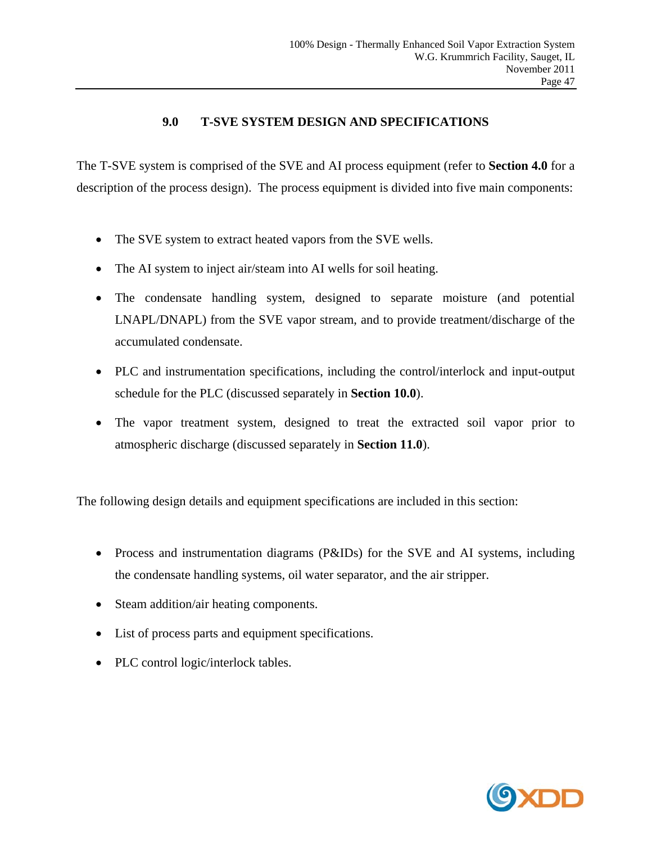# **9.0 T-SVE SYSTEM DESIGN AND SPECIFICATIONS**

The T-SVE system is comprised of the SVE and AI process equipment (refer to **Section 4.0** for a description of the process design). The process equipment is divided into five main components:

- The SVE system to extract heated vapors from the SVE wells.
- The AI system to inject air/steam into AI wells for soil heating.
- The condensate handling system, designed to separate moisture (and potential LNAPL/DNAPL) from the SVE vapor stream, and to provide treatment/discharge of the accumulated condensate.
- PLC and instrumentation specifications, including the control/interlock and input-output schedule for the PLC (discussed separately in **Section 10.0**).
- The vapor treatment system, designed to treat the extracted soil vapor prior to atmospheric discharge (discussed separately in **Section 11.0**).

The following design details and equipment specifications are included in this section:

- Process and instrumentation diagrams (P&IDs) for the SVE and AI systems, including the condensate handling systems, oil water separator, and the air stripper.
- Steam addition/air heating components.
- List of process parts and equipment specifications.
- PLC control logic/interlock tables.

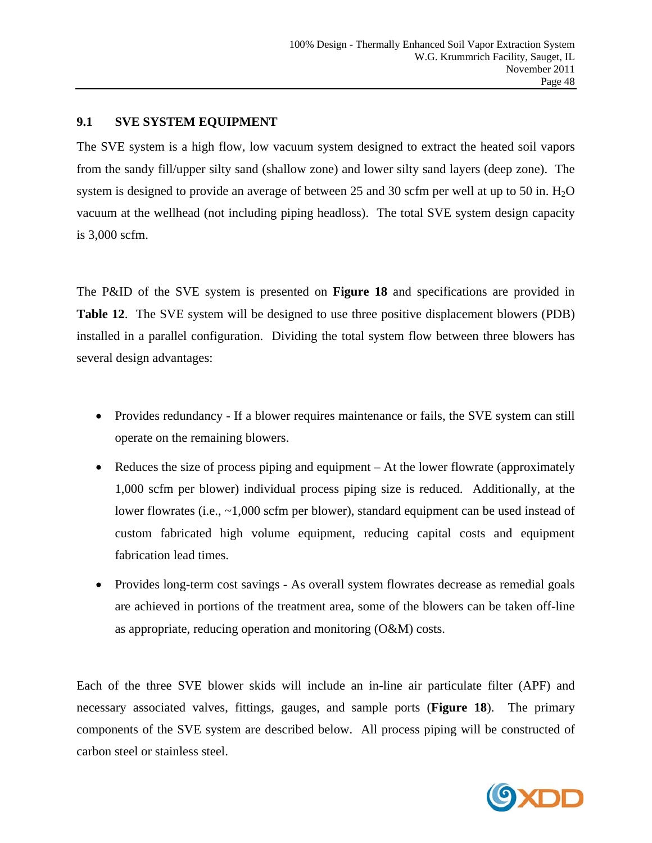#### **9.1 SVE SYSTEM EQUIPMENT**

The SVE system is a high flow, low vacuum system designed to extract the heated soil vapors from the sandy fill/upper silty sand (shallow zone) and lower silty sand layers (deep zone). The system is designed to provide an average of between 25 and 30 scfm per well at up to 50 in.  $H_2O$ vacuum at the wellhead (not including piping headloss). The total SVE system design capacity is 3,000 scfm.

The P&ID of the SVE system is presented on **Figure 18** and specifications are provided in **Table 12**. The SVE system will be designed to use three positive displacement blowers (PDB) installed in a parallel configuration. Dividing the total system flow between three blowers has several design advantages:

- Provides redundancy If a blower requires maintenance or fails, the SVE system can still operate on the remaining blowers.
- Reduces the size of process piping and equipment At the lower flowrate (approximately 1,000 scfm per blower) individual process piping size is reduced. Additionally, at the lower flowrates (i.e., ~1,000 scfm per blower), standard equipment can be used instead of custom fabricated high volume equipment, reducing capital costs and equipment fabrication lead times.
- Provides long-term cost savings As overall system flowrates decrease as remedial goals are achieved in portions of the treatment area, some of the blowers can be taken off-line as appropriate, reducing operation and monitoring (O&M) costs.

Each of the three SVE blower skids will include an in-line air particulate filter (APF) and necessary associated valves, fittings, gauges, and sample ports (**Figure 18**). The primary components of the SVE system are described below. All process piping will be constructed of carbon steel or stainless steel.

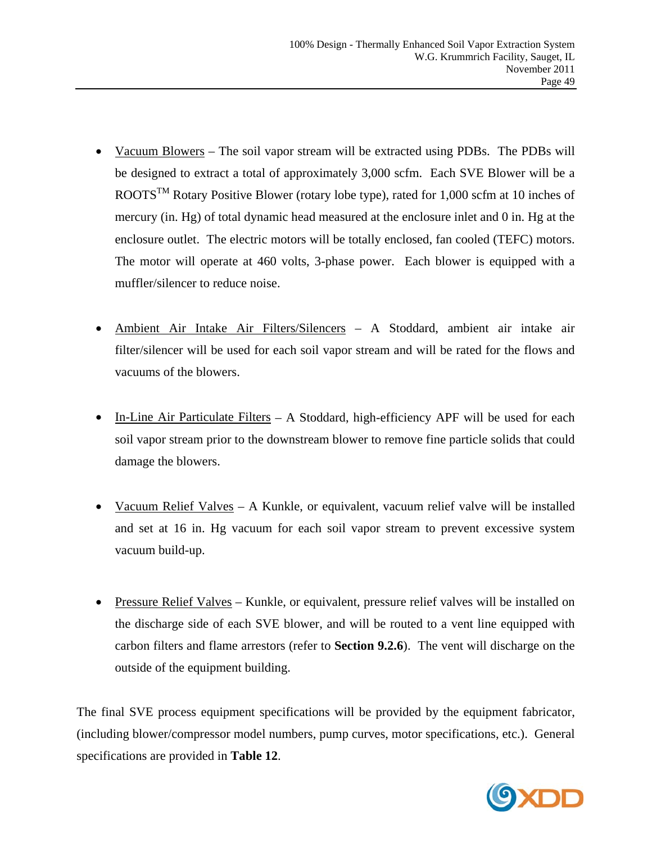- Vacuum Blowers The soil vapor stream will be extracted using PDBs. The PDBs will be designed to extract a total of approximately 3,000 scfm. Each SVE Blower will be a ROOTS<sup>TM</sup> Rotary Positive Blower (rotary lobe type), rated for 1,000 scfm at 10 inches of mercury (in. Hg) of total dynamic head measured at the enclosure inlet and 0 in. Hg at the enclosure outlet. The electric motors will be totally enclosed, fan cooled (TEFC) motors. The motor will operate at 460 volts, 3-phase power. Each blower is equipped with a muffler/silencer to reduce noise.
- Ambient Air Intake Air Filters/Silencers A Stoddard, ambient air intake air filter/silencer will be used for each soil vapor stream and will be rated for the flows and vacuums of the blowers.
- In-Line Air Particulate Filters A Stoddard, high-efficiency APF will be used for each soil vapor stream prior to the downstream blower to remove fine particle solids that could damage the blowers.
- Vacuum Relief Valves A Kunkle, or equivalent, vacuum relief valve will be installed and set at 16 in. Hg vacuum for each soil vapor stream to prevent excessive system vacuum build-up.
- Pressure Relief Valves Kunkle, or equivalent, pressure relief valves will be installed on the discharge side of each SVE blower, and will be routed to a vent line equipped with carbon filters and flame arrestors (refer to **Section 9.2.6**). The vent will discharge on the outside of the equipment building.

The final SVE process equipment specifications will be provided by the equipment fabricator, (including blower/compressor model numbers, pump curves, motor specifications, etc.). General specifications are provided in **Table 12**.

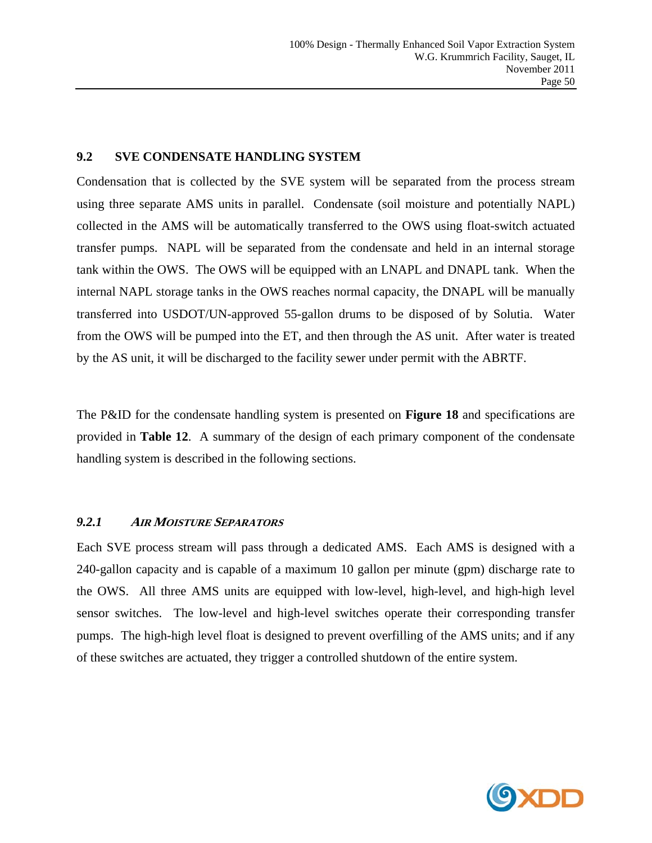#### **9.2 SVE CONDENSATE HANDLING SYSTEM**

Condensation that is collected by the SVE system will be separated from the process stream using three separate AMS units in parallel. Condensate (soil moisture and potentially NAPL) collected in the AMS will be automatically transferred to the OWS using float-switch actuated transfer pumps. NAPL will be separated from the condensate and held in an internal storage tank within the OWS. The OWS will be equipped with an LNAPL and DNAPL tank. When the internal NAPL storage tanks in the OWS reaches normal capacity, the DNAPL will be manually transferred into USDOT/UN-approved 55-gallon drums to be disposed of by Solutia. Water from the OWS will be pumped into the ET, and then through the AS unit. After water is treated by the AS unit, it will be discharged to the facility sewer under permit with the ABRTF.

The P&ID for the condensate handling system is presented on **Figure 18** and specifications are provided in **Table 12**. A summary of the design of each primary component of the condensate handling system is described in the following sections.

# *9.2.1* **<sup>A</sup>IR MOISTURE SEPARATORS**

Each SVE process stream will pass through a dedicated AMS. Each AMS is designed with a 240-gallon capacity and is capable of a maximum 10 gallon per minute (gpm) discharge rate to the OWS. All three AMS units are equipped with low-level, high-level, and high-high level sensor switches. The low-level and high-level switches operate their corresponding transfer pumps. The high-high level float is designed to prevent overfilling of the AMS units; and if any of these switches are actuated, they trigger a controlled shutdown of the entire system.

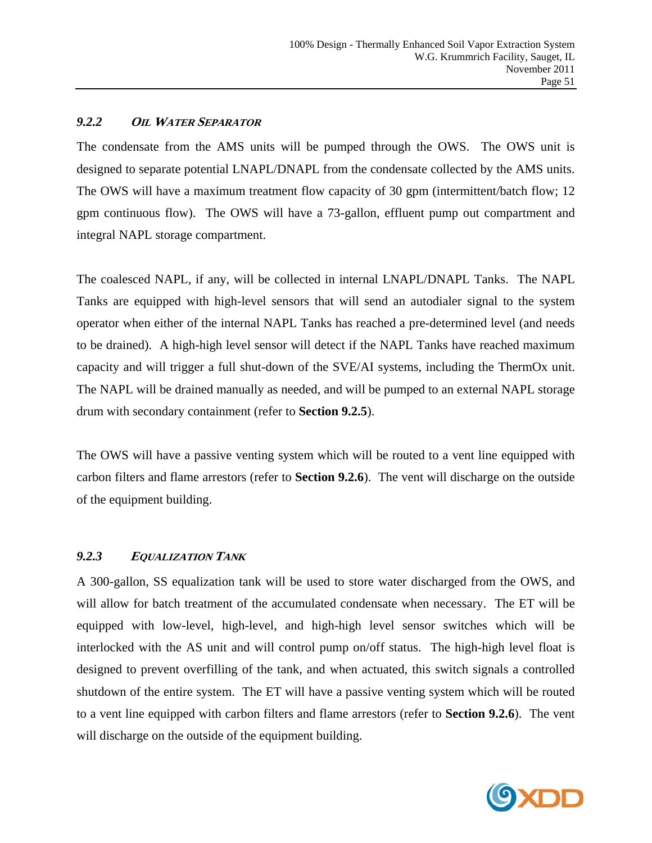#### *9.2.2* **OIL WATER SEPARATOR**

The condensate from the AMS units will be pumped through the OWS. The OWS unit is designed to separate potential LNAPL/DNAPL from the condensate collected by the AMS units. The OWS will have a maximum treatment flow capacity of 30 gpm (intermittent/batch flow; 12 gpm continuous flow). The OWS will have a 73-gallon, effluent pump out compartment and integral NAPL storage compartment.

The coalesced NAPL, if any, will be collected in internal LNAPL/DNAPL Tanks. The NAPL Tanks are equipped with high-level sensors that will send an autodialer signal to the system operator when either of the internal NAPL Tanks has reached a pre-determined level (and needs to be drained). A high-high level sensor will detect if the NAPL Tanks have reached maximum capacity and will trigger a full shut-down of the SVE/AI systems, including the ThermOx unit. The NAPL will be drained manually as needed, and will be pumped to an external NAPL storage drum with secondary containment (refer to **Section 9.2.5**).

The OWS will have a passive venting system which will be routed to a vent line equipped with carbon filters and flame arrestors (refer to **Section 9.2.6**). The vent will discharge on the outside of the equipment building.

# *9.2.3* **<sup>E</sup>QUALIZATION TANK**

A 300-gallon, SS equalization tank will be used to store water discharged from the OWS, and will allow for batch treatment of the accumulated condensate when necessary. The ET will be equipped with low-level, high-level, and high-high level sensor switches which will be interlocked with the AS unit and will control pump on/off status. The high-high level float is designed to prevent overfilling of the tank, and when actuated, this switch signals a controlled shutdown of the entire system. The ET will have a passive venting system which will be routed to a vent line equipped with carbon filters and flame arrestors (refer to **Section 9.2.6**). The vent will discharge on the outside of the equipment building.

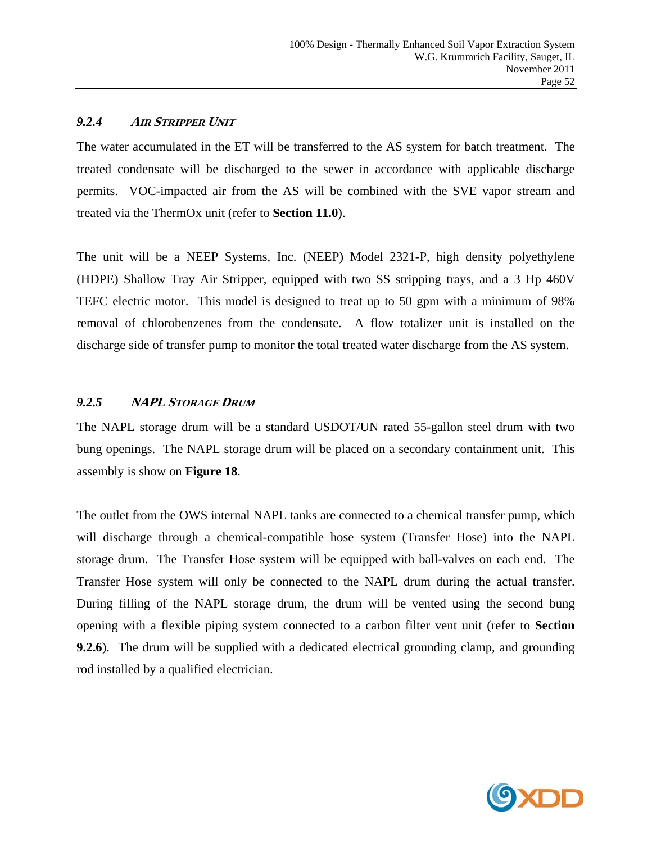#### *9.2.4* **<sup>A</sup>IR STRIPPER UNIT**

The water accumulated in the ET will be transferred to the AS system for batch treatment. The treated condensate will be discharged to the sewer in accordance with applicable discharge permits. VOC-impacted air from the AS will be combined with the SVE vapor stream and treated via the ThermOx unit (refer to **Section 11.0**).

The unit will be a NEEP Systems, Inc. (NEEP) Model 2321-P, high density polyethylene (HDPE) Shallow Tray Air Stripper, equipped with two SS stripping trays, and a 3 Hp 460V TEFC electric motor. This model is designed to treat up to 50 gpm with a minimum of 98% removal of chlorobenzenes from the condensate. A flow totalizer unit is installed on the discharge side of transfer pump to monitor the total treated water discharge from the AS system.

# *9.2.5* **NAPL STORAGE DRUM**

The NAPL storage drum will be a standard USDOT/UN rated 55-gallon steel drum with two bung openings. The NAPL storage drum will be placed on a secondary containment unit. This assembly is show on **Figure 18**.

The outlet from the OWS internal NAPL tanks are connected to a chemical transfer pump, which will discharge through a chemical-compatible hose system (Transfer Hose) into the NAPL storage drum. The Transfer Hose system will be equipped with ball-valves on each end. The Transfer Hose system will only be connected to the NAPL drum during the actual transfer. During filling of the NAPL storage drum, the drum will be vented using the second bung opening with a flexible piping system connected to a carbon filter vent unit (refer to **Section 9.2.6**). The drum will be supplied with a dedicated electrical grounding clamp, and grounding rod installed by a qualified electrician.

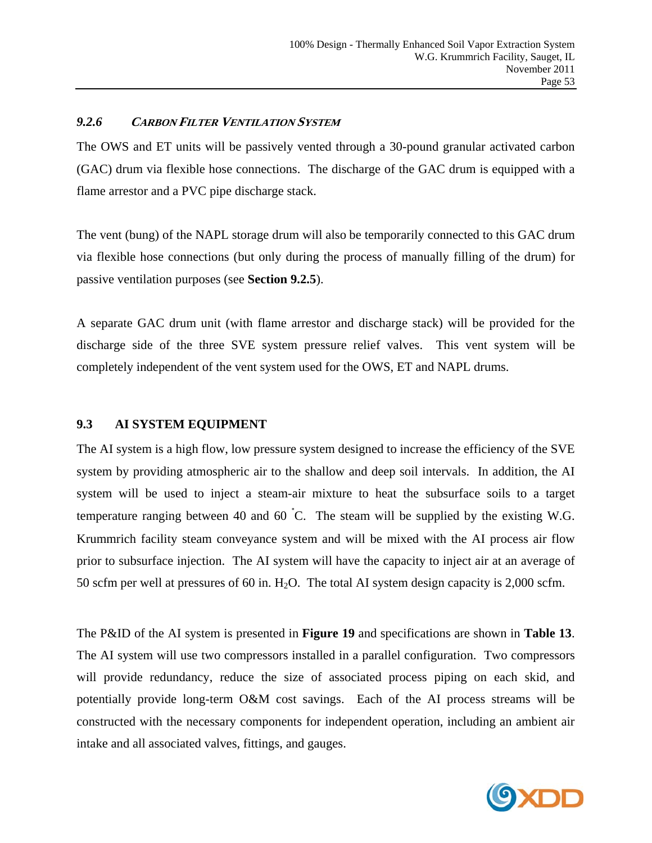#### *9.2.6* **CARBON FILTER VENTILATION SYSTEM**

The OWS and ET units will be passively vented through a 30-pound granular activated carbon (GAC) drum via flexible hose connections. The discharge of the GAC drum is equipped with a flame arrestor and a PVC pipe discharge stack.

The vent (bung) of the NAPL storage drum will also be temporarily connected to this GAC drum via flexible hose connections (but only during the process of manually filling of the drum) for passive ventilation purposes (see **Section 9.2.5**).

A separate GAC drum unit (with flame arrestor and discharge stack) will be provided for the discharge side of the three SVE system pressure relief valves. This vent system will be completely independent of the vent system used for the OWS, ET and NAPL drums.

#### **9.3 AI SYSTEM EQUIPMENT**

The AI system is a high flow, low pressure system designed to increase the efficiency of the SVE system by providing atmospheric air to the shallow and deep soil intervals. In addition, the AI system will be used to inject a steam-air mixture to heat the subsurface soils to a target temperature ranging between 40 and 60  $\degree$ C. The steam will be supplied by the existing W.G. Krummrich facility steam conveyance system and will be mixed with the AI process air flow prior to subsurface injection. The AI system will have the capacity to inject air at an average of 50 scfm per well at pressures of 60 in.  $H_2O$ . The total AI system design capacity is 2,000 scfm.

The P&ID of the AI system is presented in **Figure 19** and specifications are shown in **Table 13**. The AI system will use two compressors installed in a parallel configuration. Two compressors will provide redundancy, reduce the size of associated process piping on each skid, and potentially provide long-term O&M cost savings. Each of the AI process streams will be constructed with the necessary components for independent operation, including an ambient air intake and all associated valves, fittings, and gauges.

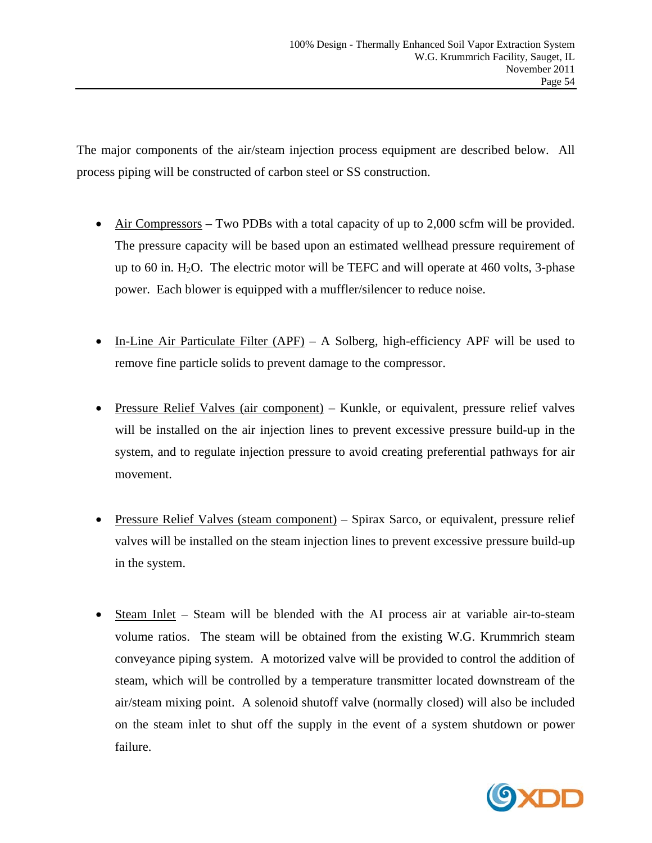The major components of the air/steam injection process equipment are described below. All process piping will be constructed of carbon steel or SS construction.

- Air Compressors Two PDBs with a total capacity of up to 2,000 scfm will be provided. The pressure capacity will be based upon an estimated wellhead pressure requirement of up to 60 in.  $H_2O$ . The electric motor will be TEFC and will operate at 460 volts, 3-phase power. Each blower is equipped with a muffler/silencer to reduce noise.
- In-Line Air Particulate Filter (APF) A Solberg, high-efficiency APF will be used to remove fine particle solids to prevent damage to the compressor.
- Pressure Relief Valves (air component) Kunkle, or equivalent, pressure relief valves will be installed on the air injection lines to prevent excessive pressure build-up in the system, and to regulate injection pressure to avoid creating preferential pathways for air movement.
- Pressure Relief Valves (steam component) Spirax Sarco, or equivalent, pressure relief valves will be installed on the steam injection lines to prevent excessive pressure build-up in the system.
- Steam Inlet Steam will be blended with the AI process air at variable air-to-steam volume ratios. The steam will be obtained from the existing W.G. Krummrich steam conveyance piping system. A motorized valve will be provided to control the addition of steam, which will be controlled by a temperature transmitter located downstream of the air/steam mixing point. A solenoid shutoff valve (normally closed) will also be included on the steam inlet to shut off the supply in the event of a system shutdown or power failure.

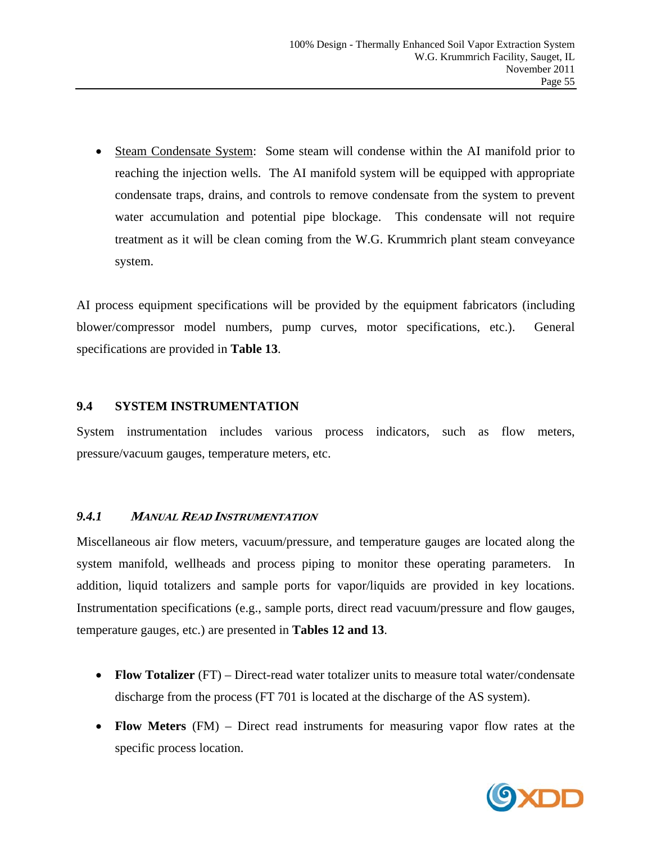Steam Condensate System: Some steam will condense within the AI manifold prior to reaching the injection wells. The AI manifold system will be equipped with appropriate condensate traps, drains, and controls to remove condensate from the system to prevent water accumulation and potential pipe blockage. This condensate will not require treatment as it will be clean coming from the W.G. Krummrich plant steam conveyance system.

AI process equipment specifications will be provided by the equipment fabricators (including blower/compressor model numbers, pump curves, motor specifications, etc.). General specifications are provided in **Table 13**.

# **9.4 SYSTEM INSTRUMENTATION**

System instrumentation includes various process indicators, such as flow meters, pressure/vacuum gauges, temperature meters, etc.

# *9.4.1* **<sup>M</sup>ANUAL READ INSTRUMENTATION**

Miscellaneous air flow meters, vacuum/pressure, and temperature gauges are located along the system manifold, wellheads and process piping to monitor these operating parameters. In addition, liquid totalizers and sample ports for vapor/liquids are provided in key locations. Instrumentation specifications (e.g., sample ports, direct read vacuum/pressure and flow gauges, temperature gauges, etc.) are presented in **Tables 12 and 13**.

- **Flow Totalizer** (FT) Direct-read water totalizer units to measure total water/condensate discharge from the process (FT 701 is located at the discharge of the AS system).
- **Flow Meters** (FM) Direct read instruments for measuring vapor flow rates at the specific process location.

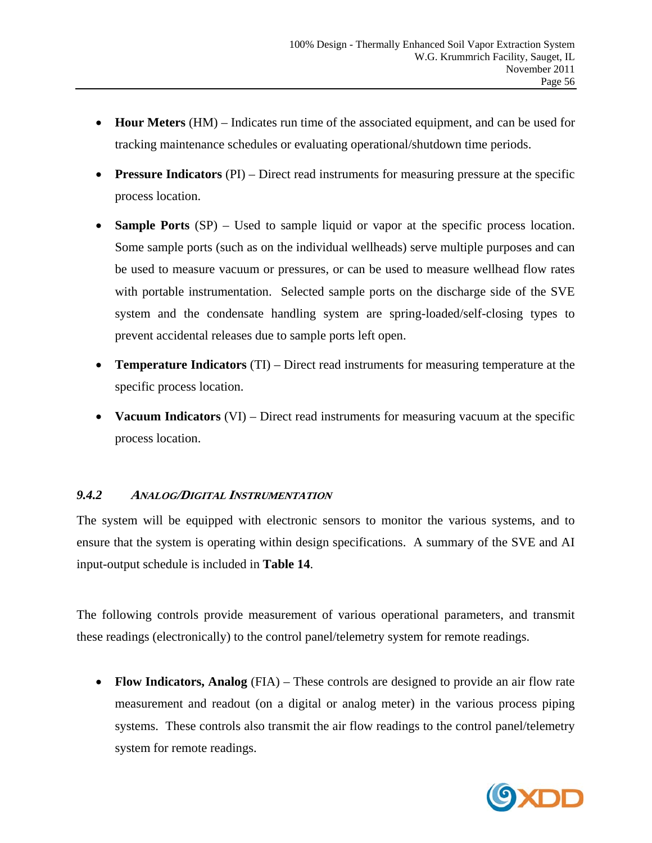- **Hour Meters** (HM) Indicates run time of the associated equipment, and can be used for tracking maintenance schedules or evaluating operational/shutdown time periods.
- **Pressure Indicators** (PI) Direct read instruments for measuring pressure at the specific process location.
- **Sample Ports** (SP) Used to sample liquid or vapor at the specific process location. Some sample ports (such as on the individual wellheads) serve multiple purposes and can be used to measure vacuum or pressures, or can be used to measure wellhead flow rates with portable instrumentation. Selected sample ports on the discharge side of the SVE system and the condensate handling system are spring-loaded/self-closing types to prevent accidental releases due to sample ports left open.
- **Temperature Indicators** (TI) Direct read instruments for measuring temperature at the specific process location.
- **Vacuum Indicators** (VI) Direct read instruments for measuring vacuum at the specific process location.

# *9.4.2* **<sup>A</sup>NALOG/DIGITAL INSTRUMENTATION**

The system will be equipped with electronic sensors to monitor the various systems, and to ensure that the system is operating within design specifications. A summary of the SVE and AI input-output schedule is included in **Table 14**.

The following controls provide measurement of various operational parameters, and transmit these readings (electronically) to the control panel/telemetry system for remote readings.

 **Flow Indicators, Analog** (FIA) – These controls are designed to provide an air flow rate measurement and readout (on a digital or analog meter) in the various process piping systems. These controls also transmit the air flow readings to the control panel/telemetry system for remote readings.

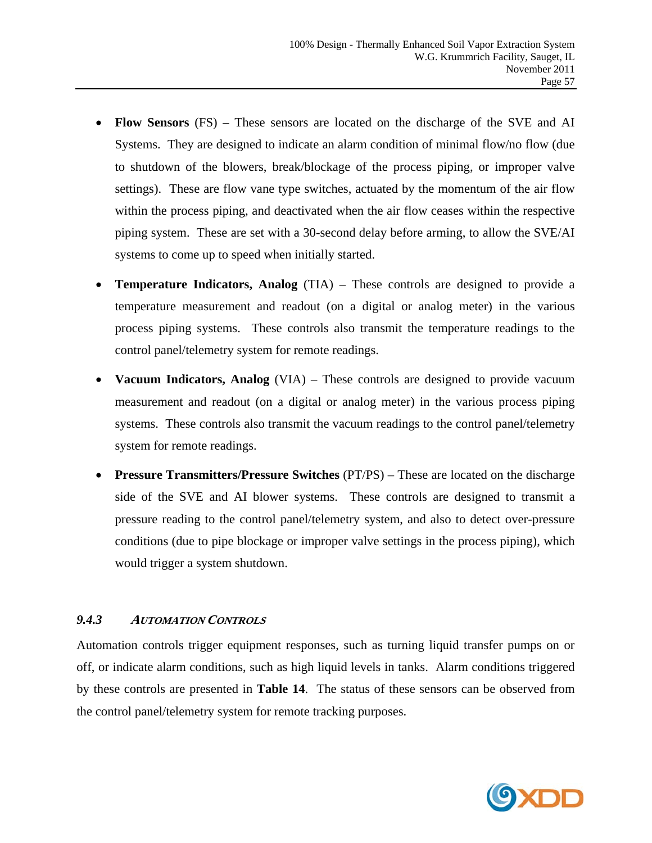- **Flow Sensors** (FS) These sensors are located on the discharge of the SVE and AI Systems. They are designed to indicate an alarm condition of minimal flow/no flow (due to shutdown of the blowers, break/blockage of the process piping, or improper valve settings). These are flow vane type switches, actuated by the momentum of the air flow within the process piping, and deactivated when the air flow ceases within the respective piping system. These are set with a 30-second delay before arming, to allow the SVE/AI systems to come up to speed when initially started.
- **Temperature Indicators, Analog** (TIA) These controls are designed to provide a temperature measurement and readout (on a digital or analog meter) in the various process piping systems. These controls also transmit the temperature readings to the control panel/telemetry system for remote readings.
- **Vacuum Indicators, Analog** (VIA) These controls are designed to provide vacuum measurement and readout (on a digital or analog meter) in the various process piping systems. These controls also transmit the vacuum readings to the control panel/telemetry system for remote readings.
- **Pressure Transmitters/Pressure Switches** (PT/PS) These are located on the discharge side of the SVE and AI blower systems. These controls are designed to transmit a pressure reading to the control panel/telemetry system, and also to detect over-pressure conditions (due to pipe blockage or improper valve settings in the process piping), which would trigger a system shutdown.

# *9.4.3* **<sup>A</sup>UTOMATION CONTROLS**

Automation controls trigger equipment responses, such as turning liquid transfer pumps on or off, or indicate alarm conditions, such as high liquid levels in tanks. Alarm conditions triggered by these controls are presented in **Table 14**. The status of these sensors can be observed from the control panel/telemetry system for remote tracking purposes.

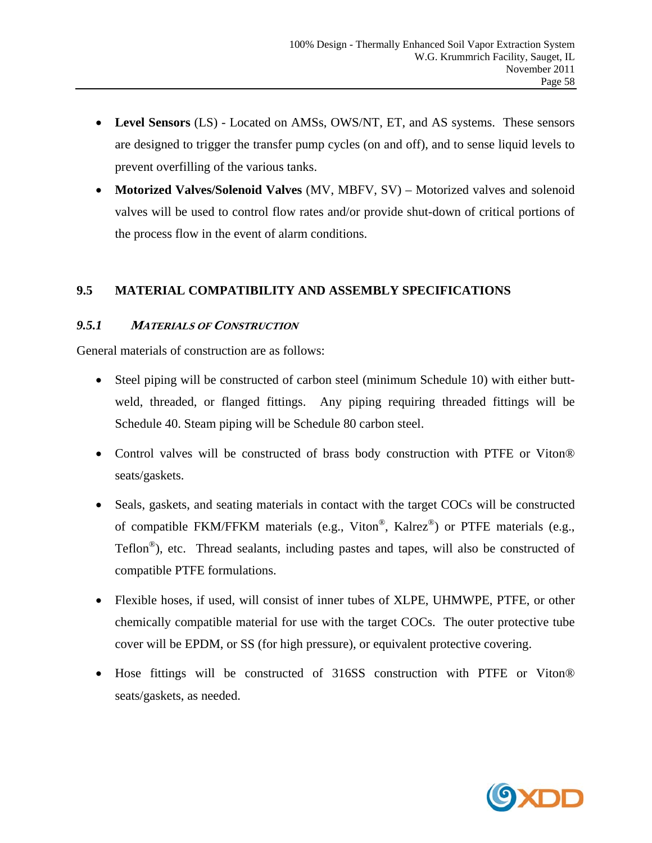- **Level Sensors** (LS) Located on AMSs, OWS/NT, ET, and AS systems. These sensors are designed to trigger the transfer pump cycles (on and off), and to sense liquid levels to prevent overfilling of the various tanks.
- **Motorized Valves/Solenoid Valves** (MV, MBFV, SV) Motorized valves and solenoid valves will be used to control flow rates and/or provide shut-down of critical portions of the process flow in the event of alarm conditions.

# **9.5 MATERIAL COMPATIBILITY AND ASSEMBLY SPECIFICATIONS**

# *9.5.1* **<sup>M</sup>ATERIALS OF CONSTRUCTION**

General materials of construction are as follows:

- Steel piping will be constructed of carbon steel (minimum Schedule 10) with either buttweld, threaded, or flanged fittings. Any piping requiring threaded fittings will be Schedule 40. Steam piping will be Schedule 80 carbon steel.
- Control valves will be constructed of brass body construction with PTFE or Viton® seats/gaskets.
- Seals, gaskets, and seating materials in contact with the target COCs will be constructed of compatible FKM/FFKM materials (e.g., Viton®, Kalrez®) or PTFE materials (e.g., Teflon®), etc. Thread sealants, including pastes and tapes, will also be constructed of compatible PTFE formulations.
- Flexible hoses, if used, will consist of inner tubes of XLPE, UHMWPE, PTFE, or other chemically compatible material for use with the target COCs. The outer protective tube cover will be EPDM, or SS (for high pressure), or equivalent protective covering.
- Hose fittings will be constructed of 316SS construction with PTFE or Viton® seats/gaskets, as needed.

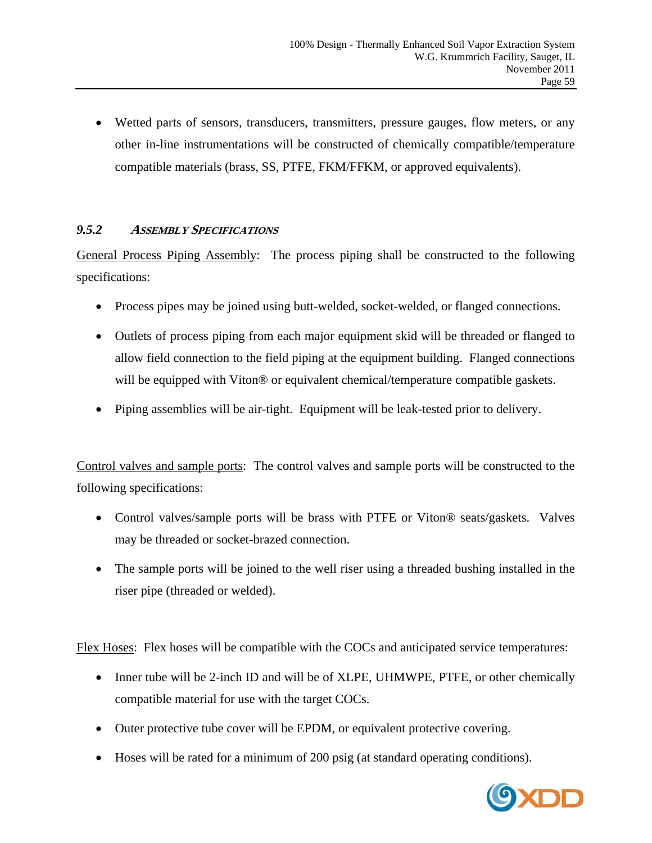Wetted parts of sensors, transducers, transmitters, pressure gauges, flow meters, or any other in-line instrumentations will be constructed of chemically compatible/temperature compatible materials (brass, SS, PTFE, FKM/FFKM, or approved equivalents).

# *9.5.2* **<sup>A</sup>SSEMBLY SPECIFICATIONS**

General Process Piping Assembly: The process piping shall be constructed to the following specifications:

- Process pipes may be joined using butt-welded, socket-welded, or flanged connections.
- Outlets of process piping from each major equipment skid will be threaded or flanged to allow field connection to the field piping at the equipment building. Flanged connections will be equipped with Viton<sup>®</sup> or equivalent chemical/temperature compatible gaskets.
- Piping assemblies will be air-tight. Equipment will be leak-tested prior to delivery.

Control valves and sample ports: The control valves and sample ports will be constructed to the following specifications:

- Control valves/sample ports will be brass with PTFE or Viton® seats/gaskets. Valves may be threaded or socket-brazed connection.
- The sample ports will be joined to the well riser using a threaded bushing installed in the riser pipe (threaded or welded).

Flex Hoses: Flex hoses will be compatible with the COCs and anticipated service temperatures:

- Inner tube will be 2-inch ID and will be of XLPE, UHMWPE, PTFE, or other chemically compatible material for use with the target COCs.
- Outer protective tube cover will be EPDM, or equivalent protective covering.
- Hoses will be rated for a minimum of 200 psig (at standard operating conditions).

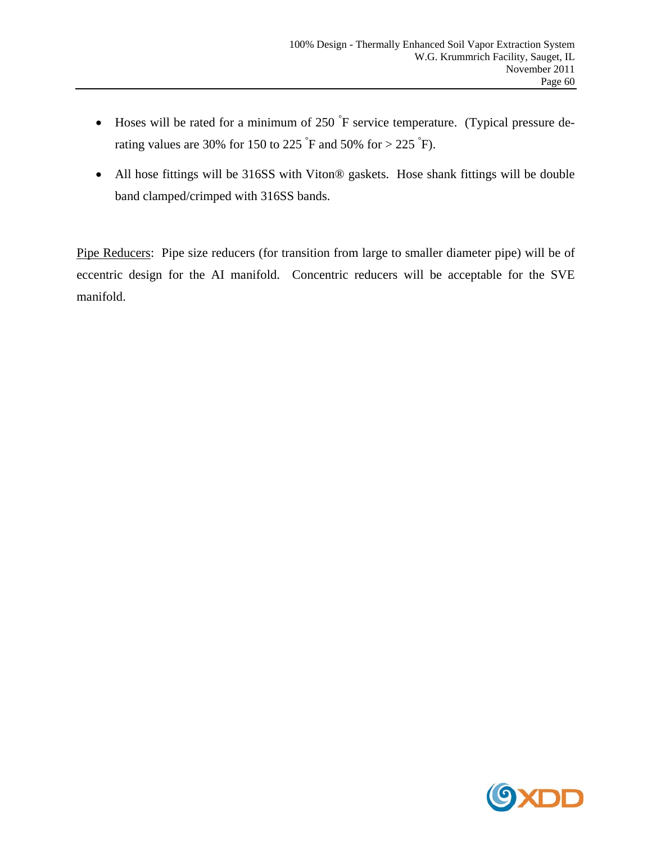- Hoses will be rated for a minimum of 250  $\mathrm{F}$  service temperature. (Typical pressure derating values are 30% for 150 to 225  $\degree$ F and 50% for > 225  $\degree$ F).
- All hose fittings will be 316SS with Viton® gaskets. Hose shank fittings will be double band clamped/crimped with 316SS bands.

Pipe Reducers: Pipe size reducers (for transition from large to smaller diameter pipe) will be of eccentric design for the AI manifold. Concentric reducers will be acceptable for the SVE manifold.

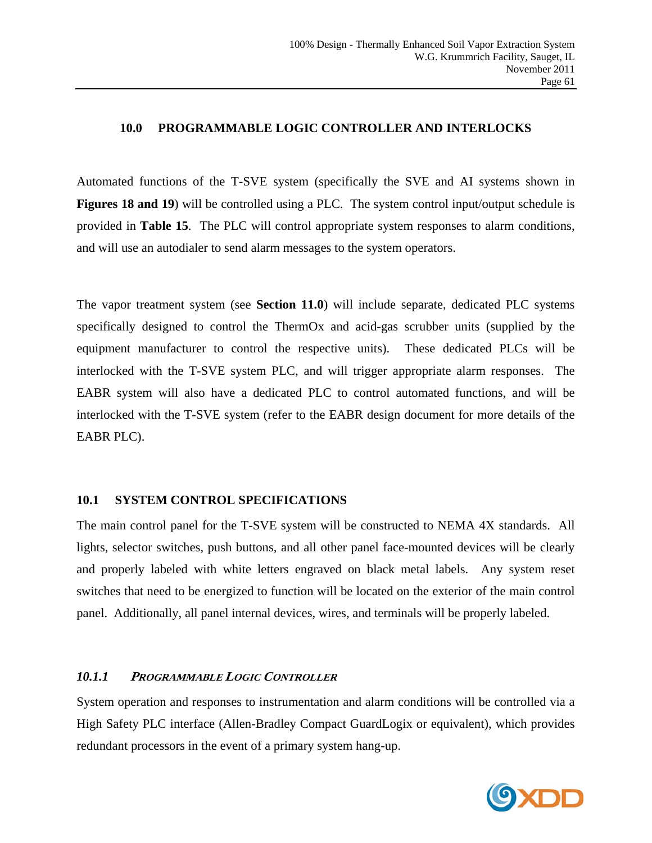#### **10.0 PROGRAMMABLE LOGIC CONTROLLER AND INTERLOCKS**

Automated functions of the T-SVE system (specifically the SVE and AI systems shown in **Figures 18 and 19**) will be controlled using a PLC. The system control input/output schedule is provided in **Table 15**. The PLC will control appropriate system responses to alarm conditions, and will use an autodialer to send alarm messages to the system operators.

The vapor treatment system (see **Section 11.0**) will include separate, dedicated PLC systems specifically designed to control the ThermOx and acid-gas scrubber units (supplied by the equipment manufacturer to control the respective units). These dedicated PLCs will be interlocked with the T-SVE system PLC, and will trigger appropriate alarm responses. The EABR system will also have a dedicated PLC to control automated functions, and will be interlocked with the T-SVE system (refer to the EABR design document for more details of the EABR PLC).

#### **10.1 SYSTEM CONTROL SPECIFICATIONS**

The main control panel for the T-SVE system will be constructed to NEMA 4X standards. All lights, selector switches, push buttons, and all other panel face-mounted devices will be clearly and properly labeled with white letters engraved on black metal labels. Any system reset switches that need to be energized to function will be located on the exterior of the main control panel. Additionally, all panel internal devices, wires, and terminals will be properly labeled.

# *10.1.1* **<sup>P</sup>ROGRAMMABLE LOGIC CONTROLLER**

System operation and responses to instrumentation and alarm conditions will be controlled via a High Safety PLC interface (Allen-Bradley Compact GuardLogix or equivalent), which provides redundant processors in the event of a primary system hang-up.

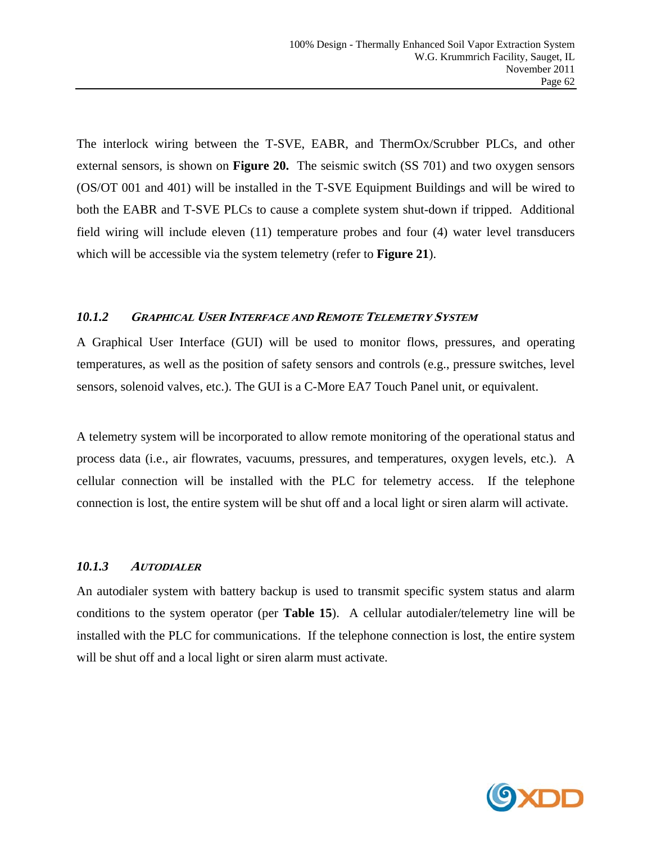The interlock wiring between the T-SVE, EABR, and ThermOx/Scrubber PLCs, and other external sensors, is shown on **Figure 20.** The seismic switch (SS 701) and two oxygen sensors (OS/OT 001 and 401) will be installed in the T-SVE Equipment Buildings and will be wired to both the EABR and T-SVE PLCs to cause a complete system shut-down if tripped. Additional field wiring will include eleven (11) temperature probes and four (4) water level transducers which will be accessible via the system telemetry (refer to **Figure 21**).

### *10.1.2* **GRAPHICAL USER INTERFACE AND REMOTE TELEMETRY SYSTEM**

A Graphical User Interface (GUI) will be used to monitor flows, pressures, and operating temperatures, as well as the position of safety sensors and controls (e.g., pressure switches, level sensors, solenoid valves, etc.). The GUI is a C-More EA7 Touch Panel unit, or equivalent.

A telemetry system will be incorporated to allow remote monitoring of the operational status and process data (i.e., air flowrates, vacuums, pressures, and temperatures, oxygen levels, etc.). A cellular connection will be installed with the PLC for telemetry access. If the telephone connection is lost, the entire system will be shut off and a local light or siren alarm will activate.

# *10.1.3* **<sup>A</sup>UTODIALER**

An autodialer system with battery backup is used to transmit specific system status and alarm conditions to the system operator (per **Table 15**). A cellular autodialer/telemetry line will be installed with the PLC for communications. If the telephone connection is lost, the entire system will be shut off and a local light or siren alarm must activate.

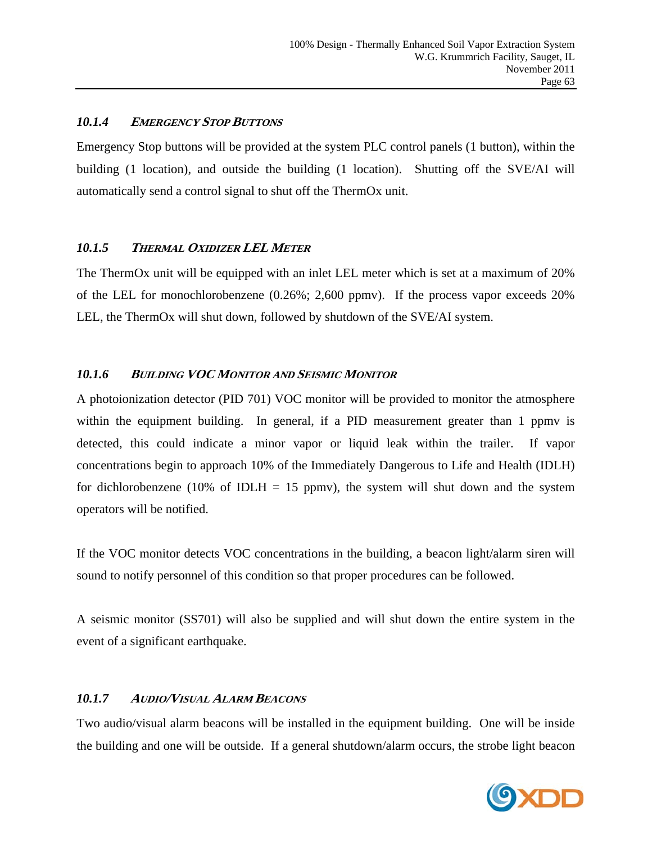# *10.1.4* **<sup>E</sup>MERGENCY STOP BUTTONS**

Emergency Stop buttons will be provided at the system PLC control panels (1 button), within the building (1 location), and outside the building (1 location). Shutting off the SVE/AI will automatically send a control signal to shut off the ThermOx unit.

# *10.1.5* **<sup>T</sup>HERMAL OXIDIZER LEL <sup>M</sup>ETER**

The ThermOx unit will be equipped with an inlet LEL meter which is set at a maximum of 20% of the LEL for monochlorobenzene (0.26%; 2,600 ppmv). If the process vapor exceeds 20% LEL, the ThermOx will shut down, followed by shutdown of the SVE/AI system.

# *10.1.6* **<sup>B</sup>UILDING VOC <sup>M</sup>ONITOR AND SEISMIC MONITOR**

A photoionization detector (PID 701) VOC monitor will be provided to monitor the atmosphere within the equipment building. In general, if a PID measurement greater than 1 ppmy is detected, this could indicate a minor vapor or liquid leak within the trailer. If vapor concentrations begin to approach 10% of the Immediately Dangerous to Life and Health (IDLH) for dichlorobenzene (10% of IDLH = 15 ppmv), the system will shut down and the system operators will be notified.

If the VOC monitor detects VOC concentrations in the building, a beacon light/alarm siren will sound to notify personnel of this condition so that proper procedures can be followed.

A seismic monitor (SS701) will also be supplied and will shut down the entire system in the event of a significant earthquake.

# *10.1.7* **<sup>A</sup>UDIO/VISUAL ALARM BEACONS**

Two audio/visual alarm beacons will be installed in the equipment building. One will be inside the building and one will be outside. If a general shutdown/alarm occurs, the strobe light beacon

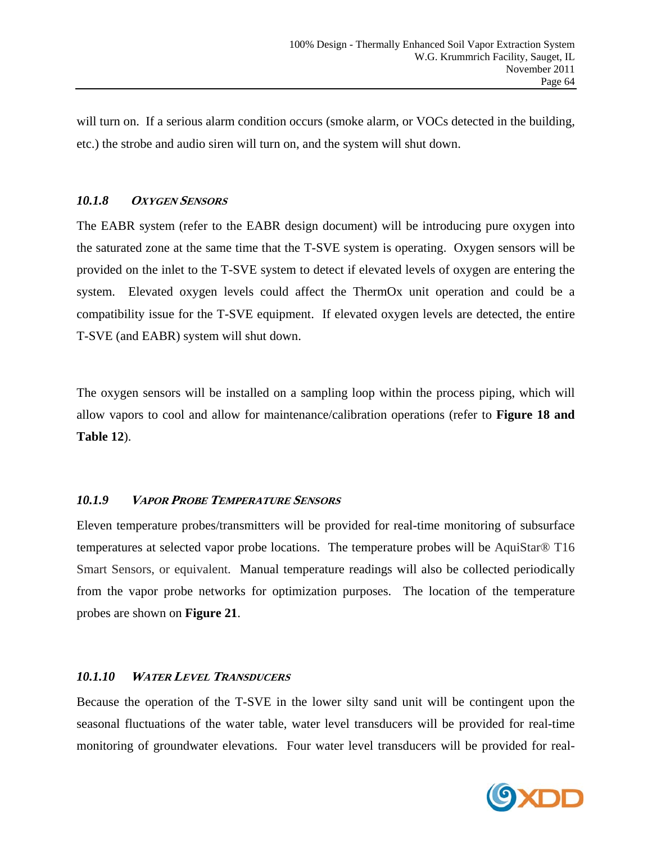will turn on. If a serious alarm condition occurs (smoke alarm, or VOCs detected in the building, etc.) the strobe and audio siren will turn on, and the system will shut down.

# 10.1.8 **OXYGEN SENSORS**

The EABR system (refer to the EABR design document) will be introducing pure oxygen into the saturated zone at the same time that the T-SVE system is operating. Oxygen sensors will be provided on the inlet to the T-SVE system to detect if elevated levels of oxygen are entering the system. Elevated oxygen levels could affect the ThermOx unit operation and could be a compatibility issue for the T-SVE equipment. If elevated oxygen levels are detected, the entire T-SVE (and EABR) system will shut down.

The oxygen sensors will be installed on a sampling loop within the process piping, which will allow vapors to cool and allow for maintenance/calibration operations (refer to **Figure 18 and Table 12**).

# *10.1.9* **<sup>V</sup>APOR PROBE TEMPERATURE SENSORS**

Eleven temperature probes/transmitters will be provided for real-time monitoring of subsurface temperatures at selected vapor probe locations. The temperature probes will be AquiStar® T16 Smart Sensors, or equivalent. Manual temperature readings will also be collected periodically from the vapor probe networks for optimization purposes. The location of the temperature probes are shown on **Figure 21**.

# *10.1.10* **<sup>W</sup>ATER LEVEL TRANSDUCERS**

Because the operation of the T-SVE in the lower silty sand unit will be contingent upon the seasonal fluctuations of the water table, water level transducers will be provided for real-time monitoring of groundwater elevations. Four water level transducers will be provided for real-

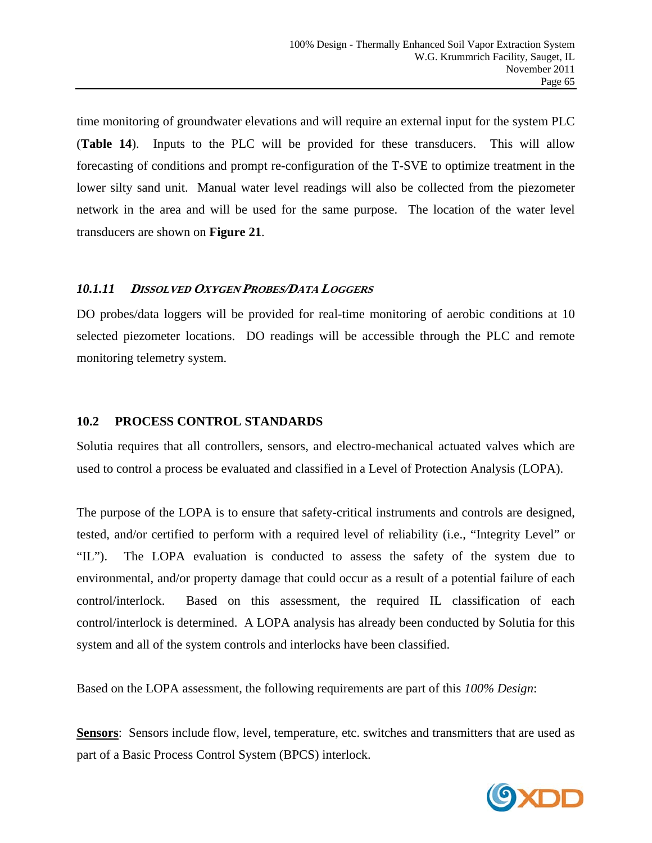time monitoring of groundwater elevations and will require an external input for the system PLC (**Table 14**). Inputs to the PLC will be provided for these transducers. This will allow forecasting of conditions and prompt re-configuration of the T-SVE to optimize treatment in the lower silty sand unit. Manual water level readings will also be collected from the piezometer network in the area and will be used for the same purpose. The location of the water level transducers are shown on **Figure 21**.

### *10.1.11* **<sup>D</sup>ISSOLVED OXYGEN PROBES/DATA LOGGERS**

DO probes/data loggers will be provided for real-time monitoring of aerobic conditions at 10 selected piezometer locations. DO readings will be accessible through the PLC and remote monitoring telemetry system.

#### **10.2 PROCESS CONTROL STANDARDS**

Solutia requires that all controllers, sensors, and electro-mechanical actuated valves which are used to control a process be evaluated and classified in a Level of Protection Analysis (LOPA).

The purpose of the LOPA is to ensure that safety-critical instruments and controls are designed, tested, and/or certified to perform with a required level of reliability (i.e., "Integrity Level" or "IL"). The LOPA evaluation is conducted to assess the safety of the system due to environmental, and/or property damage that could occur as a result of a potential failure of each control/interlock. Based on this assessment, the required IL classification of each control/interlock is determined. A LOPA analysis has already been conducted by Solutia for this system and all of the system controls and interlocks have been classified.

Based on the LOPA assessment, the following requirements are part of this *100% Design*:

**Sensors**: Sensors include flow, level, temperature, etc. switches and transmitters that are used as part of a Basic Process Control System (BPCS) interlock.

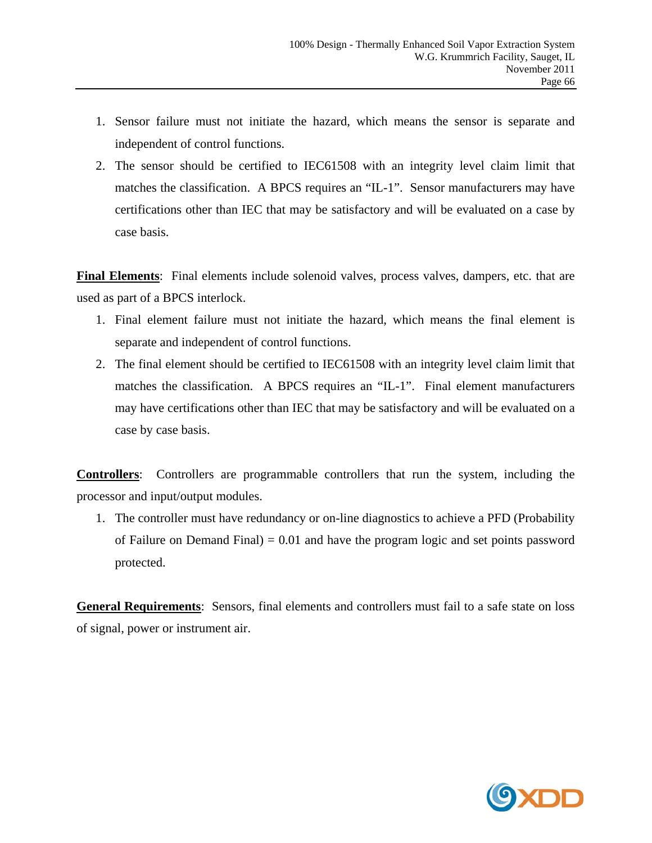- 1. Sensor failure must not initiate the hazard, which means the sensor is separate and independent of control functions.
- 2. The sensor should be certified to IEC61508 with an integrity level claim limit that matches the classification. A BPCS requires an "IL-1". Sensor manufacturers may have certifications other than IEC that may be satisfactory and will be evaluated on a case by case basis.

**Final Elements**: Final elements include solenoid valves, process valves, dampers, etc. that are used as part of a BPCS interlock.

- 1. Final element failure must not initiate the hazard, which means the final element is separate and independent of control functions.
- 2. The final element should be certified to IEC61508 with an integrity level claim limit that matches the classification. A BPCS requires an "IL-1". Final element manufacturers may have certifications other than IEC that may be satisfactory and will be evaluated on a case by case basis.

**Controllers**: Controllers are programmable controllers that run the system, including the processor and input/output modules.

1. The controller must have redundancy or on-line diagnostics to achieve a PFD (Probability of Failure on Demand Final) =  $0.01$  and have the program logic and set points password protected.

**General Requirements**: Sensors, final elements and controllers must fail to a safe state on loss of signal, power or instrument air.

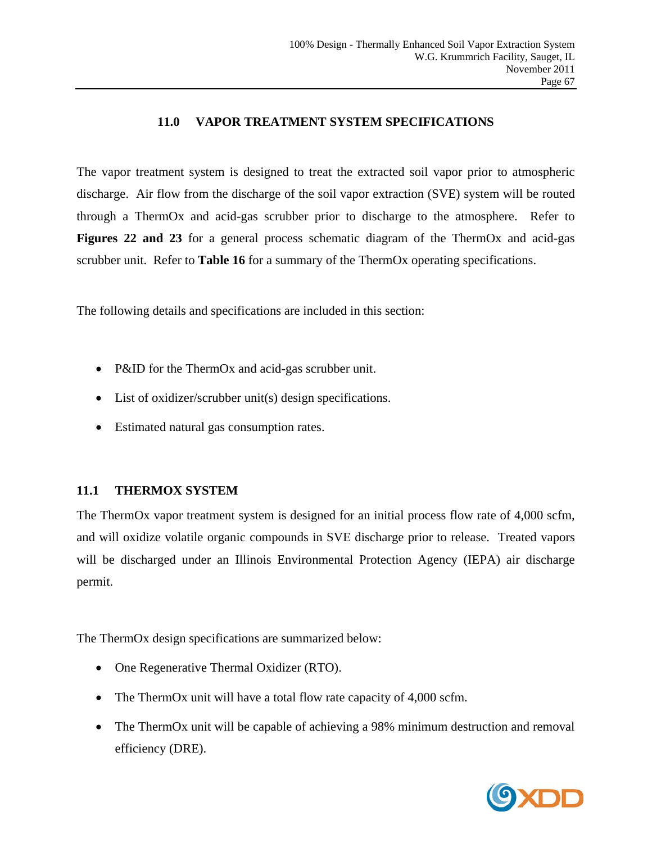# **11.0 VAPOR TREATMENT SYSTEM SPECIFICATIONS**

The vapor treatment system is designed to treat the extracted soil vapor prior to atmospheric discharge. Air flow from the discharge of the soil vapor extraction (SVE) system will be routed through a ThermOx and acid-gas scrubber prior to discharge to the atmosphere. Refer to **Figures 22 and 23** for a general process schematic diagram of the ThermOx and acid-gas scrubber unit. Refer to **Table 16** for a summary of the ThermOx operating specifications.

The following details and specifications are included in this section:

- P&ID for the ThermOx and acid-gas scrubber unit.
- List of oxidizer/scrubber unit(s) design specifications.
- Estimated natural gas consumption rates.

# **11.1 THERMOX SYSTEM**

The ThermOx vapor treatment system is designed for an initial process flow rate of 4,000 scfm, and will oxidize volatile organic compounds in SVE discharge prior to release. Treated vapors will be discharged under an Illinois Environmental Protection Agency (IEPA) air discharge permit.

The ThermOx design specifications are summarized below:

- One Regenerative Thermal Oxidizer (RTO).
- The ThermOx unit will have a total flow rate capacity of 4,000 scfm.
- The ThermOx unit will be capable of achieving a 98% minimum destruction and removal efficiency (DRE).

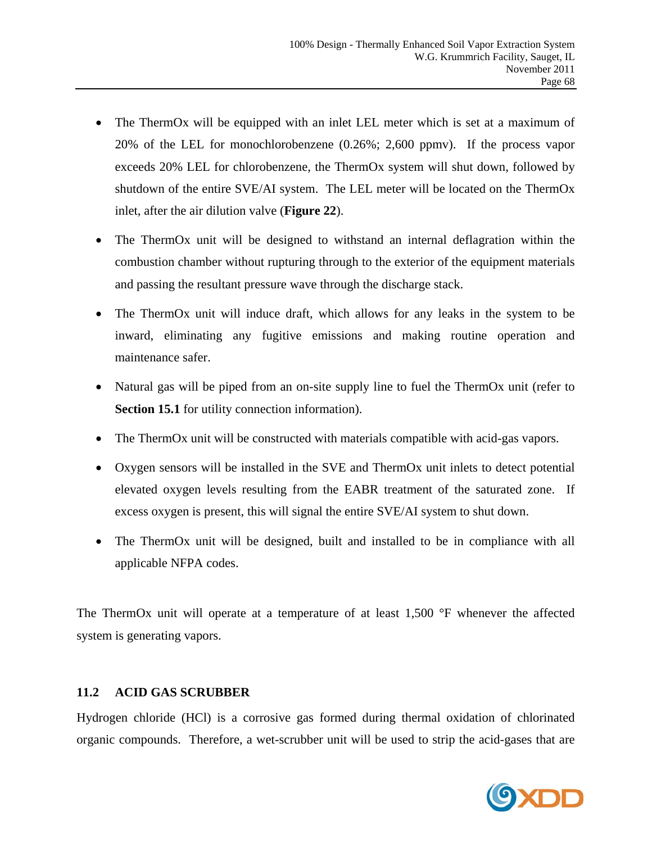- The ThermOx will be equipped with an inlet LEL meter which is set at a maximum of 20% of the LEL for monochlorobenzene (0.26%; 2,600 ppmv). If the process vapor exceeds 20% LEL for chlorobenzene, the ThermOx system will shut down, followed by shutdown of the entire SVE/AI system. The LEL meter will be located on the ThermOx inlet, after the air dilution valve (**Figure 22**).
- The ThermOx unit will be designed to withstand an internal deflagration within the combustion chamber without rupturing through to the exterior of the equipment materials and passing the resultant pressure wave through the discharge stack.
- The ThermOx unit will induce draft, which allows for any leaks in the system to be inward, eliminating any fugitive emissions and making routine operation and maintenance safer.
- Natural gas will be piped from an on-site supply line to fuel the ThermOx unit (refer to **Section 15.1** for utility connection information).
- The ThermOx unit will be constructed with materials compatible with acid-gas vapors.
- Oxygen sensors will be installed in the SVE and ThermOx unit inlets to detect potential elevated oxygen levels resulting from the EABR treatment of the saturated zone. If excess oxygen is present, this will signal the entire SVE/AI system to shut down.
- The ThermOx unit will be designed, built and installed to be in compliance with all applicable NFPA codes.

The ThermOx unit will operate at a temperature of at least 1,500 °F whenever the affected system is generating vapors.

# **11.2 ACID GAS SCRUBBER**

Hydrogen chloride (HCl) is a corrosive gas formed during thermal oxidation of chlorinated organic compounds. Therefore, a wet-scrubber unit will be used to strip the acid-gases that are

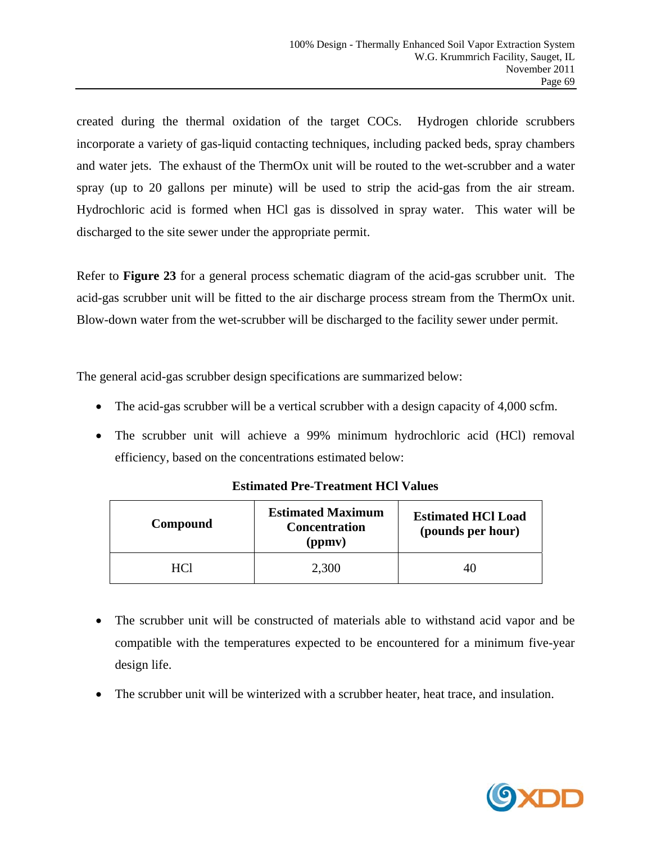created during the thermal oxidation of the target COCs. Hydrogen chloride scrubbers incorporate a variety of gas-liquid contacting techniques, including packed beds, spray chambers and water jets. The exhaust of the ThermOx unit will be routed to the wet-scrubber and a water spray (up to 20 gallons per minute) will be used to strip the acid-gas from the air stream. Hydrochloric acid is formed when HCl gas is dissolved in spray water. This water will be discharged to the site sewer under the appropriate permit.

Refer to **Figure 23** for a general process schematic diagram of the acid-gas scrubber unit. The acid-gas scrubber unit will be fitted to the air discharge process stream from the ThermOx unit. Blow-down water from the wet-scrubber will be discharged to the facility sewer under permit.

The general acid-gas scrubber design specifications are summarized below:

- The acid-gas scrubber will be a vertical scrubber with a design capacity of 4,000 scfm.
- The scrubber unit will achieve a 99% minimum hydrochloric acid (HCl) removal efficiency, based on the concentrations estimated below:

| Compound | <b>Estimated Maximum</b><br><b>Concentration</b><br>(ppmv) | <b>Estimated HCl Load</b><br>(pounds per hour) |
|----------|------------------------------------------------------------|------------------------------------------------|
| HCl      | 2,300                                                      | 40                                             |

# **Estimated Pre-Treatment HCl Values**

- The scrubber unit will be constructed of materials able to withstand acid vapor and be compatible with the temperatures expected to be encountered for a minimum five-year design life.
- The scrubber unit will be winterized with a scrubber heater, heat trace, and insulation.

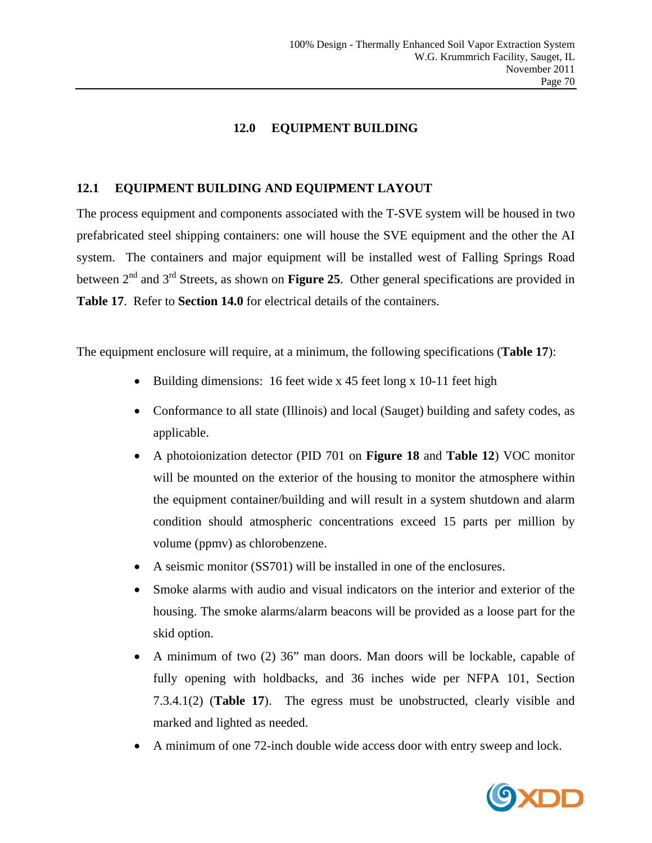# **12.0 EQUIPMENT BUILDING**

### **12.1 EQUIPMENT BUILDING AND EQUIPMENT LAYOUT**

The process equipment and components associated with the T-SVE system will be housed in two prefabricated steel shipping containers: one will house the SVE equipment and the other the AI system. The containers and major equipment will be installed west of Falling Springs Road between 2<sup>nd</sup> and 3<sup>rd</sup> Streets, as shown on **Figure 25**. Other general specifications are provided in **Table 17**. Refer to **Section 14.0** for electrical details of the containers.

The equipment enclosure will require, at a minimum, the following specifications (**Table 17**):

- Building dimensions: 16 feet wide x 45 feet long x 10-11 feet high
- Conformance to all state (Illinois) and local (Sauget) building and safety codes, as applicable.
- A photoionization detector (PID 701 on **Figure 18** and **Table 12**) VOC monitor will be mounted on the exterior of the housing to monitor the atmosphere within the equipment container/building and will result in a system shutdown and alarm condition should atmospheric concentrations exceed 15 parts per million by volume (ppmv) as chlorobenzene.
- A seismic monitor (SS701) will be installed in one of the enclosures.
- Smoke alarms with audio and visual indicators on the interior and exterior of the housing. The smoke alarms/alarm beacons will be provided as a loose part for the skid option.
- A minimum of two (2) 36" man doors. Man doors will be lockable, capable of fully opening with holdbacks, and 36 inches wide per NFPA 101, Section 7.3.4.1(2) (**Table 17**). The egress must be unobstructed, clearly visible and marked and lighted as needed.
- A minimum of one 72-inch double wide access door with entry sweep and lock.

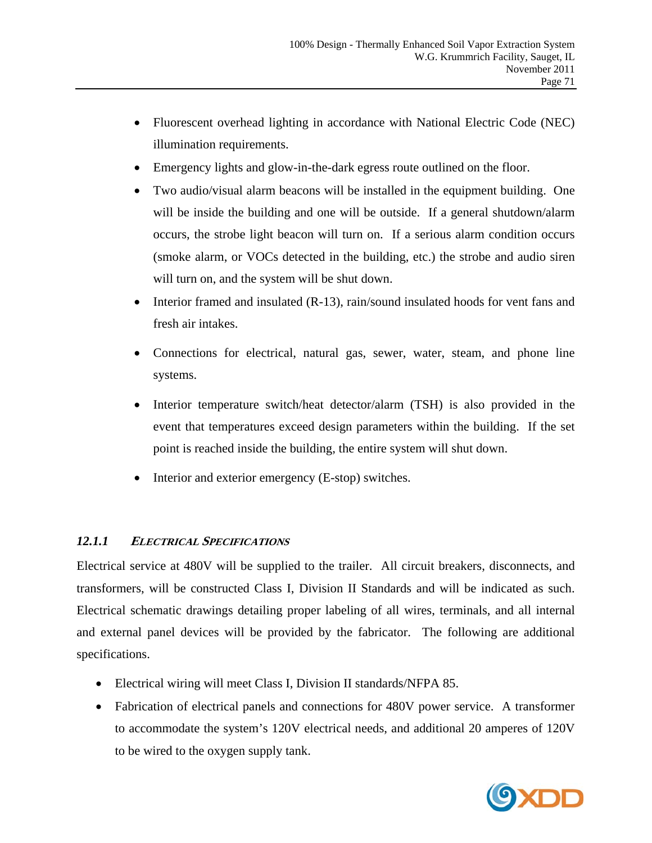- Fluorescent overhead lighting in accordance with National Electric Code (NEC) illumination requirements.
- Emergency lights and glow-in-the-dark egress route outlined on the floor.
- Two audio/visual alarm beacons will be installed in the equipment building. One will be inside the building and one will be outside. If a general shutdown/alarm occurs, the strobe light beacon will turn on. If a serious alarm condition occurs (smoke alarm, or VOCs detected in the building, etc.) the strobe and audio siren will turn on, and the system will be shut down.
- Interior framed and insulated (R-13), rain/sound insulated hoods for vent fans and fresh air intakes.
- Connections for electrical, natural gas, sewer, water, steam, and phone line systems.
- Interior temperature switch/heat detector/alarm (TSH) is also provided in the event that temperatures exceed design parameters within the building. If the set point is reached inside the building, the entire system will shut down.
- Interior and exterior emergency (E-stop) switches.

# *12.1.1* **<sup>E</sup>LECTRICAL SPECIFICATIONS**

Electrical service at 480V will be supplied to the trailer. All circuit breakers, disconnects, and transformers, will be constructed Class I, Division II Standards and will be indicated as such. Electrical schematic drawings detailing proper labeling of all wires, terminals, and all internal and external panel devices will be provided by the fabricator. The following are additional specifications.

- Electrical wiring will meet Class I, Division II standards/NFPA 85.
- Fabrication of electrical panels and connections for 480V power service. A transformer to accommodate the system's 120V electrical needs, and additional 20 amperes of 120V to be wired to the oxygen supply tank.

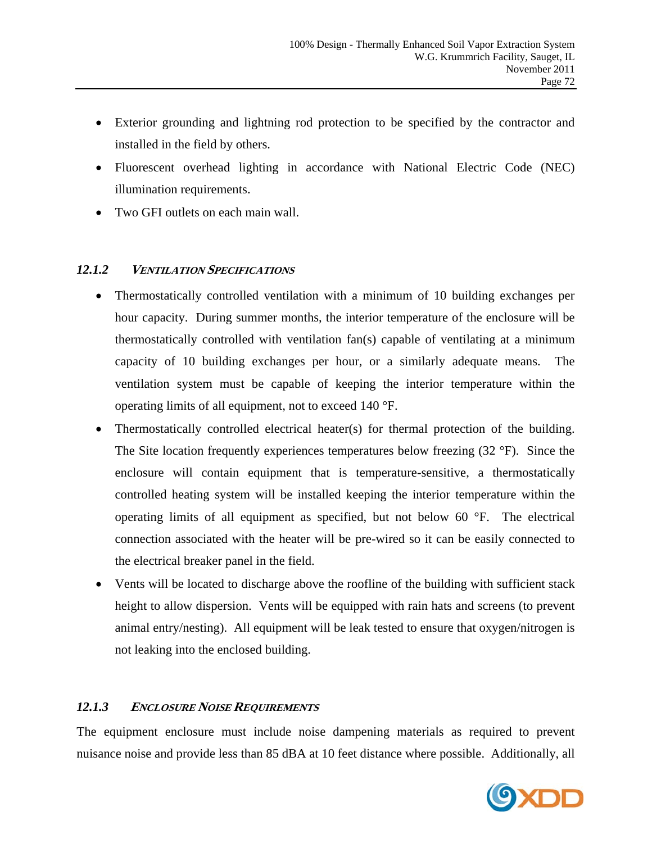- Exterior grounding and lightning rod protection to be specified by the contractor and installed in the field by others.
- Fluorescent overhead lighting in accordance with National Electric Code (NEC) illumination requirements.
- Two GFI outlets on each main wall.

# *12.1.2* **<sup>V</sup>ENTILATION SPECIFICATIONS**

- Thermostatically controlled ventilation with a minimum of 10 building exchanges per hour capacity. During summer months, the interior temperature of the enclosure will be thermostatically controlled with ventilation fan(s) capable of ventilating at a minimum capacity of 10 building exchanges per hour, or a similarly adequate means. The ventilation system must be capable of keeping the interior temperature within the operating limits of all equipment, not to exceed 140 °F.
- Thermostatically controlled electrical heater(s) for thermal protection of the building. The Site location frequently experiences temperatures below freezing (32 °F). Since the enclosure will contain equipment that is temperature-sensitive, a thermostatically controlled heating system will be installed keeping the interior temperature within the operating limits of all equipment as specified, but not below 60 °F. The electrical connection associated with the heater will be pre-wired so it can be easily connected to the electrical breaker panel in the field.
- Vents will be located to discharge above the roofline of the building with sufficient stack height to allow dispersion. Vents will be equipped with rain hats and screens (to prevent animal entry/nesting). All equipment will be leak tested to ensure that oxygen/nitrogen is not leaking into the enclosed building.

# *12.1.3* **<sup>E</sup>NCLOSURE NOISE REQUIREMENTS**

The equipment enclosure must include noise dampening materials as required to prevent nuisance noise and provide less than 85 dBA at 10 feet distance where possible. Additionally, all

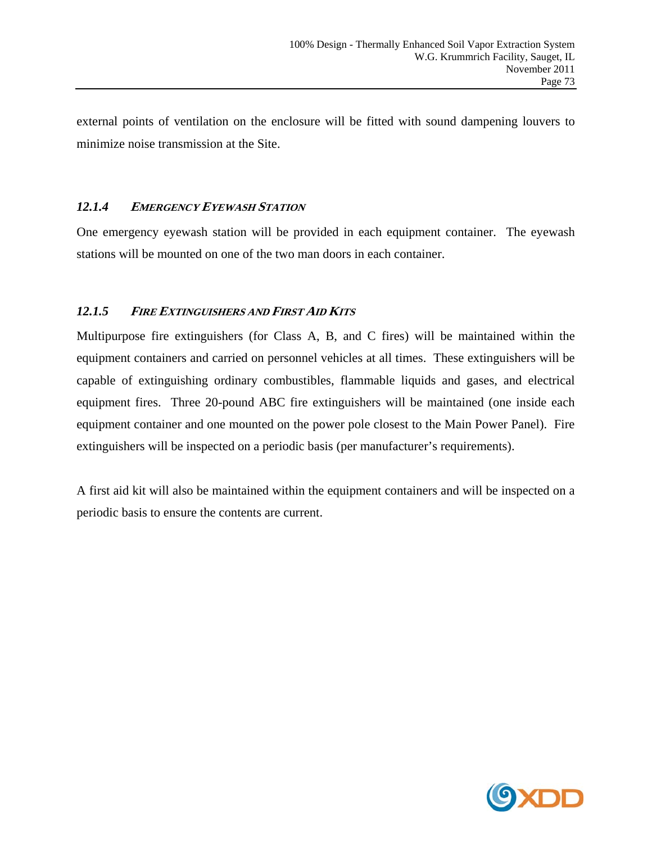external points of ventilation on the enclosure will be fitted with sound dampening louvers to minimize noise transmission at the Site.

# *12.1.4* **<sup>E</sup>MERGENCY EYEWASH STATION**

One emergency eyewash station will be provided in each equipment container. The eyewash stations will be mounted on one of the two man doors in each container.

# *12.1.5* **<sup>F</sup>IRE EXTINGUISHERS AND FIRST AID KITS**

Multipurpose fire extinguishers (for Class A, B, and C fires) will be maintained within the equipment containers and carried on personnel vehicles at all times. These extinguishers will be capable of extinguishing ordinary combustibles, flammable liquids and gases, and electrical equipment fires. Three 20-pound ABC fire extinguishers will be maintained (one inside each equipment container and one mounted on the power pole closest to the Main Power Panel). Fire extinguishers will be inspected on a periodic basis (per manufacturer's requirements).

A first aid kit will also be maintained within the equipment containers and will be inspected on a periodic basis to ensure the contents are current.

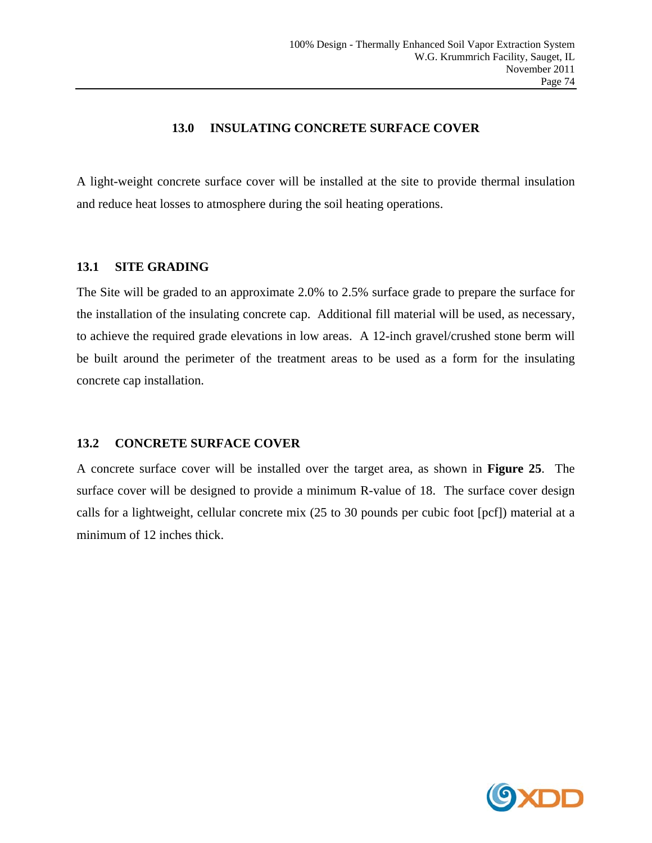### **13.0 INSULATING CONCRETE SURFACE COVER**

A light-weight concrete surface cover will be installed at the site to provide thermal insulation and reduce heat losses to atmosphere during the soil heating operations.

#### **13.1 SITE GRADING**

The Site will be graded to an approximate 2.0% to 2.5% surface grade to prepare the surface for the installation of the insulating concrete cap. Additional fill material will be used, as necessary, to achieve the required grade elevations in low areas. A 12-inch gravel/crushed stone berm will be built around the perimeter of the treatment areas to be used as a form for the insulating concrete cap installation.

# **13.2 CONCRETE SURFACE COVER**

A concrete surface cover will be installed over the target area, as shown in **Figure 25**. The surface cover will be designed to provide a minimum R-value of 18. The surface cover design calls for a lightweight, cellular concrete mix (25 to 30 pounds per cubic foot [pcf]) material at a minimum of 12 inches thick.

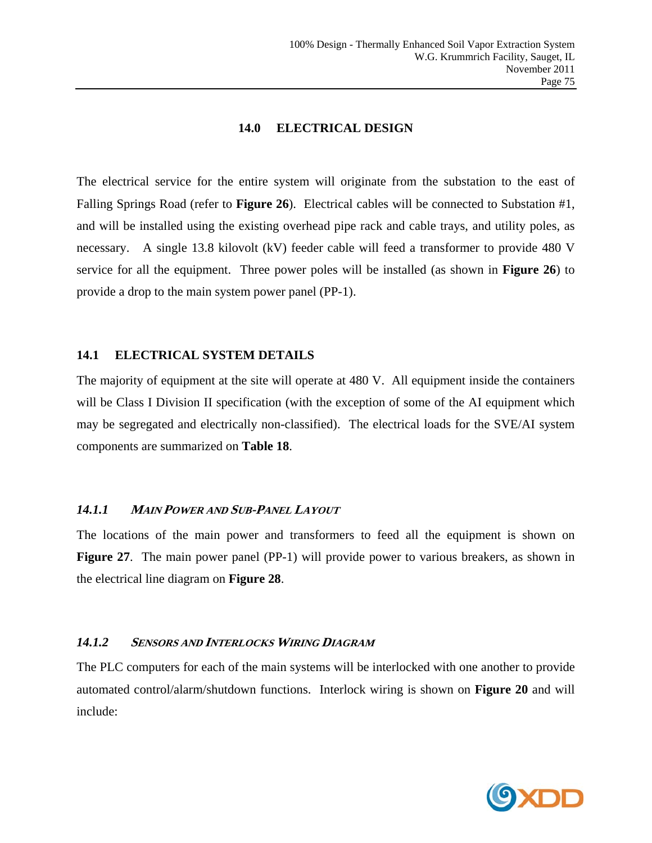# **14.0 ELECTRICAL DESIGN**

The electrical service for the entire system will originate from the substation to the east of Falling Springs Road (refer to **Figure 26**). Electrical cables will be connected to Substation #1, and will be installed using the existing overhead pipe rack and cable trays, and utility poles, as necessary. A single 13.8 kilovolt (kV) feeder cable will feed a transformer to provide 480 V service for all the equipment. Three power poles will be installed (as shown in **Figure 26**) to provide a drop to the main system power panel (PP-1).

#### **14.1 ELECTRICAL SYSTEM DETAILS**

The majority of equipment at the site will operate at 480 V. All equipment inside the containers will be Class I Division II specification (with the exception of some of the AI equipment which may be segregated and electrically non-classified). The electrical loads for the SVE/AI system components are summarized on **Table 18**.

# *14.1.1* **<sup>M</sup>AIN POWER AND SUB-PANEL LAYOUT**

The locations of the main power and transformers to feed all the equipment is shown on **Figure 27.** The main power panel (PP-1) will provide power to various breakers, as shown in the electrical line diagram on **Figure 28**.

#### *14.1.2* **SENSORS AND INTERLOCKS WIRING DIAGRAM**

The PLC computers for each of the main systems will be interlocked with one another to provide automated control/alarm/shutdown functions. Interlock wiring is shown on **Figure 20** and will include:

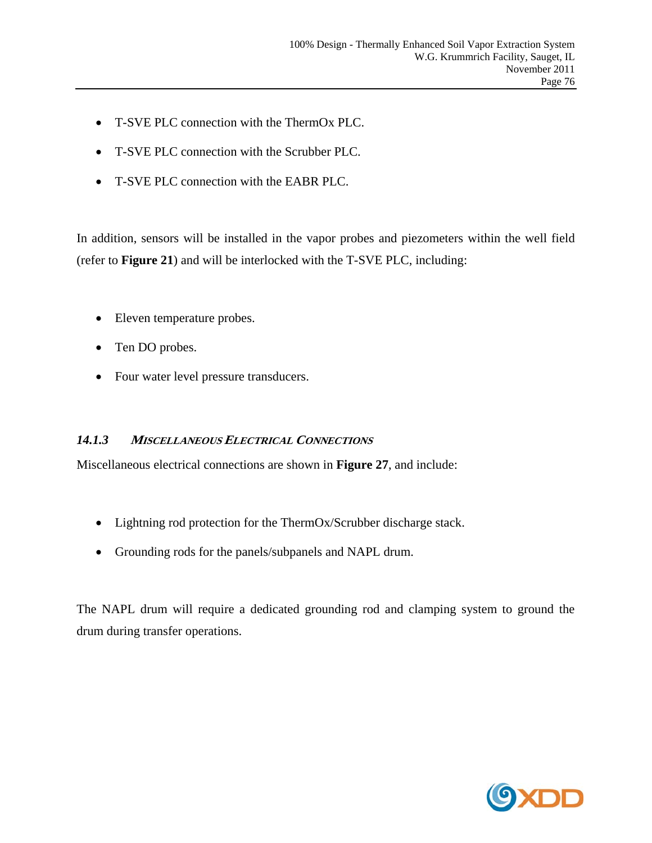- T-SVE PLC connection with the ThermOx PLC.
- T-SVE PLC connection with the Scrubber PLC.
- T-SVE PLC connection with the EABR PLC.

In addition, sensors will be installed in the vapor probes and piezometers within the well field (refer to **Figure 21**) and will be interlocked with the T-SVE PLC, including:

- Eleven temperature probes.
- Ten DO probes.
- Four water level pressure transducers.

#### *14.1.3* **<sup>M</sup>ISCELLANEOUS ELECTRICAL CONNECTIONS**

Miscellaneous electrical connections are shown in **Figure 27**, and include:

- Lightning rod protection for the ThermOx/Scrubber discharge stack.
- Grounding rods for the panels/subpanels and NAPL drum.

The NAPL drum will require a dedicated grounding rod and clamping system to ground the drum during transfer operations.

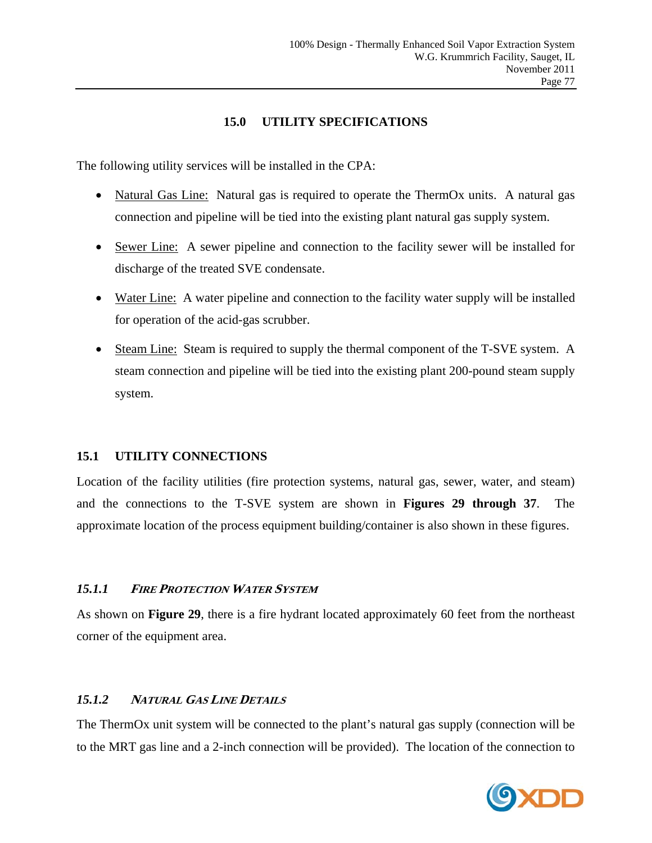### **15.0 UTILITY SPECIFICATIONS**

The following utility services will be installed in the CPA:

- Natural Gas Line: Natural gas is required to operate the ThermOx units. A natural gas connection and pipeline will be tied into the existing plant natural gas supply system.
- Sewer Line: A sewer pipeline and connection to the facility sewer will be installed for discharge of the treated SVE condensate.
- Water Line: A water pipeline and connection to the facility water supply will be installed for operation of the acid-gas scrubber.
- Steam Line: Steam is required to supply the thermal component of the T-SVE system. A steam connection and pipeline will be tied into the existing plant 200-pound steam supply system.

# **15.1 UTILITY CONNECTIONS**

Location of the facility utilities (fire protection systems, natural gas, sewer, water, and steam) and the connections to the T-SVE system are shown in **Figures 29 through 37**. The approximate location of the process equipment building/container is also shown in these figures.

# *15.1.1* **<sup>F</sup>IRE PROTECTION WATER SYSTEM**

As shown on **Figure 29**, there is a fire hydrant located approximately 60 feet from the northeast corner of the equipment area.

# *15.1.2* **<sup>N</sup>ATURAL GAS LINE DETAILS**

The ThermOx unit system will be connected to the plant's natural gas supply (connection will be to the MRT gas line and a 2-inch connection will be provided). The location of the connection to

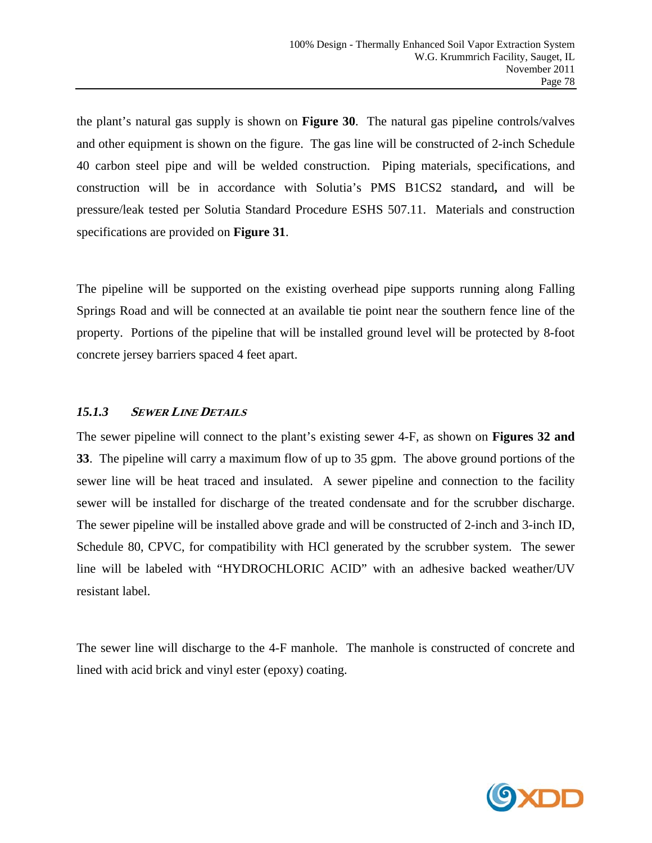the plant's natural gas supply is shown on **Figure 30**. The natural gas pipeline controls/valves and other equipment is shown on the figure. The gas line will be constructed of 2-inch Schedule 40 carbon steel pipe and will be welded construction. Piping materials, specifications, and construction will be in accordance with Solutia's PMS B1CS2 standard**,** and will be pressure/leak tested per Solutia Standard Procedure ESHS 507.11. Materials and construction specifications are provided on **Figure 31**.

The pipeline will be supported on the existing overhead pipe supports running along Falling Springs Road and will be connected at an available tie point near the southern fence line of the property. Portions of the pipeline that will be installed ground level will be protected by 8-foot concrete jersey barriers spaced 4 feet apart.

# *15.1.3* **SEWER LINE DETAILS**

The sewer pipeline will connect to the plant's existing sewer 4-F, as shown on **Figures 32 and 33**. The pipeline will carry a maximum flow of up to 35 gpm. The above ground portions of the sewer line will be heat traced and insulated. A sewer pipeline and connection to the facility sewer will be installed for discharge of the treated condensate and for the scrubber discharge. The sewer pipeline will be installed above grade and will be constructed of 2-inch and 3-inch ID, Schedule 80, CPVC, for compatibility with HCl generated by the scrubber system. The sewer line will be labeled with "HYDROCHLORIC ACID" with an adhesive backed weather/UV resistant label.

The sewer line will discharge to the 4-F manhole. The manhole is constructed of concrete and lined with acid brick and vinyl ester (epoxy) coating.

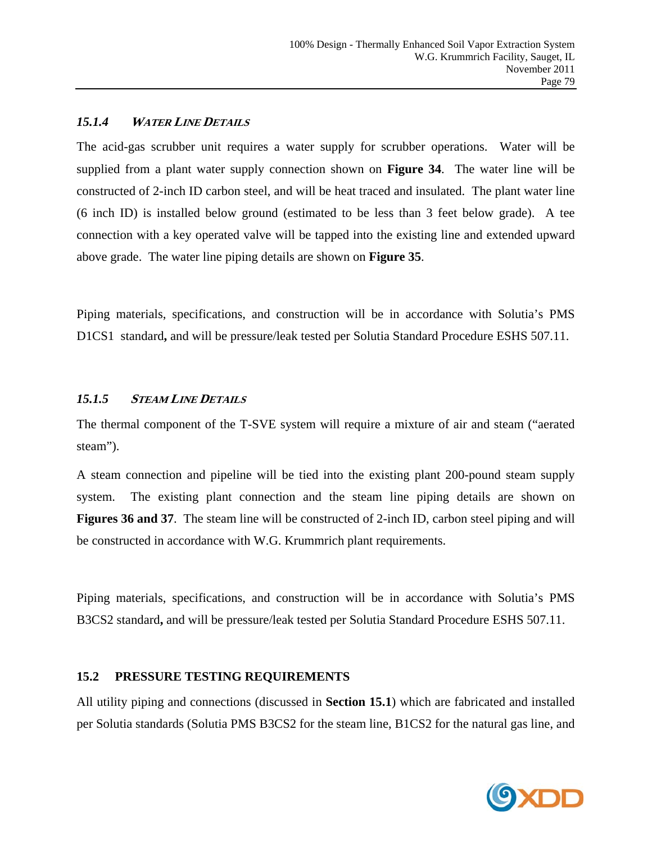# *15.1.4* **<sup>W</sup>ATER LINE DETAILS**

The acid-gas scrubber unit requires a water supply for scrubber operations. Water will be supplied from a plant water supply connection shown on **Figure 34**. The water line will be constructed of 2-inch ID carbon steel, and will be heat traced and insulated. The plant water line (6 inch ID) is installed below ground (estimated to be less than 3 feet below grade). A tee connection with a key operated valve will be tapped into the existing line and extended upward above grade. The water line piping details are shown on **Figure 35**.

Piping materials, specifications, and construction will be in accordance with Solutia's PMS D1CS1 standard**,** and will be pressure/leak tested per Solutia Standard Procedure ESHS 507.11.

# *15.1.5* **STEAM LINE DETAILS**

The thermal component of the T-SVE system will require a mixture of air and steam ("aerated steam").

A steam connection and pipeline will be tied into the existing plant 200-pound steam supply system. The existing plant connection and the steam line piping details are shown on **Figures 36 and 37**. The steam line will be constructed of 2-inch ID, carbon steel piping and will be constructed in accordance with W.G. Krummrich plant requirements.

Piping materials, specifications, and construction will be in accordance with Solutia's PMS B3CS2 standard**,** and will be pressure/leak tested per Solutia Standard Procedure ESHS 507.11.

# **15.2 PRESSURE TESTING REQUIREMENTS**

All utility piping and connections (discussed in **Section 15.1**) which are fabricated and installed per Solutia standards (Solutia PMS B3CS2 for the steam line, B1CS2 for the natural gas line, and

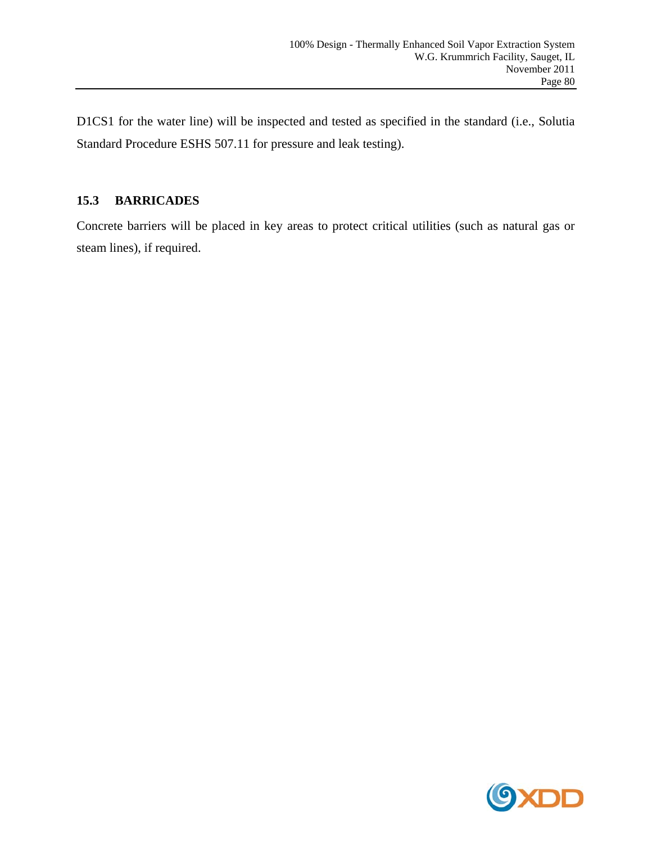D1CS1 for the water line) will be inspected and tested as specified in the standard (i.e., Solutia Standard Procedure ESHS 507.11 for pressure and leak testing).

# **15.3 BARRICADES**

Concrete barriers will be placed in key areas to protect critical utilities (such as natural gas or steam lines), if required.

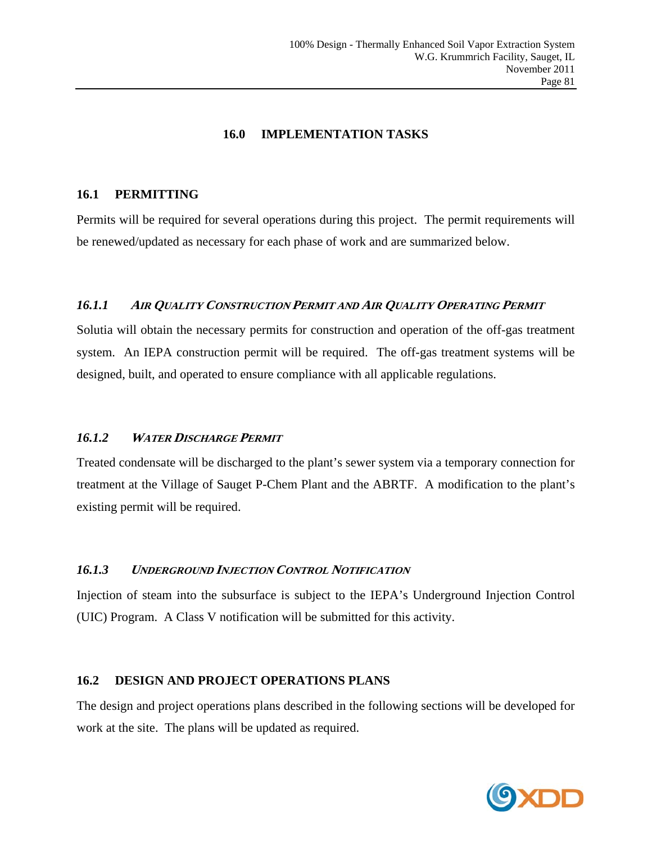# **16.0 IMPLEMENTATION TASKS**

#### **16.1 PERMITTING**

Permits will be required for several operations during this project. The permit requirements will be renewed/updated as necessary for each phase of work and are summarized below.

### *16.1.1* **<sup>A</sup>IR QUALITY CONSTRUCTION PERMIT AND AIR QUALITY OPERATING PERMIT**

Solutia will obtain the necessary permits for construction and operation of the off-gas treatment system. An IEPA construction permit will be required. The off-gas treatment systems will be designed, built, and operated to ensure compliance with all applicable regulations.

# *16.1.2* **<sup>W</sup>ATER DISCHARGE PERMIT**

Treated condensate will be discharged to the plant's sewer system via a temporary connection for treatment at the Village of Sauget P-Chem Plant and the ABRTF. A modification to the plant's existing permit will be required.

# *16.1.3* **<sup>U</sup>NDERGROUND INJECTION CONTROL NOTIFICATION**

Injection of steam into the subsurface is subject to the IEPA's Underground Injection Control (UIC) Program. A Class V notification will be submitted for this activity.

#### **16.2 DESIGN AND PROJECT OPERATIONS PLANS**

The design and project operations plans described in the following sections will be developed for work at the site. The plans will be updated as required.

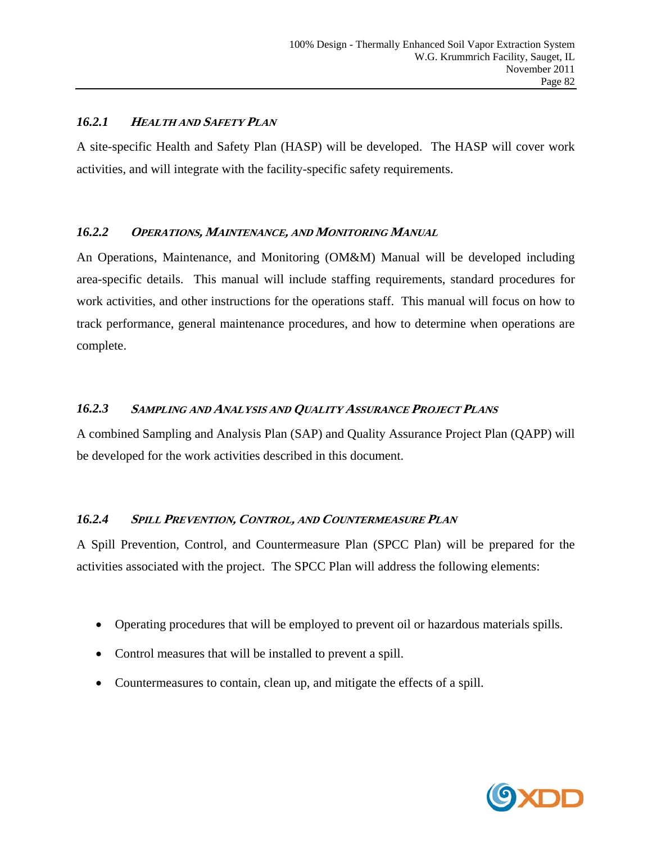# *16.2.1* **<sup>H</sup>EALTH AND SAFETY PLAN**

A site-specific Health and Safety Plan (HASP) will be developed. The HASP will cover work activities, and will integrate with the facility-specific safety requirements.

# *16.2.2* **OPERATIONS, <sup>M</sup>AINTENANCE, AND MONITORING MANUAL**

An Operations, Maintenance, and Monitoring (OM&M) Manual will be developed including area-specific details. This manual will include staffing requirements, standard procedures for work activities, and other instructions for the operations staff. This manual will focus on how to track performance, general maintenance procedures, and how to determine when operations are complete.

# *16.2.3* **SAMPLING AND ANALYSIS AND QUALITY ASSURANCE PROJECT PLANS**

A combined Sampling and Analysis Plan (SAP) and Quality Assurance Project Plan (QAPP) will be developed for the work activities described in this document.

# *16.2.4* **SPILL PREVENTION, CONTROL, AND COUNTERMEASURE PLAN**

A Spill Prevention, Control, and Countermeasure Plan (SPCC Plan) will be prepared for the activities associated with the project. The SPCC Plan will address the following elements:

- Operating procedures that will be employed to prevent oil or hazardous materials spills.
- Control measures that will be installed to prevent a spill.
- Countermeasures to contain, clean up, and mitigate the effects of a spill.

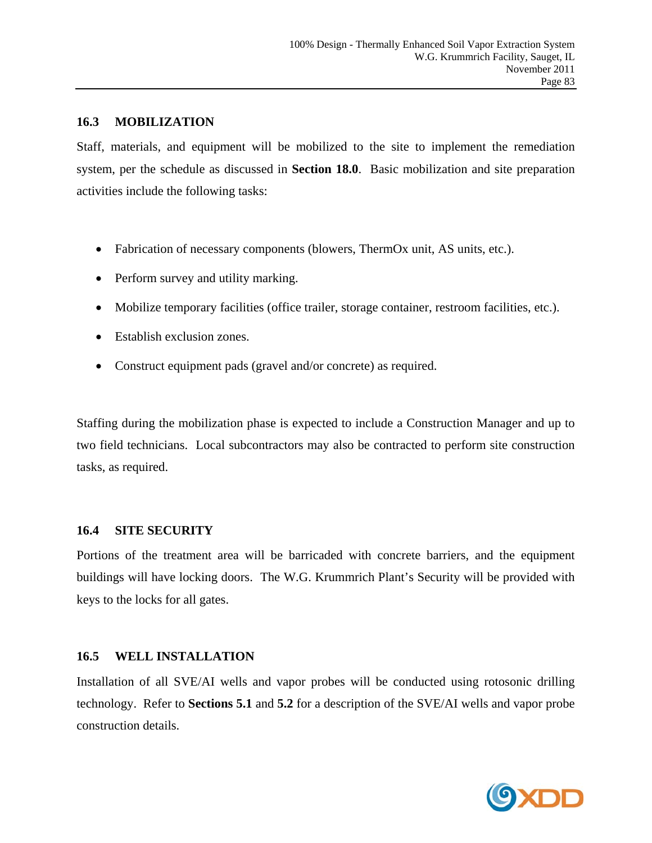#### **16.3 MOBILIZATION**

Staff, materials, and equipment will be mobilized to the site to implement the remediation system, per the schedule as discussed in **Section 18.0**. Basic mobilization and site preparation activities include the following tasks:

- Fabrication of necessary components (blowers, ThermOx unit, AS units, etc.).
- Perform survey and utility marking.
- Mobilize temporary facilities (office trailer, storage container, restroom facilities, etc.).
- Establish exclusion zones.
- Construct equipment pads (gravel and/or concrete) as required.

Staffing during the mobilization phase is expected to include a Construction Manager and up to two field technicians. Local subcontractors may also be contracted to perform site construction tasks, as required.

# **16.4 SITE SECURITY**

Portions of the treatment area will be barricaded with concrete barriers, and the equipment buildings will have locking doors. The W.G. Krummrich Plant's Security will be provided with keys to the locks for all gates.

# **16.5 WELL INSTALLATION**

Installation of all SVE/AI wells and vapor probes will be conducted using rotosonic drilling technology. Refer to **Sections 5.1** and **5.2** for a description of the SVE/AI wells and vapor probe construction details.

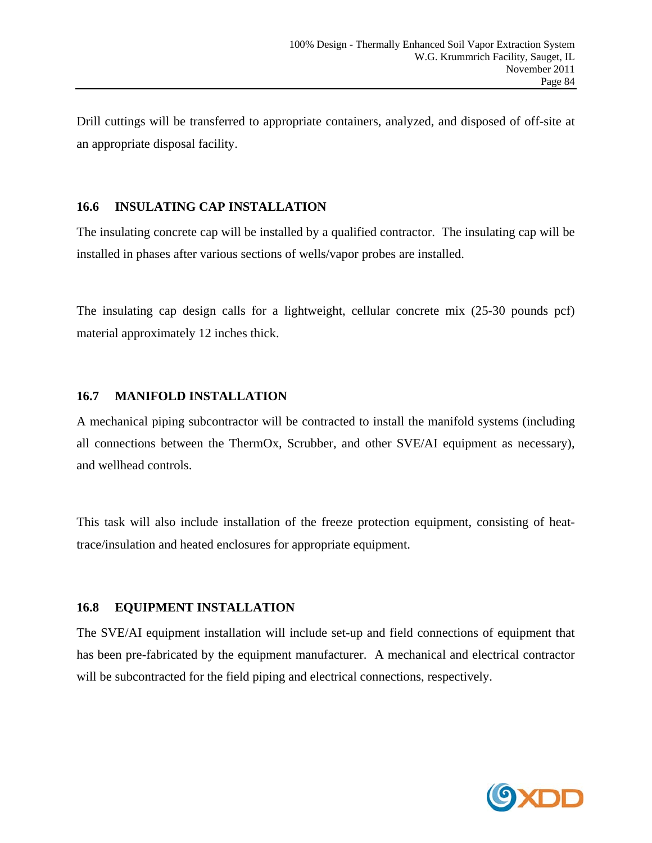Drill cuttings will be transferred to appropriate containers, analyzed, and disposed of off-site at an appropriate disposal facility.

# **16.6 INSULATING CAP INSTALLATION**

The insulating concrete cap will be installed by a qualified contractor. The insulating cap will be installed in phases after various sections of wells/vapor probes are installed.

The insulating cap design calls for a lightweight, cellular concrete mix (25-30 pounds pcf) material approximately 12 inches thick.

# **16.7 MANIFOLD INSTALLATION**

A mechanical piping subcontractor will be contracted to install the manifold systems (including all connections between the ThermOx, Scrubber, and other SVE/AI equipment as necessary), and wellhead controls.

This task will also include installation of the freeze protection equipment, consisting of heattrace/insulation and heated enclosures for appropriate equipment.

# **16.8 EQUIPMENT INSTALLATION**

The SVE/AI equipment installation will include set-up and field connections of equipment that has been pre-fabricated by the equipment manufacturer. A mechanical and electrical contractor will be subcontracted for the field piping and electrical connections, respectively.

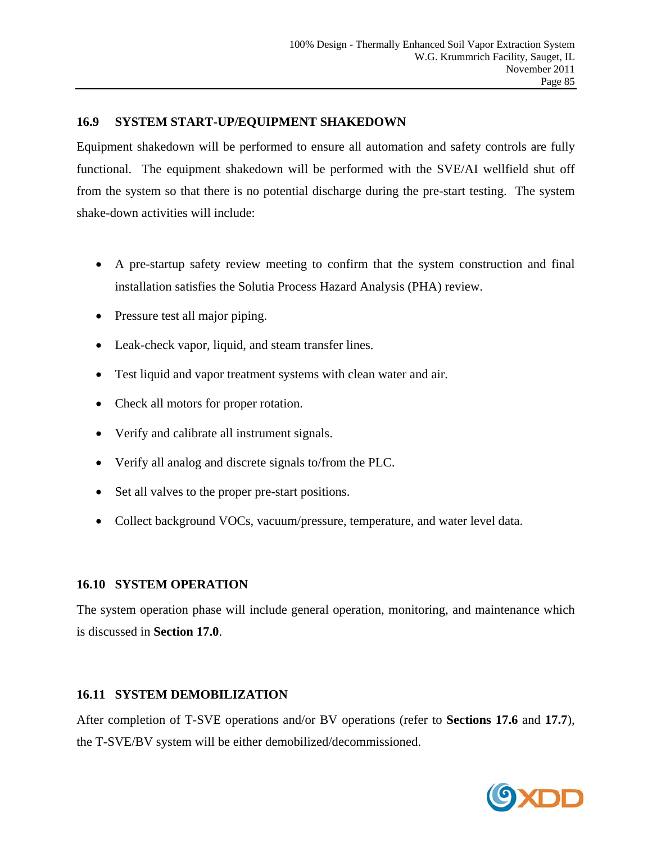### **16.9 SYSTEM START-UP/EQUIPMENT SHAKEDOWN**

Equipment shakedown will be performed to ensure all automation and safety controls are fully functional. The equipment shakedown will be performed with the SVE/AI wellfield shut off from the system so that there is no potential discharge during the pre-start testing. The system shake-down activities will include:

- A pre-startup safety review meeting to confirm that the system construction and final installation satisfies the Solutia Process Hazard Analysis (PHA) review.
- Pressure test all major piping.
- Leak-check vapor, liquid, and steam transfer lines.
- Test liquid and vapor treatment systems with clean water and air.
- Check all motors for proper rotation.
- Verify and calibrate all instrument signals.
- Verify all analog and discrete signals to/from the PLC.
- Set all valves to the proper pre-start positions.
- Collect background VOCs, vacuum/pressure, temperature, and water level data.

# **16.10 SYSTEM OPERATION**

The system operation phase will include general operation, monitoring, and maintenance which is discussed in **Section 17.0**.

# **16.11 SYSTEM DEMOBILIZATION**

After completion of T-SVE operations and/or BV operations (refer to **Sections 17.6** and **17.7**), the T-SVE/BV system will be either demobilized/decommissioned.

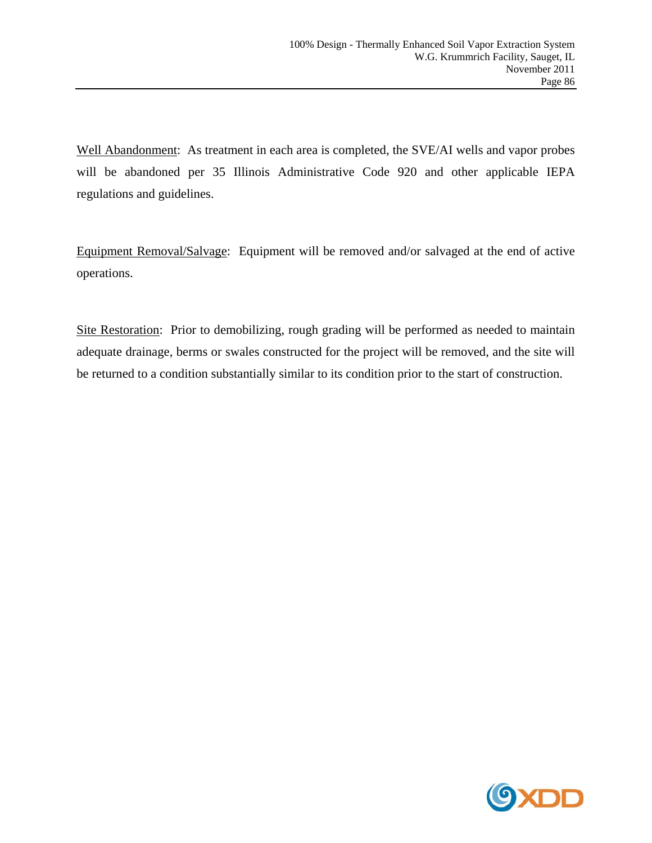Well Abandonment: As treatment in each area is completed, the SVE/AI wells and vapor probes will be abandoned per 35 Illinois Administrative Code 920 and other applicable IEPA regulations and guidelines.

Equipment Removal/Salvage: Equipment will be removed and/or salvaged at the end of active operations.

Site Restoration: Prior to demobilizing, rough grading will be performed as needed to maintain adequate drainage, berms or swales constructed for the project will be removed, and the site will be returned to a condition substantially similar to its condition prior to the start of construction.

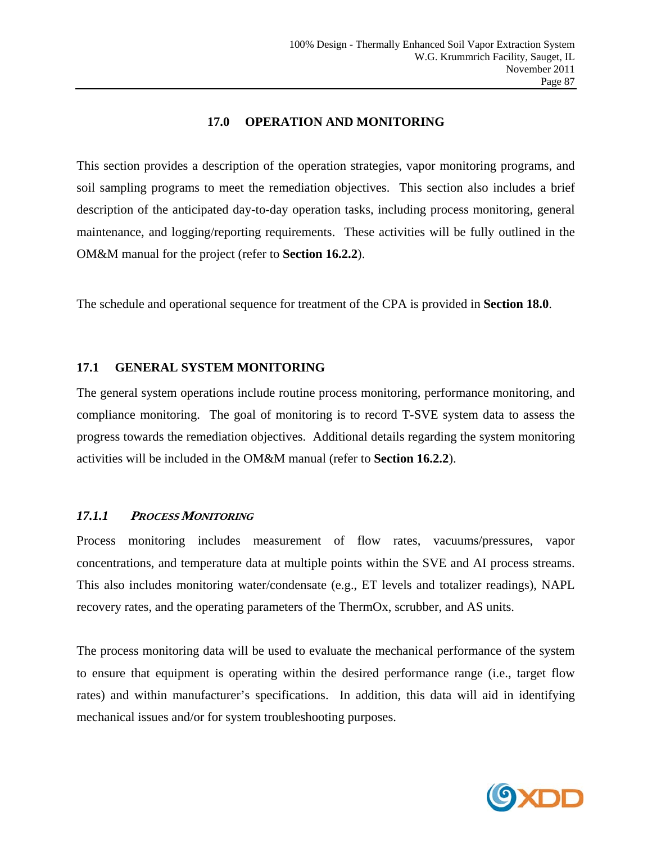### **17.0 OPERATION AND MONITORING**

This section provides a description of the operation strategies, vapor monitoring programs, and soil sampling programs to meet the remediation objectives. This section also includes a brief description of the anticipated day-to-day operation tasks, including process monitoring, general maintenance, and logging/reporting requirements. These activities will be fully outlined in the OM&M manual for the project (refer to **Section 16.2.2**).

The schedule and operational sequence for treatment of the CPA is provided in **Section 18.0**.

### **17.1 GENERAL SYSTEM MONITORING**

The general system operations include routine process monitoring, performance monitoring, and compliance monitoring. The goal of monitoring is to record T-SVE system data to assess the progress towards the remediation objectives. Additional details regarding the system monitoring activities will be included in the OM&M manual (refer to **Section 16.2.2**).

# *17.1.1* **<sup>P</sup>ROCESS MONITORING**

Process monitoring includes measurement of flow rates, vacuums/pressures, vapor concentrations, and temperature data at multiple points within the SVE and AI process streams. This also includes monitoring water/condensate (e.g., ET levels and totalizer readings), NAPL recovery rates, and the operating parameters of the ThermOx, scrubber, and AS units.

The process monitoring data will be used to evaluate the mechanical performance of the system to ensure that equipment is operating within the desired performance range (i.e., target flow rates) and within manufacturer's specifications. In addition, this data will aid in identifying mechanical issues and/or for system troubleshooting purposes.

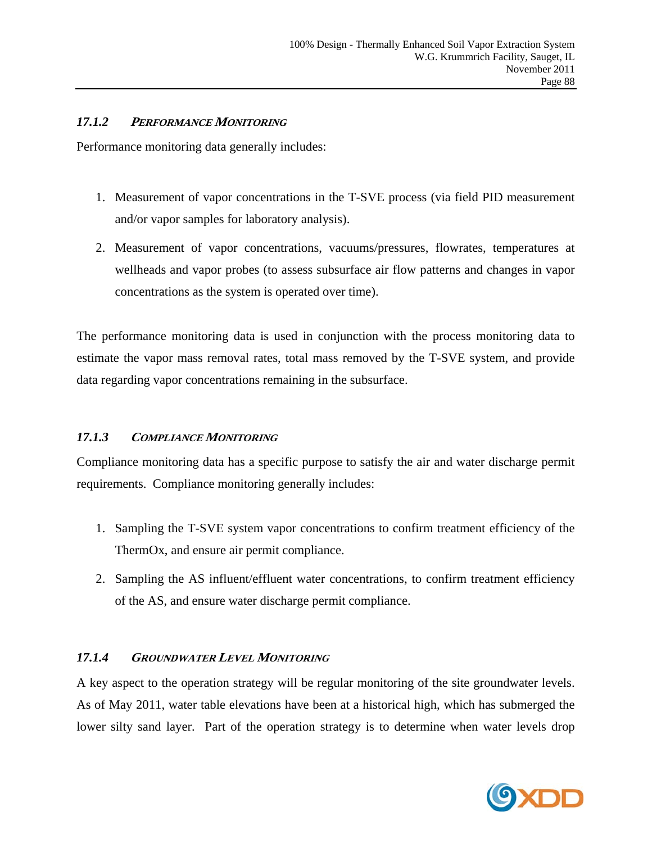### *17.1.2* **<sup>P</sup>ERFORMANCE MONITORING**

Performance monitoring data generally includes:

- 1. Measurement of vapor concentrations in the T-SVE process (via field PID measurement and/or vapor samples for laboratory analysis).
- 2. Measurement of vapor concentrations, vacuums/pressures, flowrates, temperatures at wellheads and vapor probes (to assess subsurface air flow patterns and changes in vapor concentrations as the system is operated over time).

The performance monitoring data is used in conjunction with the process monitoring data to estimate the vapor mass removal rates, total mass removed by the T-SVE system, and provide data regarding vapor concentrations remaining in the subsurface.

# *17.1.3* **COMPLIANCE MONITORING**

Compliance monitoring data has a specific purpose to satisfy the air and water discharge permit requirements. Compliance monitoring generally includes:

- 1. Sampling the T-SVE system vapor concentrations to confirm treatment efficiency of the ThermOx, and ensure air permit compliance.
- 2. Sampling the AS influent/effluent water concentrations, to confirm treatment efficiency of the AS, and ensure water discharge permit compliance.

#### *17.1.4* **GROUNDWATER LEVEL MONITORING**

A key aspect to the operation strategy will be regular monitoring of the site groundwater levels. As of May 2011, water table elevations have been at a historical high, which has submerged the lower silty sand layer. Part of the operation strategy is to determine when water levels drop

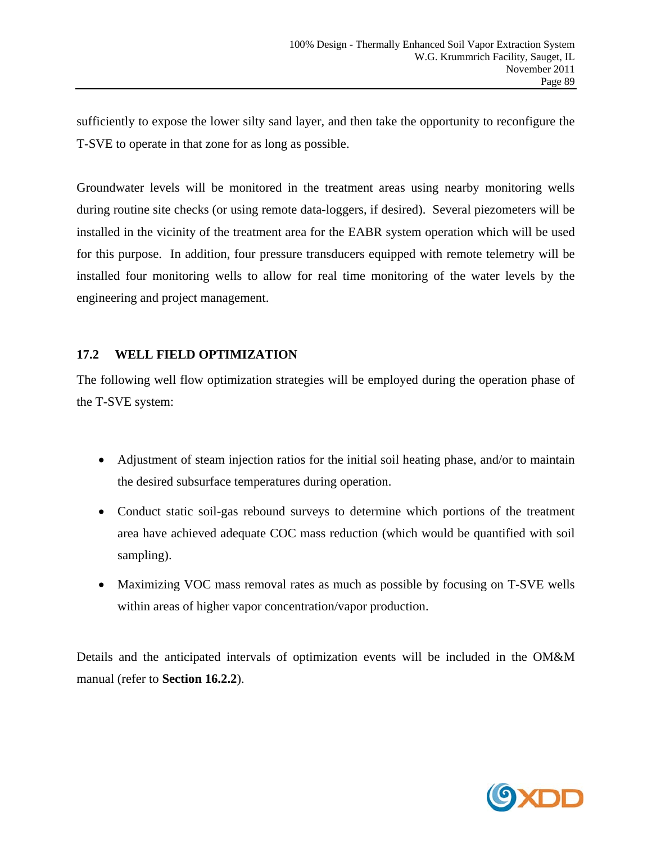sufficiently to expose the lower silty sand layer, and then take the opportunity to reconfigure the T-SVE to operate in that zone for as long as possible.

Groundwater levels will be monitored in the treatment areas using nearby monitoring wells during routine site checks (or using remote data-loggers, if desired). Several piezometers will be installed in the vicinity of the treatment area for the EABR system operation which will be used for this purpose. In addition, four pressure transducers equipped with remote telemetry will be installed four monitoring wells to allow for real time monitoring of the water levels by the engineering and project management.

# **17.2 WELL FIELD OPTIMIZATION**

The following well flow optimization strategies will be employed during the operation phase of the T-SVE system:

- Adjustment of steam injection ratios for the initial soil heating phase, and/or to maintain the desired subsurface temperatures during operation.
- Conduct static soil-gas rebound surveys to determine which portions of the treatment area have achieved adequate COC mass reduction (which would be quantified with soil sampling).
- Maximizing VOC mass removal rates as much as possible by focusing on T-SVE wells within areas of higher vapor concentration/vapor production.

Details and the anticipated intervals of optimization events will be included in the OM&M manual (refer to **Section 16.2.2**).

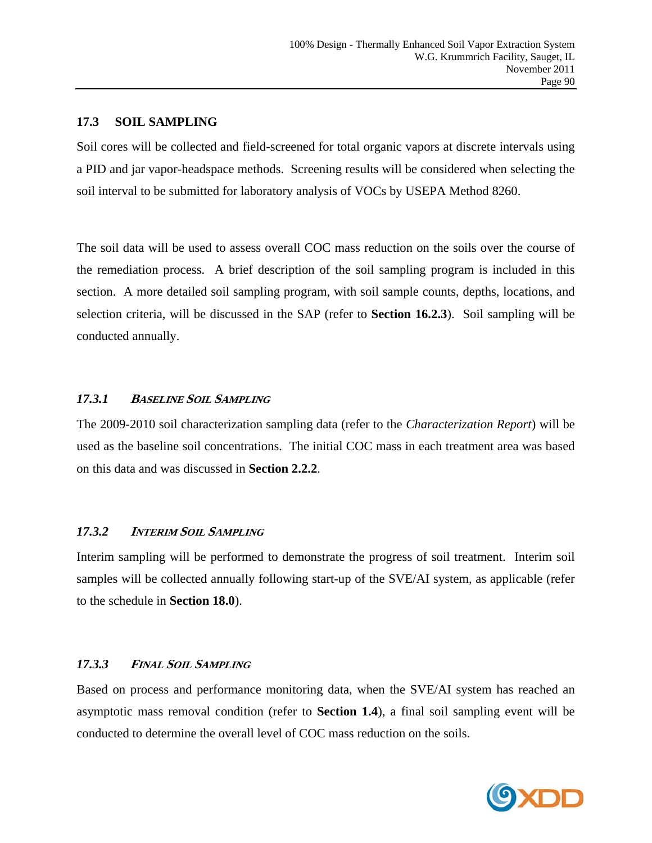#### **17.3 SOIL SAMPLING**

Soil cores will be collected and field-screened for total organic vapors at discrete intervals using a PID and jar vapor-headspace methods. Screening results will be considered when selecting the soil interval to be submitted for laboratory analysis of VOCs by USEPA Method 8260.

The soil data will be used to assess overall COC mass reduction on the soils over the course of the remediation process. A brief description of the soil sampling program is included in this section. A more detailed soil sampling program, with soil sample counts, depths, locations, and selection criteria, will be discussed in the SAP (refer to **Section 16.2.3**). Soil sampling will be conducted annually.

# *17.3.1* **<sup>B</sup>ASELINE SOIL SAMPLING**

The 2009-2010 soil characterization sampling data (refer to the *Characterization Report*) will be used as the baseline soil concentrations. The initial COC mass in each treatment area was based on this data and was discussed in **Section 2.2.2**.

# *17.3.2* **<sup>I</sup>NTERIM SOIL SAMPLING**

Interim sampling will be performed to demonstrate the progress of soil treatment. Interim soil samples will be collected annually following start-up of the SVE/AI system, as applicable (refer to the schedule in **Section 18.0**).

# *17.3.3* **<sup>F</sup>INAL SOIL SAMPLING**

Based on process and performance monitoring data, when the SVE/AI system has reached an asymptotic mass removal condition (refer to **Section 1.4**), a final soil sampling event will be conducted to determine the overall level of COC mass reduction on the soils.

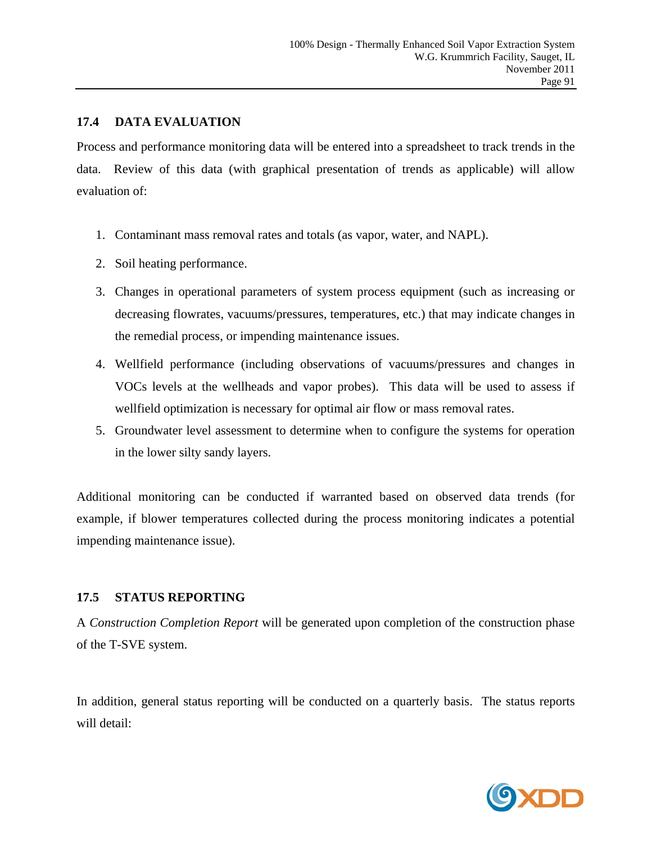### **17.4 DATA EVALUATION**

Process and performance monitoring data will be entered into a spreadsheet to track trends in the data. Review of this data (with graphical presentation of trends as applicable) will allow evaluation of:

- 1. Contaminant mass removal rates and totals (as vapor, water, and NAPL).
- 2. Soil heating performance.
- 3. Changes in operational parameters of system process equipment (such as increasing or decreasing flowrates, vacuums/pressures, temperatures, etc.) that may indicate changes in the remedial process, or impending maintenance issues.
- 4. Wellfield performance (including observations of vacuums/pressures and changes in VOCs levels at the wellheads and vapor probes). This data will be used to assess if wellfield optimization is necessary for optimal air flow or mass removal rates.
- 5. Groundwater level assessment to determine when to configure the systems for operation in the lower silty sandy layers.

Additional monitoring can be conducted if warranted based on observed data trends (for example, if blower temperatures collected during the process monitoring indicates a potential impending maintenance issue).

# **17.5 STATUS REPORTING**

A *Construction Completion Report* will be generated upon completion of the construction phase of the T-SVE system.

In addition, general status reporting will be conducted on a quarterly basis. The status reports will detail:

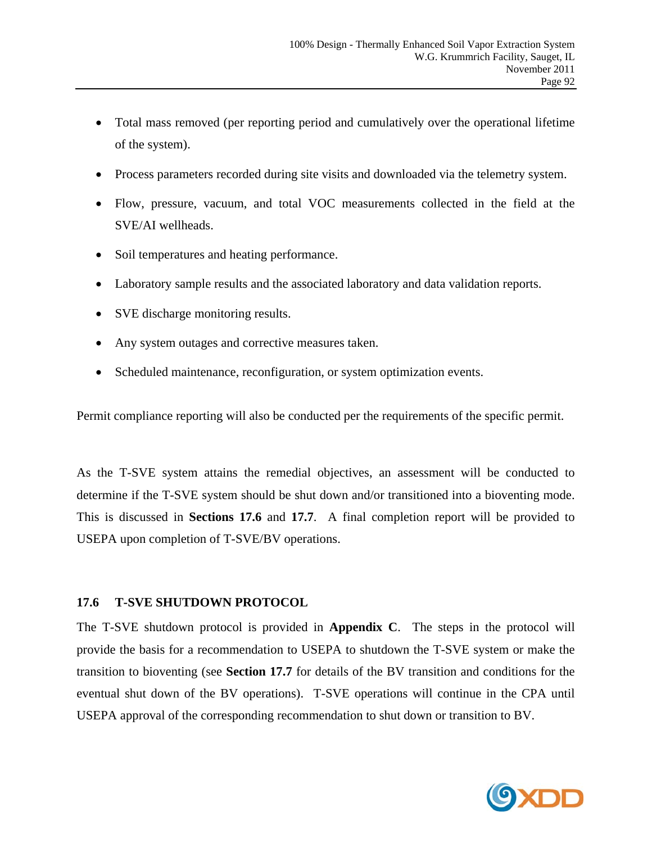- Total mass removed (per reporting period and cumulatively over the operational lifetime of the system).
- Process parameters recorded during site visits and downloaded via the telemetry system.
- Flow, pressure, vacuum, and total VOC measurements collected in the field at the SVE/AI wellheads.
- Soil temperatures and heating performance.
- Laboratory sample results and the associated laboratory and data validation reports.
- SVE discharge monitoring results.
- Any system outages and corrective measures taken.
- Scheduled maintenance, reconfiguration, or system optimization events.

Permit compliance reporting will also be conducted per the requirements of the specific permit.

As the T-SVE system attains the remedial objectives, an assessment will be conducted to determine if the T-SVE system should be shut down and/or transitioned into a bioventing mode. This is discussed in **Sections 17.6** and **17.7**. A final completion report will be provided to USEPA upon completion of T-SVE/BV operations.

## **17.6 T-SVE SHUTDOWN PROTOCOL**

The T-SVE shutdown protocol is provided in **Appendix C**. The steps in the protocol will provide the basis for a recommendation to USEPA to shutdown the T-SVE system or make the transition to bioventing (see **Section 17.7** for details of the BV transition and conditions for the eventual shut down of the BV operations). T-SVE operations will continue in the CPA until USEPA approval of the corresponding recommendation to shut down or transition to BV.

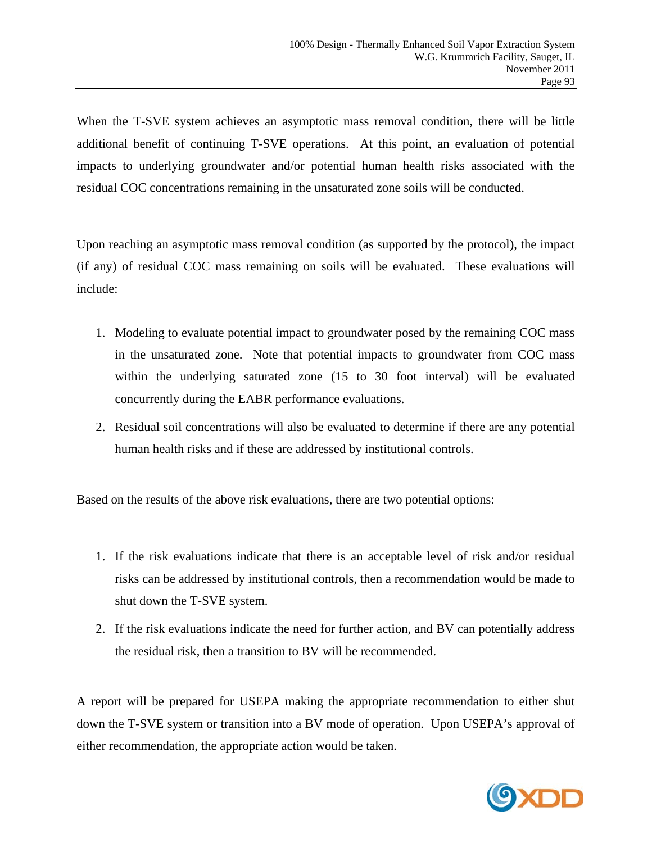When the T-SVE system achieves an asymptotic mass removal condition, there will be little additional benefit of continuing T-SVE operations. At this point, an evaluation of potential impacts to underlying groundwater and/or potential human health risks associated with the residual COC concentrations remaining in the unsaturated zone soils will be conducted.

Upon reaching an asymptotic mass removal condition (as supported by the protocol), the impact (if any) of residual COC mass remaining on soils will be evaluated. These evaluations will include:

- 1. Modeling to evaluate potential impact to groundwater posed by the remaining COC mass in the unsaturated zone. Note that potential impacts to groundwater from COC mass within the underlying saturated zone (15 to 30 foot interval) will be evaluated concurrently during the EABR performance evaluations.
- 2. Residual soil concentrations will also be evaluated to determine if there are any potential human health risks and if these are addressed by institutional controls.

Based on the results of the above risk evaluations, there are two potential options:

- 1. If the risk evaluations indicate that there is an acceptable level of risk and/or residual risks can be addressed by institutional controls, then a recommendation would be made to shut down the T-SVE system.
- 2. If the risk evaluations indicate the need for further action, and BV can potentially address the residual risk, then a transition to BV will be recommended.

A report will be prepared for USEPA making the appropriate recommendation to either shut down the T-SVE system or transition into a BV mode of operation. Upon USEPA's approval of either recommendation, the appropriate action would be taken.

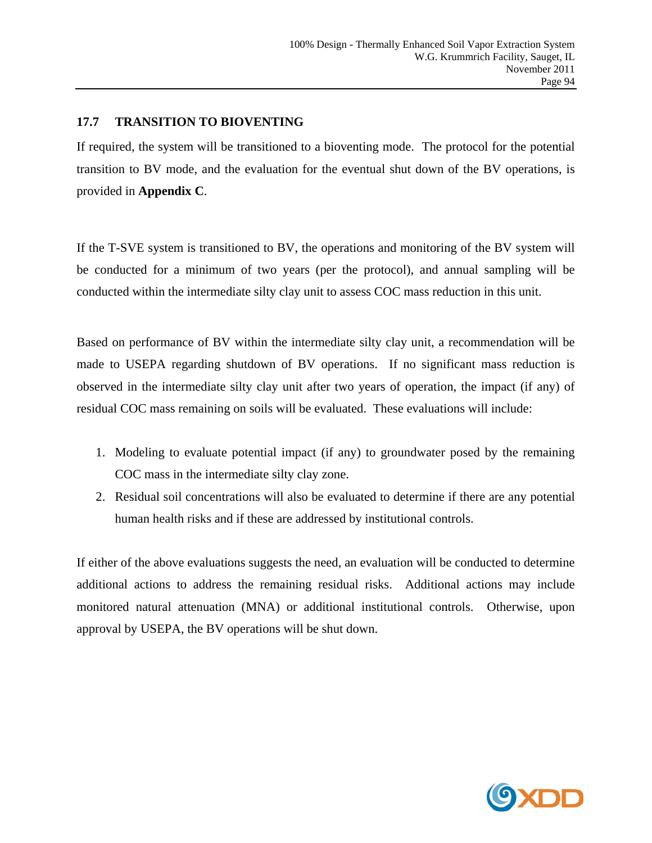## **17.7 TRANSITION TO BIOVENTING**

If required, the system will be transitioned to a bioventing mode. The protocol for the potential transition to BV mode, and the evaluation for the eventual shut down of the BV operations, is provided in **Appendix C**.

If the T-SVE system is transitioned to BV, the operations and monitoring of the BV system will be conducted for a minimum of two years (per the protocol), and annual sampling will be conducted within the intermediate silty clay unit to assess COC mass reduction in this unit.

Based on performance of BV within the intermediate silty clay unit, a recommendation will be made to USEPA regarding shutdown of BV operations. If no significant mass reduction is observed in the intermediate silty clay unit after two years of operation, the impact (if any) of residual COC mass remaining on soils will be evaluated. These evaluations will include:

- 1. Modeling to evaluate potential impact (if any) to groundwater posed by the remaining COC mass in the intermediate silty clay zone.
- 2. Residual soil concentrations will also be evaluated to determine if there are any potential human health risks and if these are addressed by institutional controls.

If either of the above evaluations suggests the need, an evaluation will be conducted to determine additional actions to address the remaining residual risks. Additional actions may include monitored natural attenuation (MNA) or additional institutional controls. Otherwise, upon approval by USEPA, the BV operations will be shut down.